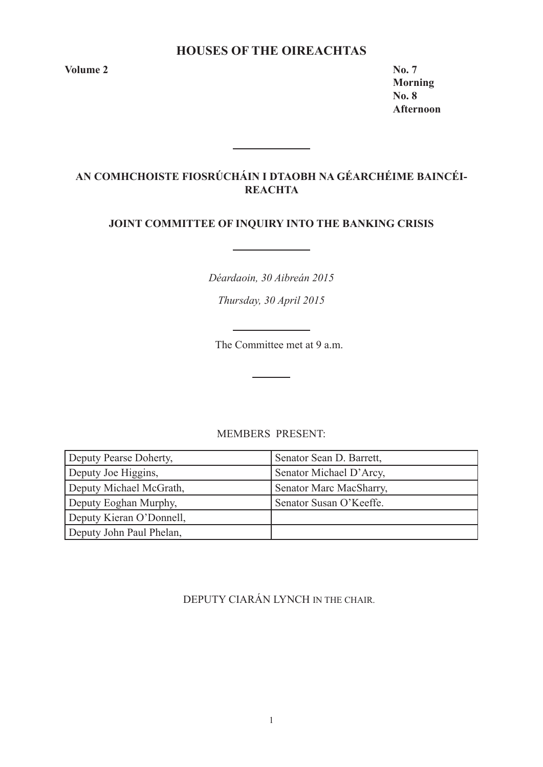# **HOUSES OF THE OIREACHTAS**

**Volume 2 No. 7** 

**Morning No. 8 Afternoon**

# **AN COMHCHOISTE FIOSRÚCHÁIN I DTAOBH NA GÉARCHÉIME BAINCÉI-REACHTA**

<u> 1980 - Johann Barbara, martx</u>

# **JOINT COMMITTEE OF INQUIRY INTO THE BANKING CRISIS**

*Déardaoin, 30 Aibreán 2015*

*Thursday, 30 April 2015*

The Committee met at 9 a.m.

## MEMBERS PRESENT:

| Deputy Pearse Doherty,   | Senator Sean D. Barrett, |
|--------------------------|--------------------------|
| Deputy Joe Higgins,      | Senator Michael D'Arcy,  |
| Deputy Michael McGrath,  | Senator Marc MacSharry,  |
| Deputy Eoghan Murphy,    | Senator Susan O'Keeffe.  |
| Deputy Kieran O'Donnell, |                          |
| Deputy John Paul Phelan, |                          |

DEPUTY CIARÁN LYNCH IN THE CHAIR.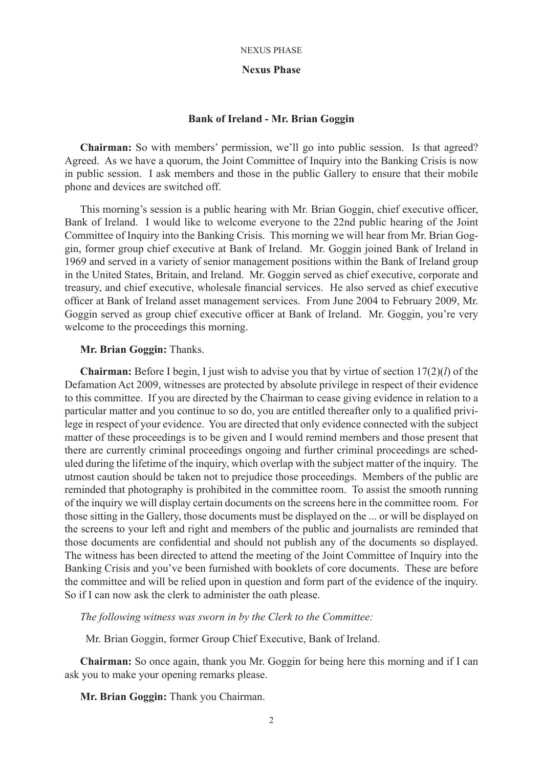### **Nexus Phase**

### **Bank of Ireland - Mr. Brian Goggin**

**Chairman:** So with members' permission, we'll go into public session. Is that agreed? Agreed. As we have a quorum, the Joint Committee of Inquiry into the Banking Crisis is now in public session. I ask members and those in the public Gallery to ensure that their mobile phone and devices are switched off.

This morning's session is a public hearing with Mr. Brian Goggin, chief executive officer, Bank of Ireland. I would like to welcome everyone to the 22nd public hearing of the Joint Committee of Inquiry into the Banking Crisis. This morning we will hear from Mr. Brian Goggin, former group chief executive at Bank of Ireland. Mr. Goggin joined Bank of Ireland in 1969 and served in a variety of senior management positions within the Bank of Ireland group in the United States, Britain, and Ireland. Mr. Goggin served as chief executive, corporate and treasury, and chief executive, wholesale financial services. He also served as chief executive officer at Bank of Ireland asset management services. From June 2004 to February 2009, Mr. Goggin served as group chief executive officer at Bank of Ireland. Mr. Goggin, you're very welcome to the proceedings this morning.

### **Mr. Brian Goggin:** Thanks.

**Chairman:** Before I begin, I just wish to advise you that by virtue of section 17(2)(*l*) of the Defamation Act 2009, witnesses are protected by absolute privilege in respect of their evidence to this committee. If you are directed by the Chairman to cease giving evidence in relation to a particular matter and you continue to so do, you are entitled thereafter only to a qualified privilege in respect of your evidence. You are directed that only evidence connected with the subject matter of these proceedings is to be given and I would remind members and those present that there are currently criminal proceedings ongoing and further criminal proceedings are scheduled during the lifetime of the inquiry, which overlap with the subject matter of the inquiry. The utmost caution should be taken not to prejudice those proceedings. Members of the public are reminded that photography is prohibited in the committee room. To assist the smooth running of the inquiry we will display certain documents on the screens here in the committee room. For those sitting in the Gallery, those documents must be displayed on the ... or will be displayed on the screens to your left and right and members of the public and journalists are reminded that those documents are confidential and should not publish any of the documents so displayed. The witness has been directed to attend the meeting of the Joint Committee of Inquiry into the Banking Crisis and you've been furnished with booklets of core documents. These are before the committee and will be relied upon in question and form part of the evidence of the inquiry. So if I can now ask the clerk to administer the oath please.

*The following witness was sworn in by the Clerk to the Committee:*

Mr. Brian Goggin, former Group Chief Executive, Bank of Ireland.

**Chairman:** So once again, thank you Mr. Goggin for being here this morning and if I can ask you to make your opening remarks please.

**Mr. Brian Goggin:** Thank you Chairman.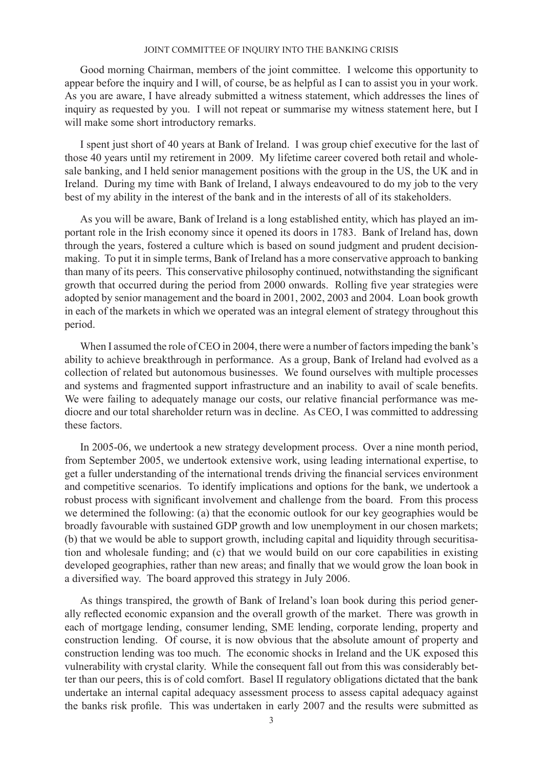Good morning Chairman, members of the joint committee. I welcome this opportunity to appear before the inquiry and I will, of course, be as helpful as I can to assist you in your work. As you are aware, I have already submitted a witness statement, which addresses the lines of inquiry as requested by you. I will not repeat or summarise my witness statement here, but I will make some short introductory remarks.

I spent just short of 40 years at Bank of Ireland. I was group chief executive for the last of those 40 years until my retirement in 2009. My lifetime career covered both retail and wholesale banking, and I held senior management positions with the group in the US, the UK and in Ireland. During my time with Bank of Ireland, I always endeavoured to do my job to the very best of my ability in the interest of the bank and in the interests of all of its stakeholders.

As you will be aware, Bank of Ireland is a long established entity, which has played an important role in the Irish economy since it opened its doors in 1783. Bank of Ireland has, down through the years, fostered a culture which is based on sound judgment and prudent decisionmaking. To put it in simple terms, Bank of Ireland has a more conservative approach to banking than many of its peers. This conservative philosophy continued, notwithstanding the significant growth that occurred during the period from 2000 onwards. Rolling five year strategies were adopted by senior management and the board in 2001, 2002, 2003 and 2004. Loan book growth in each of the markets in which we operated was an integral element of strategy throughout this period.

When I assumed the role of CEO in 2004, there were a number of factors impeding the bank's ability to achieve breakthrough in performance. As a group, Bank of Ireland had evolved as a collection of related but autonomous businesses. We found ourselves with multiple processes and systems and fragmented support infrastructure and an inability to avail of scale benefits. We were failing to adequately manage our costs, our relative financial performance was mediocre and our total shareholder return was in decline. As CEO, I was committed to addressing these factors.

In 2005-06, we undertook a new strategy development process. Over a nine month period, from September 2005, we undertook extensive work, using leading international expertise, to get a fuller understanding of the international trends driving the financial services environment and competitive scenarios. To identify implications and options for the bank, we undertook a robust process with significant involvement and challenge from the board. From this process we determined the following: (a) that the economic outlook for our key geographies would be broadly favourable with sustained GDP growth and low unemployment in our chosen markets; (b) that we would be able to support growth, including capital and liquidity through securitisation and wholesale funding; and (c) that we would build on our core capabilities in existing developed geographies, rather than new areas; and finally that we would grow the loan book in a diversified way. The board approved this strategy in July 2006.

As things transpired, the growth of Bank of Ireland's loan book during this period generally reflected economic expansion and the overall growth of the market. There was growth in each of mortgage lending, consumer lending, SME lending, corporate lending, property and construction lending. Of course, it is now obvious that the absolute amount of property and construction lending was too much. The economic shocks in Ireland and the UK exposed this vulnerability with crystal clarity. While the consequent fall out from this was considerably better than our peers, this is of cold comfort. Basel II regulatory obligations dictated that the bank undertake an internal capital adequacy assessment process to assess capital adequacy against the banks risk profile. This was undertaken in early 2007 and the results were submitted as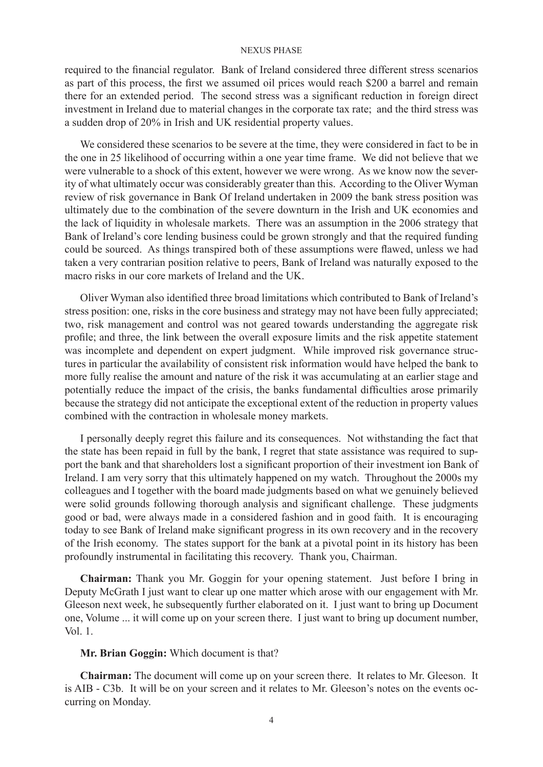required to the financial regulator. Bank of Ireland considered three different stress scenarios as part of this process, the first we assumed oil prices would reach \$200 a barrel and remain there for an extended period. The second stress was a significant reduction in foreign direct investment in Ireland due to material changes in the corporate tax rate; and the third stress was a sudden drop of 20% in Irish and UK residential property values.

We considered these scenarios to be severe at the time, they were considered in fact to be in the one in 25 likelihood of occurring within a one year time frame. We did not believe that we were vulnerable to a shock of this extent, however we were wrong. As we know now the severity of what ultimately occur was considerably greater than this. According to the Oliver Wyman review of risk governance in Bank Of Ireland undertaken in 2009 the bank stress position was ultimately due to the combination of the severe downturn in the Irish and UK economies and the lack of liquidity in wholesale markets. There was an assumption in the 2006 strategy that Bank of Ireland's core lending business could be grown strongly and that the required funding could be sourced. As things transpired both of these assumptions were flawed, unless we had taken a very contrarian position relative to peers, Bank of Ireland was naturally exposed to the macro risks in our core markets of Ireland and the UK.

Oliver Wyman also identified three broad limitations which contributed to Bank of Ireland's stress position: one, risks in the core business and strategy may not have been fully appreciated; two, risk management and control was not geared towards understanding the aggregate risk profile; and three, the link between the overall exposure limits and the risk appetite statement was incomplete and dependent on expert judgment. While improved risk governance structures in particular the availability of consistent risk information would have helped the bank to more fully realise the amount and nature of the risk it was accumulating at an earlier stage and potentially reduce the impact of the crisis, the banks fundamental difficulties arose primarily because the strategy did not anticipate the exceptional extent of the reduction in property values combined with the contraction in wholesale money markets.

I personally deeply regret this failure and its consequences. Not withstanding the fact that the state has been repaid in full by the bank, I regret that state assistance was required to support the bank and that shareholders lost a significant proportion of their investment ion Bank of Ireland. I am very sorry that this ultimately happened on my watch. Throughout the 2000s my colleagues and I together with the board made judgments based on what we genuinely believed were solid grounds following thorough analysis and significant challenge. These judgments good or bad, were always made in a considered fashion and in good faith. It is encouraging today to see Bank of Ireland make significant progress in its own recovery and in the recovery of the Irish economy. The states support for the bank at a pivotal point in its history has been profoundly instrumental in facilitating this recovery. Thank you, Chairman.

**Chairman:** Thank you Mr. Goggin for your opening statement. Just before I bring in Deputy McGrath I just want to clear up one matter which arose with our engagement with Mr. Gleeson next week, he subsequently further elaborated on it. I just want to bring up Document one, Volume ... it will come up on your screen there. I just want to bring up document number, Vol. 1.

## **Mr. Brian Goggin:** Which document is that?

**Chairman:** The document will come up on your screen there. It relates to Mr. Gleeson. It is AIB - C3b. It will be on your screen and it relates to Mr. Gleeson's notes on the events occurring on Monday.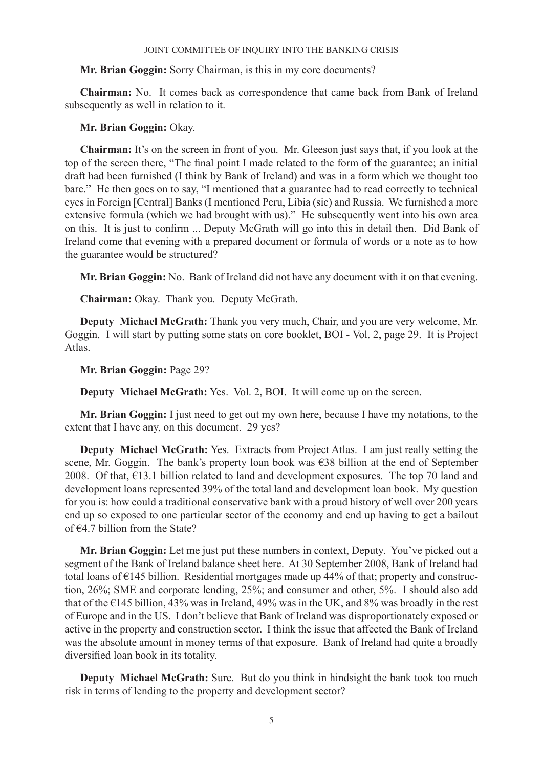## **Mr. Brian Goggin:** Sorry Chairman, is this in my core documents?

**Chairman:** No. It comes back as correspondence that came back from Bank of Ireland subsequently as well in relation to it.

## **Mr. Brian Goggin:** Okay.

**Chairman:** It's on the screen in front of you. Mr. Gleeson just says that, if you look at the top of the screen there, "The final point I made related to the form of the guarantee; an initial draft had been furnished (I think by Bank of Ireland) and was in a form which we thought too bare." He then goes on to say, "I mentioned that a guarantee had to read correctly to technical eyes in Foreign [Central] Banks (I mentioned Peru, Libia (sic) and Russia. We furnished a more extensive formula (which we had brought with us)." He subsequently went into his own area on this. It is just to confirm ... Deputy McGrath will go into this in detail then. Did Bank of Ireland come that evening with a prepared document or formula of words or a note as to how the guarantee would be structured?

**Mr. Brian Goggin:** No. Bank of Ireland did not have any document with it on that evening.

**Chairman:** Okay. Thank you. Deputy McGrath.

**Deputy Michael McGrath:** Thank you very much, Chair, and you are very welcome, Mr. Goggin. I will start by putting some stats on core booklet, BOI - Vol. 2, page 29. It is Project Atlas.

**Mr. Brian Goggin:** Page 29?

**Deputy Michael McGrath:** Yes. Vol. 2, BOI. It will come up on the screen.

**Mr. Brian Goggin:** I just need to get out my own here, because I have my notations, to the extent that I have any, on this document. 29 yes?

**Deputy Michael McGrath:** Yes. Extracts from Project Atlas. I am just really setting the scene, Mr. Goggin. The bank's property loan book was €38 billion at the end of September 2008. Of that,  $\epsilon$ 13.1 billion related to land and development exposures. The top 70 land and development loans represented 39% of the total land and development loan book. My question for you is: how could a traditional conservative bank with a proud history of well over 200 years end up so exposed to one particular sector of the economy and end up having to get a bailout of  $64.7$  billion from the State?

**Mr. Brian Goggin:** Let me just put these numbers in context, Deputy. You've picked out a segment of the Bank of Ireland balance sheet here. At 30 September 2008, Bank of Ireland had total loans of €145 billion. Residential mortgages made up 44% of that; property and construction, 26%; SME and corporate lending, 25%; and consumer and other, 5%. I should also add that of the  $\epsilon$ 145 billion, 43% was in Ireland, 49% was in the UK, and 8% was broadly in the rest of Europe and in the US. I don't believe that Bank of Ireland was disproportionately exposed or active in the property and construction sector. I think the issue that affected the Bank of Ireland was the absolute amount in money terms of that exposure. Bank of Ireland had quite a broadly diversified loan book in its totality.

**Deputy Michael McGrath:** Sure. But do you think in hindsight the bank took too much risk in terms of lending to the property and development sector?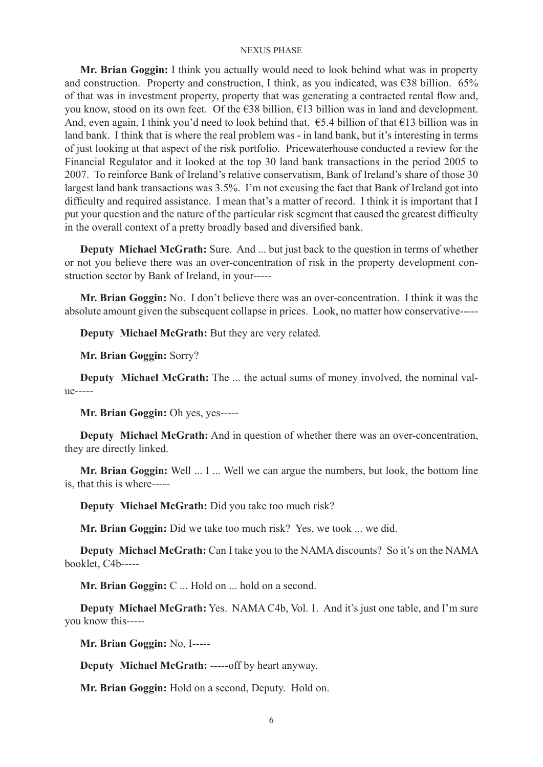**Mr. Brian Goggin:** I think you actually would need to look behind what was in property and construction. Property and construction, I think, as you indicated, was  $\epsilon$ 38 billion. 65% of that was in investment property, property that was generating a contracted rental flow and, you know, stood on its own feet. Of the €38 billion, €13 billion was in land and development. And, even again, I think you'd need to look behind that.  $\epsilon$ 5.4 billion of that  $\epsilon$ 13 billion was in land bank. I think that is where the real problem was - in land bank, but it's interesting in terms of just looking at that aspect of the risk portfolio. Pricewaterhouse conducted a review for the Financial Regulator and it looked at the top 30 land bank transactions in the period 2005 to 2007. To reinforce Bank of Ireland's relative conservatism, Bank of Ireland's share of those 30 largest land bank transactions was 3.5%. I'm not excusing the fact that Bank of Ireland got into difficulty and required assistance. I mean that's a matter of record. I think it is important that I put your question and the nature of the particular risk segment that caused the greatest difficulty in the overall context of a pretty broadly based and diversified bank.

**Deputy Michael McGrath:** Sure. And ... but just back to the question in terms of whether or not you believe there was an over-concentration of risk in the property development construction sector by Bank of Ireland, in your-----

**Mr. Brian Goggin:** No. I don't believe there was an over-concentration. I think it was the absolute amount given the subsequent collapse in prices. Look, no matter how conservative-----

**Deputy Michael McGrath:** But they are very related.

**Mr. Brian Goggin:** Sorry?

**Deputy Michael McGrath:** The ... the actual sums of money involved, the nominal value-----

**Mr. Brian Goggin:** Oh yes, yes-----

**Deputy Michael McGrath:** And in question of whether there was an over-concentration, they are directly linked.

**Mr. Brian Goggin:** Well ... I ... Well we can argue the numbers, but look, the bottom line is, that this is where-----

**Deputy Michael McGrath:** Did you take too much risk?

**Mr. Brian Goggin:** Did we take too much risk? Yes, we took ... we did.

**Deputy Michael McGrath:** Can I take you to the NAMA discounts? So it's on the NAMA booklet, C4b-----

**Mr. Brian Goggin:** C ... Hold on ... hold on a second.

**Deputy Michael McGrath:** Yes. NAMA C4b, Vol. 1. And it's just one table, and I'm sure you know this-----

**Mr. Brian Goggin:** No, I-----

**Deputy Michael McGrath:** -----off by heart anyway.

**Mr. Brian Goggin:** Hold on a second, Deputy. Hold on.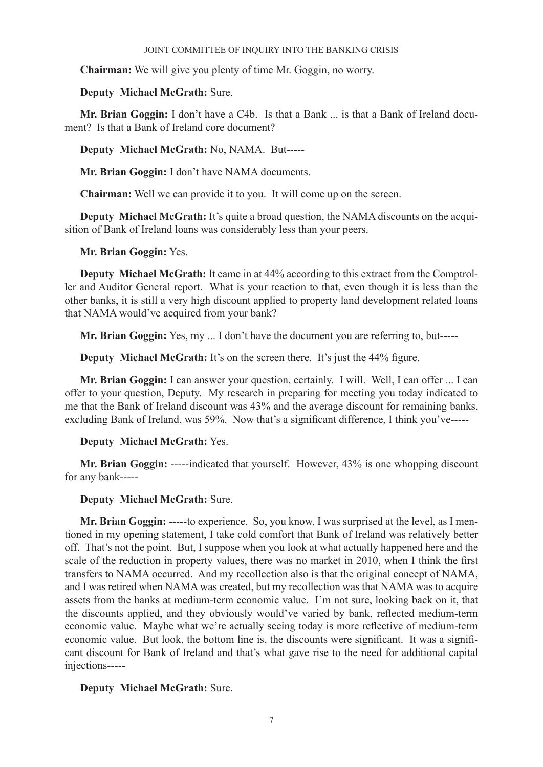**Chairman:** We will give you plenty of time Mr. Goggin, no worry.

## **Deputy Michael McGrath:** Sure.

**Mr. Brian Goggin:** I don't have a C4b. Is that a Bank ... is that a Bank of Ireland document? Is that a Bank of Ireland core document?

**Deputy Michael McGrath:** No, NAMA. But-----

**Mr. Brian Goggin:** I don't have NAMA documents.

**Chairman:** Well we can provide it to you. It will come up on the screen.

**Deputy Michael McGrath:** It's quite a broad question, the NAMA discounts on the acquisition of Bank of Ireland loans was considerably less than your peers.

**Mr. Brian Goggin:** Yes.

**Deputy Michael McGrath:** It came in at 44% according to this extract from the Comptroller and Auditor General report. What is your reaction to that, even though it is less than the other banks, it is still a very high discount applied to property land development related loans that NAMA would've acquired from your bank?

**Mr. Brian Goggin:** Yes, my ... I don't have the document you are referring to, but-----

**Deputy Michael McGrath:** It's on the screen there. It's just the 44% figure.

**Mr. Brian Goggin:** I can answer your question, certainly. I will. Well, I can offer ... I can offer to your question, Deputy. My research in preparing for meeting you today indicated to me that the Bank of Ireland discount was 43% and the average discount for remaining banks, excluding Bank of Ireland, was 59%. Now that's a significant difference, I think you've-----

## **Deputy Michael McGrath:** Yes.

**Mr. Brian Goggin:** -----indicated that yourself. However, 43% is one whopping discount for any bank-----

## **Deputy Michael McGrath:** Sure.

**Mr. Brian Goggin:** -----to experience. So, you know, I was surprised at the level, as I mentioned in my opening statement, I take cold comfort that Bank of Ireland was relatively better off. That's not the point. But, I suppose when you look at what actually happened here and the scale of the reduction in property values, there was no market in 2010, when I think the first transfers to NAMA occurred. And my recollection also is that the original concept of NAMA, and I was retired when NAMA was created, but my recollection was that NAMA was to acquire assets from the banks at medium-term economic value. I'm not sure, looking back on it, that the discounts applied, and they obviously would've varied by bank, reflected medium-term economic value. Maybe what we're actually seeing today is more reflective of medium-term economic value. But look, the bottom line is, the discounts were significant. It was a significant discount for Bank of Ireland and that's what gave rise to the need for additional capital injections-----

**Deputy Michael McGrath:** Sure.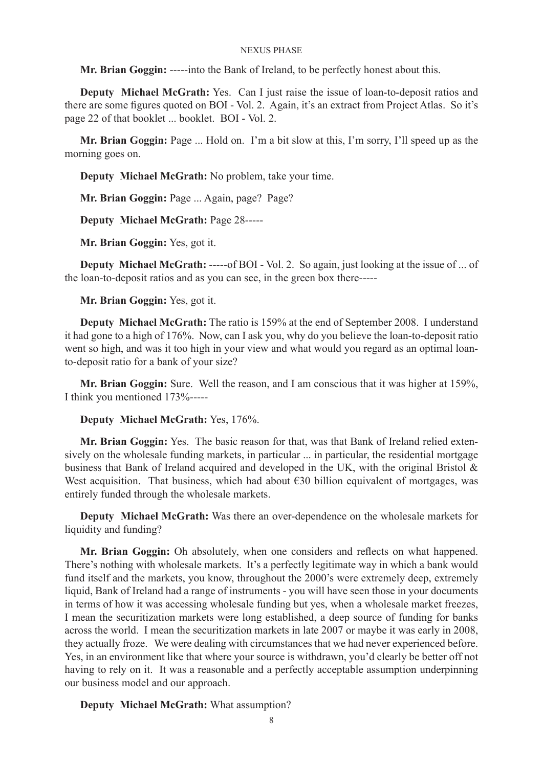**Mr. Brian Goggin:** -----into the Bank of Ireland, to be perfectly honest about this.

**Deputy Michael McGrath:** Yes. Can I just raise the issue of loan-to-deposit ratios and there are some figures quoted on BOI - Vol. 2. Again, it's an extract from Project Atlas. So it's page 22 of that booklet ... booklet. BOI - Vol. 2.

**Mr. Brian Goggin:** Page ... Hold on. I'm a bit slow at this, I'm sorry, I'll speed up as the morning goes on.

**Deputy Michael McGrath:** No problem, take your time.

**Mr. Brian Goggin:** Page ... Again, page? Page?

**Deputy Michael McGrath:** Page 28-----

**Mr. Brian Goggin:** Yes, got it.

**Deputy Michael McGrath:** -----of BOI - Vol. 2. So again, just looking at the issue of ... of the loan-to-deposit ratios and as you can see, in the green box there-----

**Mr. Brian Goggin:** Yes, got it.

**Deputy Michael McGrath:** The ratio is 159% at the end of September 2008. I understand it had gone to a high of 176%. Now, can I ask you, why do you believe the loan-to-deposit ratio went so high, and was it too high in your view and what would you regard as an optimal loanto-deposit ratio for a bank of your size?

**Mr. Brian Goggin:** Sure. Well the reason, and I am conscious that it was higher at 159%, I think you mentioned 173%-----

### **Deputy Michael McGrath:** Yes, 176%.

**Mr. Brian Goggin:** Yes. The basic reason for that, was that Bank of Ireland relied extensively on the wholesale funding markets, in particular ... in particular, the residential mortgage business that Bank of Ireland acquired and developed in the UK, with the original Bristol & West acquisition. That business, which had about €30 billion equivalent of mortgages, was entirely funded through the wholesale markets.

**Deputy Michael McGrath:** Was there an over-dependence on the wholesale markets for liquidity and funding?

**Mr. Brian Goggin:** Oh absolutely, when one considers and reflects on what happened. There's nothing with wholesale markets. It's a perfectly legitimate way in which a bank would fund itself and the markets, you know, throughout the 2000's were extremely deep, extremely liquid, Bank of Ireland had a range of instruments - you will have seen those in your documents in terms of how it was accessing wholesale funding but yes, when a wholesale market freezes, I mean the securitization markets were long established, a deep source of funding for banks across the world. I mean the securitization markets in late 2007 or maybe it was early in 2008, they actually froze. We were dealing with circumstances that we had never experienced before. Yes, in an environment like that where your source is withdrawn, you'd clearly be better off not having to rely on it. It was a reasonable and a perfectly acceptable assumption underpinning our business model and our approach.

**Deputy Michael McGrath:** What assumption?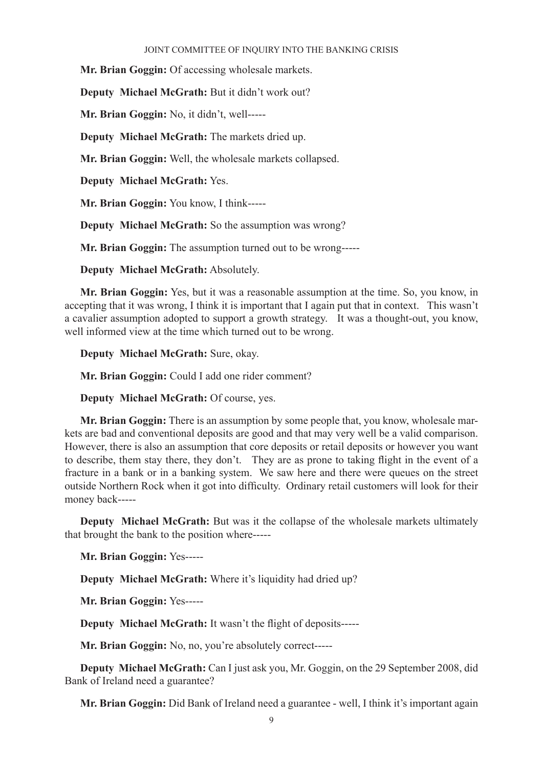**Mr. Brian Goggin:** Of accessing wholesale markets.

**Deputy Michael McGrath:** But it didn't work out?

**Mr. Brian Goggin:** No, it didn't, well-----

**Deputy Michael McGrath:** The markets dried up.

**Mr. Brian Goggin:** Well, the wholesale markets collapsed.

**Deputy Michael McGrath:** Yes.

**Mr. Brian Goggin:** You know, I think-----

**Deputy Michael McGrath:** So the assumption was wrong?

**Mr. Brian Goggin:** The assumption turned out to be wrong-----

**Deputy Michael McGrath:** Absolutely.

**Mr. Brian Goggin:** Yes, but it was a reasonable assumption at the time. So, you know, in accepting that it was wrong, I think it is important that I again put that in context. This wasn't a cavalier assumption adopted to support a growth strategy. It was a thought-out, you know, well informed view at the time which turned out to be wrong.

**Deputy Michael McGrath:** Sure, okay.

**Mr. Brian Goggin:** Could I add one rider comment?

**Deputy Michael McGrath:** Of course, yes.

**Mr. Brian Goggin:** There is an assumption by some people that, you know, wholesale markets are bad and conventional deposits are good and that may very well be a valid comparison. However, there is also an assumption that core deposits or retail deposits or however you want to describe, them stay there, they don't. They are as prone to taking flight in the event of a fracture in a bank or in a banking system. We saw here and there were queues on the street outside Northern Rock when it got into difficulty. Ordinary retail customers will look for their money back-----

**Deputy Michael McGrath:** But was it the collapse of the wholesale markets ultimately that brought the bank to the position where-----

**Mr. Brian Goggin:** Yes-----

**Deputy Michael McGrath:** Where it's liquidity had dried up?

**Mr. Brian Goggin:** Yes-----

**Deputy Michael McGrath:** It wasn't the flight of deposits-----

**Mr. Brian Goggin:** No, no, you're absolutely correct-----

**Deputy Michael McGrath:** Can I just ask you, Mr. Goggin, on the 29 September 2008, did Bank of Ireland need a guarantee?

**Mr. Brian Goggin:** Did Bank of Ireland need a guarantee - well, I think it's important again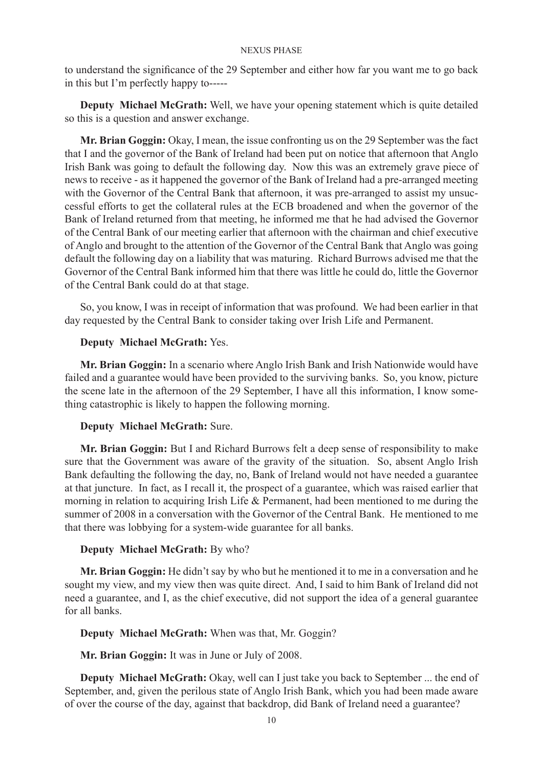to understand the significance of the 29 September and either how far you want me to go back in this but I'm perfectly happy to-----

**Deputy Michael McGrath:** Well, we have your opening statement which is quite detailed so this is a question and answer exchange.

**Mr. Brian Goggin:** Okay, I mean, the issue confronting us on the 29 September was the fact that I and the governor of the Bank of Ireland had been put on notice that afternoon that Anglo Irish Bank was going to default the following day. Now this was an extremely grave piece of news to receive - as it happened the governor of the Bank of Ireland had a pre-arranged meeting with the Governor of the Central Bank that afternoon, it was pre-arranged to assist my unsuccessful efforts to get the collateral rules at the ECB broadened and when the governor of the Bank of Ireland returned from that meeting, he informed me that he had advised the Governor of the Central Bank of our meeting earlier that afternoon with the chairman and chief executive of Anglo and brought to the attention of the Governor of the Central Bank that Anglo was going default the following day on a liability that was maturing. Richard Burrows advised me that the Governor of the Central Bank informed him that there was little he could do, little the Governor of the Central Bank could do at that stage.

So, you know, I was in receipt of information that was profound. We had been earlier in that day requested by the Central Bank to consider taking over Irish Life and Permanent.

### **Deputy Michael McGrath:** Yes.

**Mr. Brian Goggin:** In a scenario where Anglo Irish Bank and Irish Nationwide would have failed and a guarantee would have been provided to the surviving banks. So, you know, picture the scene late in the afternoon of the 29 September, I have all this information, I know something catastrophic is likely to happen the following morning.

## **Deputy Michael McGrath:** Sure.

**Mr. Brian Goggin:** But I and Richard Burrows felt a deep sense of responsibility to make sure that the Government was aware of the gravity of the situation. So, absent Anglo Irish Bank defaulting the following the day, no, Bank of Ireland would not have needed a guarantee at that juncture. In fact, as I recall it, the prospect of a guarantee, which was raised earlier that morning in relation to acquiring Irish Life & Permanent, had been mentioned to me during the summer of 2008 in a conversation with the Governor of the Central Bank. He mentioned to me that there was lobbying for a system-wide guarantee for all banks.

### **Deputy Michael McGrath:** By who?

**Mr. Brian Goggin:** He didn't say by who but he mentioned it to me in a conversation and he sought my view, and my view then was quite direct. And, I said to him Bank of Ireland did not need a guarantee, and I, as the chief executive, did not support the idea of a general guarantee for all banks.

**Deputy Michael McGrath:** When was that, Mr. Goggin?

**Mr. Brian Goggin:** It was in June or July of 2008.

**Deputy Michael McGrath:** Okay, well can I just take you back to September ... the end of September, and, given the perilous state of Anglo Irish Bank, which you had been made aware of over the course of the day, against that backdrop, did Bank of Ireland need a guarantee?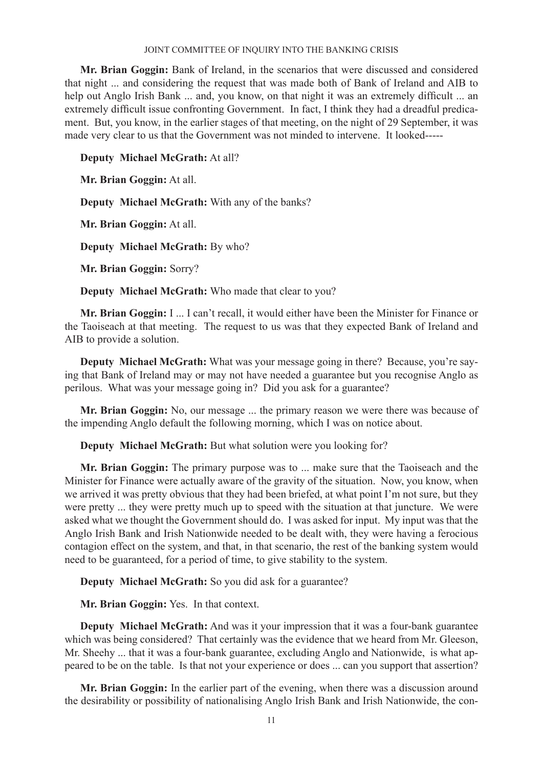**Mr. Brian Goggin:** Bank of Ireland, in the scenarios that were discussed and considered that night ... and considering the request that was made both of Bank of Ireland and AIB to help out Anglo Irish Bank ... and, you know, on that night it was an extremely difficult ... an extremely difficult issue confronting Government. In fact, I think they had a dreadful predicament. But, you know, in the earlier stages of that meeting, on the night of 29 September, it was made very clear to us that the Government was not minded to intervene. It looked-----

**Deputy Michael McGrath:** At all?

**Mr. Brian Goggin:** At all.

**Deputy Michael McGrath:** With any of the banks?

**Mr. Brian Goggin:** At all.

**Deputy Michael McGrath:** By who?

**Mr. Brian Goggin:** Sorry?

**Deputy Michael McGrath:** Who made that clear to you?

**Mr. Brian Goggin:** I ... I can't recall, it would either have been the Minister for Finance or the Taoiseach at that meeting. The request to us was that they expected Bank of Ireland and AIB to provide a solution.

**Deputy Michael McGrath:** What was your message going in there? Because, you're saying that Bank of Ireland may or may not have needed a guarantee but you recognise Anglo as perilous. What was your message going in? Did you ask for a guarantee?

**Mr. Brian Goggin:** No, our message ... the primary reason we were there was because of the impending Anglo default the following morning, which I was on notice about.

**Deputy Michael McGrath:** But what solution were you looking for?

**Mr. Brian Goggin:** The primary purpose was to ... make sure that the Taoiseach and the Minister for Finance were actually aware of the gravity of the situation. Now, you know, when we arrived it was pretty obvious that they had been briefed, at what point I'm not sure, but they were pretty ... they were pretty much up to speed with the situation at that juncture. We were asked what we thought the Government should do. I was asked for input. My input was that the Anglo Irish Bank and Irish Nationwide needed to be dealt with, they were having a ferocious contagion effect on the system, and that, in that scenario, the rest of the banking system would need to be guaranteed, for a period of time, to give stability to the system.

**Deputy Michael McGrath:** So you did ask for a guarantee?

**Mr. Brian Goggin:** Yes. In that context.

**Deputy Michael McGrath:** And was it your impression that it was a four-bank guarantee which was being considered? That certainly was the evidence that we heard from Mr. Gleeson, Mr. Sheehy ... that it was a four-bank guarantee, excluding Anglo and Nationwide, is what appeared to be on the table. Is that not your experience or does ... can you support that assertion?

**Mr. Brian Goggin:** In the earlier part of the evening, when there was a discussion around the desirability or possibility of nationalising Anglo Irish Bank and Irish Nationwide, the con-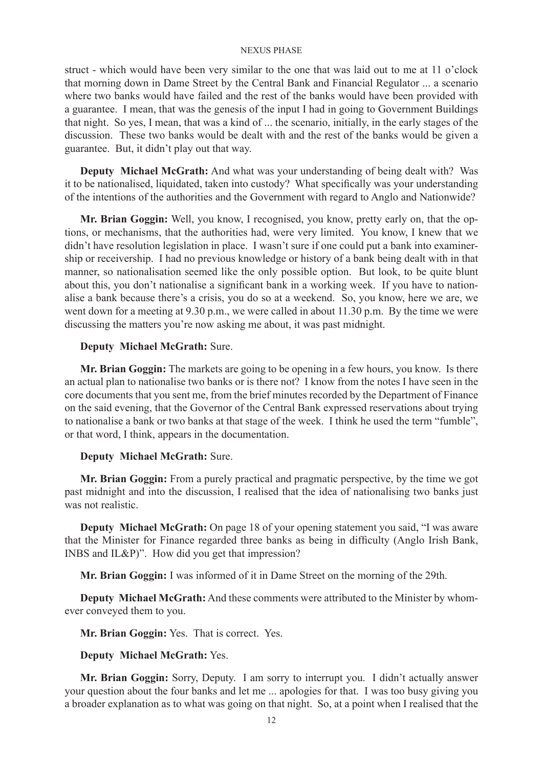struct - which would have been very similar to the one that was laid out to me at 11 o'clock that morning down in Dame Street by the Central Bank and Financial Regulator ... a scenario where two banks would have failed and the rest of the banks would have been provided with a guarantee. I mean, that was the genesis of the input I had in going to Government Buildings that night. So yes, I mean, that was a kind of ... the scenario, initially, in the early stages of the discussion. These two banks would be dealt with and the rest of the banks would be given a guarantee. But, it didn't play out that way.

**Deputy Michael McGrath:** And what was your understanding of being dealt with? Was it to be nationalised, liquidated, taken into custody? What specifically was your understanding of the intentions of the authorities and the Government with regard to Anglo and Nationwide?

**Mr. Brian Goggin:** Well, you know, I recognised, you know, pretty early on, that the options, or mechanisms, that the authorities had, were very limited. You know, I knew that we didn't have resolution legislation in place. I wasn't sure if one could put a bank into examinership or receivership. I had no previous knowledge or history of a bank being dealt with in that manner, so nationalisation seemed like the only possible option. But look, to be quite blunt about this, you don't nationalise a significant bank in a working week. If you have to nationalise a bank because there's a crisis, you do so at a weekend. So, you know, here we are, we went down for a meeting at 9.30 p.m., we were called in about 11.30 p.m. By the time we were discussing the matters you're now asking me about, it was past midnight.

## **Deputy Michael McGrath:** Sure.

**Mr. Brian Goggin:** The markets are going to be opening in a few hours, you know. Is there an actual plan to nationalise two banks or is there not? I know from the notes I have seen in the core documents that you sent me, from the brief minutes recorded by the Department of Finance on the said evening, that the Governor of the Central Bank expressed reservations about trying to nationalise a bank or two banks at that stage of the week. I think he used the term "fumble", or that word, I think, appears in the documentation.

### **Deputy Michael McGrath:** Sure.

**Mr. Brian Goggin:** From a purely practical and pragmatic perspective, by the time we got past midnight and into the discussion, I realised that the idea of nationalising two banks just was not realistic.

**Deputy Michael McGrath:** On page 18 of your opening statement you said, "I was aware that the Minister for Finance regarded three banks as being in difficulty (Anglo Irish Bank, INBS and IL&P)". How did you get that impression?

**Mr. Brian Goggin:** I was informed of it in Dame Street on the morning of the 29th.

**Deputy Michael McGrath:** And these comments were attributed to the Minister by whomever conveyed them to you.

**Mr. Brian Goggin:** Yes. That is correct. Yes.

**Deputy Michael McGrath:** Yes.

**Mr. Brian Goggin:** Sorry, Deputy. I am sorry to interrupt you. I didn't actually answer your question about the four banks and let me ... apologies for that. I was too busy giving you a broader explanation as to what was going on that night. So, at a point when I realised that the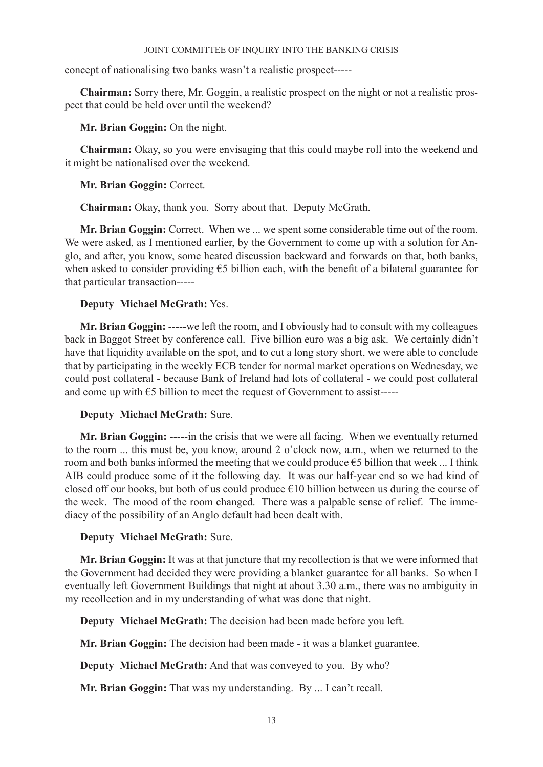concept of nationalising two banks wasn't a realistic prospect-----

**Chairman:** Sorry there, Mr. Goggin, a realistic prospect on the night or not a realistic prospect that could be held over until the weekend?

**Mr. Brian Goggin:** On the night.

**Chairman:** Okay, so you were envisaging that this could maybe roll into the weekend and it might be nationalised over the weekend.

**Mr. Brian Goggin:** Correct.

**Chairman:** Okay, thank you. Sorry about that. Deputy McGrath.

**Mr. Brian Goggin:** Correct. When we ... we spent some considerable time out of the room. We were asked, as I mentioned earlier, by the Government to come up with a solution for Anglo, and after, you know, some heated discussion backward and forwards on that, both banks, when asked to consider providing €5 billion each, with the benefit of a bilateral guarantee for that particular transaction-----

## **Deputy Michael McGrath:** Yes.

**Mr. Brian Goggin:** -----we left the room, and I obviously had to consult with my colleagues back in Baggot Street by conference call. Five billion euro was a big ask. We certainly didn't have that liquidity available on the spot, and to cut a long story short, we were able to conclude that by participating in the weekly ECB tender for normal market operations on Wednesday, we could post collateral - because Bank of Ireland had lots of collateral - we could post collateral and come up with €5 billion to meet the request of Government to assist-----

## **Deputy Michael McGrath:** Sure.

**Mr. Brian Goggin:** -----in the crisis that we were all facing. When we eventually returned to the room ... this must be, you know, around 2 o'clock now, a.m., when we returned to the room and both banks informed the meeting that we could produce  $\epsilon$ 5 billion that week ... I think AIB could produce some of it the following day. It was our half-year end so we had kind of closed off our books, but both of us could produce  $\epsilon$ 10 billion between us during the course of the week. The mood of the room changed. There was a palpable sense of relief. The immediacy of the possibility of an Anglo default had been dealt with.

## **Deputy Michael McGrath:** Sure.

**Mr. Brian Goggin:** It was at that juncture that my recollection is that we were informed that the Government had decided they were providing a blanket guarantee for all banks. So when I eventually left Government Buildings that night at about 3.30 a.m., there was no ambiguity in my recollection and in my understanding of what was done that night.

**Deputy Michael McGrath:** The decision had been made before you left.

**Mr. Brian Goggin:** The decision had been made - it was a blanket guarantee.

**Deputy Michael McGrath:** And that was conveyed to you. By who?

**Mr. Brian Goggin:** That was my understanding. By ... I can't recall.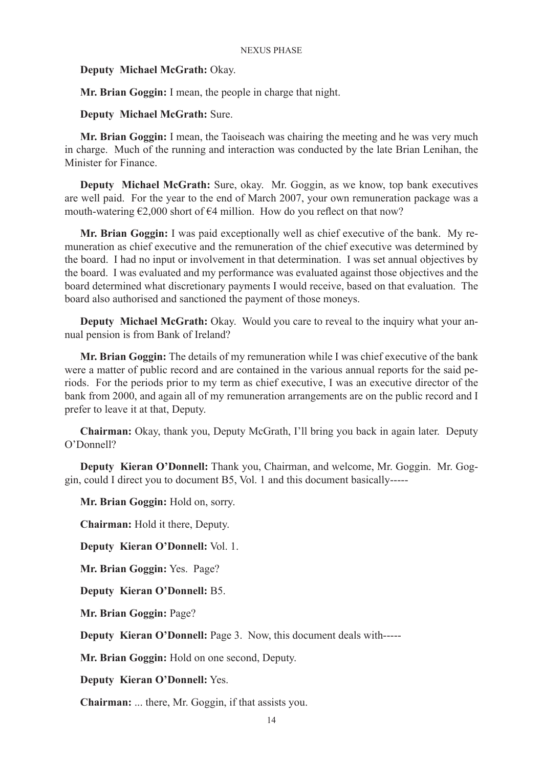### **Deputy Michael McGrath:** Okay.

**Mr. Brian Goggin:** I mean, the people in charge that night.

**Deputy Michael McGrath:** Sure.

**Mr. Brian Goggin:** I mean, the Taoiseach was chairing the meeting and he was very much in charge. Much of the running and interaction was conducted by the late Brian Lenihan, the Minister for Finance.

**Deputy Michael McGrath:** Sure, okay. Mr. Goggin, as we know, top bank executives are well paid. For the year to the end of March 2007, your own remuneration package was a mouth-watering  $\epsilon$ 2,000 short of  $\epsilon$ 4 million. How do you reflect on that now?

**Mr. Brian Goggin:** I was paid exceptionally well as chief executive of the bank. My remuneration as chief executive and the remuneration of the chief executive was determined by the board. I had no input or involvement in that determination. I was set annual objectives by the board. I was evaluated and my performance was evaluated against those objectives and the board determined what discretionary payments I would receive, based on that evaluation. The board also authorised and sanctioned the payment of those moneys.

**Deputy Michael McGrath:** Okay. Would you care to reveal to the inquiry what your annual pension is from Bank of Ireland?

**Mr. Brian Goggin:** The details of my remuneration while I was chief executive of the bank were a matter of public record and are contained in the various annual reports for the said periods. For the periods prior to my term as chief executive, I was an executive director of the bank from 2000, and again all of my remuneration arrangements are on the public record and I prefer to leave it at that, Deputy.

**Chairman:** Okay, thank you, Deputy McGrath, I'll bring you back in again later. Deputy O'Donnell?

**Deputy Kieran O'Donnell:** Thank you, Chairman, and welcome, Mr. Goggin. Mr. Goggin, could I direct you to document B5, Vol. 1 and this document basically-----

**Mr. Brian Goggin:** Hold on, sorry.

**Chairman:** Hold it there, Deputy.

**Deputy Kieran O'Donnell:** Vol. 1.

**Mr. Brian Goggin:** Yes. Page?

**Deputy Kieran O'Donnell:** B5.

**Mr. Brian Goggin:** Page?

**Deputy Kieran O'Donnell:** Page 3. Now, this document deals with-----

**Mr. Brian Goggin:** Hold on one second, Deputy.

**Deputy Kieran O'Donnell:** Yes.

**Chairman:** ... there, Mr. Goggin, if that assists you.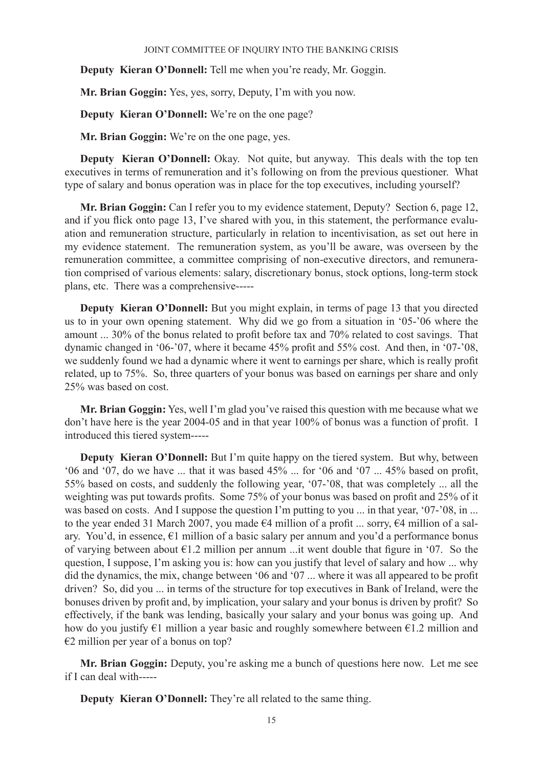**Deputy Kieran O'Donnell:** Tell me when you're ready, Mr. Goggin.

**Mr. Brian Goggin:** Yes, yes, sorry, Deputy, I'm with you now.

**Deputy Kieran O'Donnell:** We're on the one page?

**Mr. Brian Goggin:** We're on the one page, yes.

**Deputy Kieran O'Donnell:** Okay. Not quite, but anyway. This deals with the top ten executives in terms of remuneration and it's following on from the previous questioner. What type of salary and bonus operation was in place for the top executives, including yourself?

**Mr. Brian Goggin:** Can I refer you to my evidence statement, Deputy? Section 6, page 12, and if you flick onto page 13, I've shared with you, in this statement, the performance evaluation and remuneration structure, particularly in relation to incentivisation, as set out here in my evidence statement. The remuneration system, as you'll be aware, was overseen by the remuneration committee, a committee comprising of non-executive directors, and remuneration comprised of various elements: salary, discretionary bonus, stock options, long-term stock plans, etc. There was a comprehensive-----

**Deputy Kieran O'Donnell:** But you might explain, in terms of page 13 that you directed us to in your own opening statement. Why did we go from a situation in '05-'06 where the amount ... 30% of the bonus related to profit before tax and 70% related to cost savings. That dynamic changed in '06-'07, where it became 45% profit and 55% cost. And then, in '07-'08, we suddenly found we had a dynamic where it went to earnings per share, which is really profit related, up to 75%. So, three quarters of your bonus was based on earnings per share and only 25% was based on cost.

**Mr. Brian Goggin:** Yes, well I'm glad you've raised this question with me because what we don't have here is the year 2004-05 and in that year 100% of bonus was a function of profit. I introduced this tiered system-----

**Deputy Kieran O'Donnell:** But I'm quite happy on the tiered system. But why, between '06 and '07, do we have ... that it was based 45% ... for '06 and '07 ... 45% based on profit, 55% based on costs, and suddenly the following year, '07-'08, that was completely ... all the weighting was put towards profits. Some 75% of your bonus was based on profit and 25% of it was based on costs. And I suppose the question I'm putting to you ... in that year, '07-'08, in ... to the year ended 31 March 2007, you made €4 million of a profit ... sorry, €4 million of a salary. You'd, in essence,  $\epsilon_1$  million of a basic salary per annum and you'd a performance bonus of varying between about €1.2 million per annum ...it went double that figure in '07. So the question, I suppose, I'm asking you is: how can you justify that level of salary and how ... why did the dynamics, the mix, change between '06 and '07 ... where it was all appeared to be profit driven? So, did you ... in terms of the structure for top executives in Bank of Ireland, were the bonuses driven by profit and, by implication, your salary and your bonus is driven by profit? So effectively, if the bank was lending, basically your salary and your bonus was going up. And how do you justify  $\epsilon$ 1 million a year basic and roughly somewhere between  $\epsilon$ 1.2 million and  $€2$  million per year of a bonus on top?

**Mr. Brian Goggin:** Deputy, you're asking me a bunch of questions here now. Let me see if I can deal with-----

**Deputy Kieran O'Donnell:** They're all related to the same thing.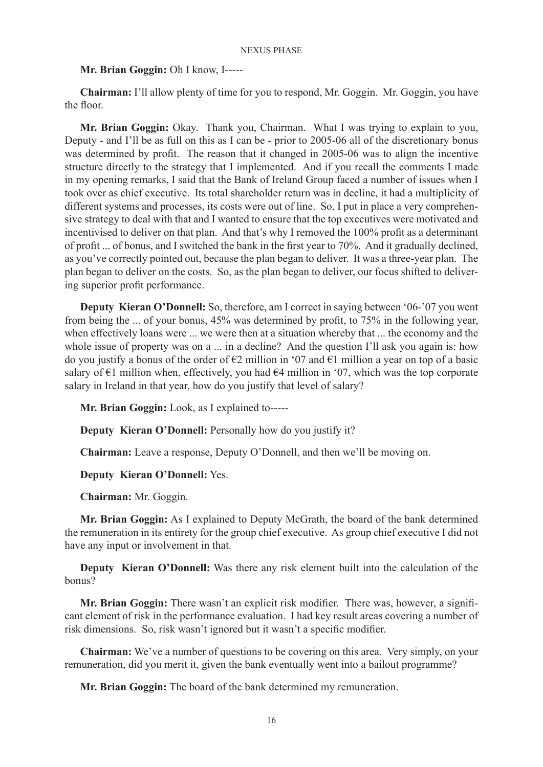## **Mr. Brian Goggin:** Oh I know, I-----

**Chairman:** I'll allow plenty of time for you to respond, Mr. Goggin. Mr. Goggin, you have the floor.

**Mr. Brian Goggin:** Okay. Thank you, Chairman. What I was trying to explain to you, Deputy - and I'll be as full on this as I can be - prior to 2005-06 all of the discretionary bonus was determined by profit. The reason that it changed in 2005-06 was to align the incentive structure directly to the strategy that I implemented. And if you recall the comments I made in my opening remarks, I said that the Bank of Ireland Group faced a number of issues when I took over as chief executive. Its total shareholder return was in decline, it had a multiplicity of different systems and processes, its costs were out of line. So, I put in place a very comprehensive strategy to deal with that and I wanted to ensure that the top executives were motivated and incentivised to deliver on that plan. And that's why I removed the 100% profit as a determinant of profit ... of bonus, and I switched the bank in the first year to 70%. And it gradually declined, as you've correctly pointed out, because the plan began to deliver. It was a three-year plan. The plan began to deliver on the costs. So, as the plan began to deliver, our focus shifted to delivering superior profit performance.

**Deputy Kieran O'Donnell:** So, therefore, am I correct in saying between '06-'07 you went from being the ... of your bonus, 45% was determined by profit, to 75% in the following year, when effectively loans were ... we were then at a situation whereby that ... the economy and the whole issue of property was on a ... in a decline? And the question I'll ask you again is: how do you justify a bonus of the order of  $\epsilon$ 2 million in '07 and  $\epsilon$ 1 million a year on top of a basic salary of  $\epsilon$ 1 million when, effectively, you had  $\epsilon$ 4 million in '07, which was the top corporate salary in Ireland in that year, how do you justify that level of salary?

**Mr. Brian Goggin:** Look, as I explained to-----

**Deputy Kieran O'Donnell:** Personally how do you justify it?

**Chairman:** Leave a response, Deputy O'Donnell, and then we'll be moving on.

## **Deputy Kieran O'Donnell:** Yes.

**Chairman:** Mr. Goggin.

**Mr. Brian Goggin:** As I explained to Deputy McGrath, the board of the bank determined the remuneration in its entirety for the group chief executive. As group chief executive I did not have any input or involvement in that.

**Deputy Kieran O'Donnell:** Was there any risk element built into the calculation of the bonus?

**Mr. Brian Goggin:** There wasn't an explicit risk modifier. There was, however, a significant element of risk in the performance evaluation. I had key result areas covering a number of risk dimensions. So, risk wasn't ignored but it wasn't a specific modifier.

**Chairman:** We've a number of questions to be covering on this area. Very simply, on your remuneration, did you merit it, given the bank eventually went into a bailout programme?

**Mr. Brian Goggin:** The board of the bank determined my remuneration.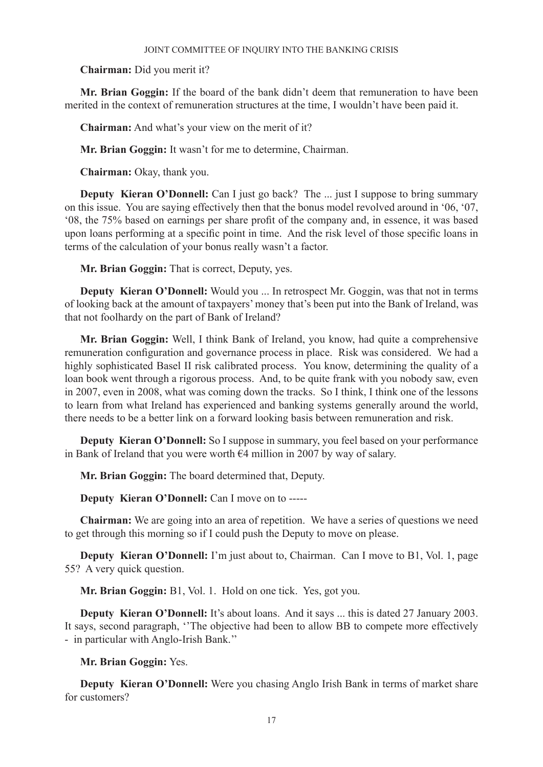### **Chairman:** Did you merit it?

**Mr. Brian Goggin:** If the board of the bank didn't deem that remuneration to have been merited in the context of remuneration structures at the time, I wouldn't have been paid it.

**Chairman:** And what's your view on the merit of it?

**Mr. Brian Goggin:** It wasn't for me to determine, Chairman.

**Chairman:** Okay, thank you.

**Deputy Kieran O'Donnell:** Can I just go back? The ... just I suppose to bring summary on this issue. You are saying effectively then that the bonus model revolved around in '06, '07, '08, the 75% based on earnings per share profit of the company and, in essence, it was based upon loans performing at a specific point in time. And the risk level of those specific loans in terms of the calculation of your bonus really wasn't a factor.

**Mr. Brian Goggin:** That is correct, Deputy, yes.

**Deputy Kieran O'Donnell:** Would you ... In retrospect Mr. Goggin, was that not in terms of looking back at the amount of taxpayers' money that's been put into the Bank of Ireland, was that not foolhardy on the part of Bank of Ireland?

**Mr. Brian Goggin:** Well, I think Bank of Ireland, you know, had quite a comprehensive remuneration configuration and governance process in place. Risk was considered. We had a highly sophisticated Basel II risk calibrated process. You know, determining the quality of a loan book went through a rigorous process. And, to be quite frank with you nobody saw, even in 2007, even in 2008, what was coming down the tracks. So I think, I think one of the lessons to learn from what Ireland has experienced and banking systems generally around the world, there needs to be a better link on a forward looking basis between remuneration and risk.

**Deputy Kieran O'Donnell:** So I suppose in summary, you feel based on your performance in Bank of Ireland that you were worth €4 million in 2007 by way of salary.

**Mr. Brian Goggin:** The board determined that, Deputy.

**Deputy Kieran O'Donnell:** Can I move on to -----

**Chairman:** We are going into an area of repetition. We have a series of questions we need to get through this morning so if I could push the Deputy to move on please.

**Deputy Kieran O'Donnell:** I'm just about to, Chairman. Can I move to B1, Vol. 1, page 55? A very quick question.

**Mr. Brian Goggin:** B1, Vol. 1. Hold on one tick. Yes, got you.

**Deputy Kieran O'Donnell:** It's about loans. And it says ... this is dated 27 January 2003. It says, second paragraph, ''The objective had been to allow BB to compete more effectively - in particular with Anglo-Irish Bank.''

**Mr. Brian Goggin:** Yes.

**Deputy Kieran O'Donnell:** Were you chasing Anglo Irish Bank in terms of market share for customers?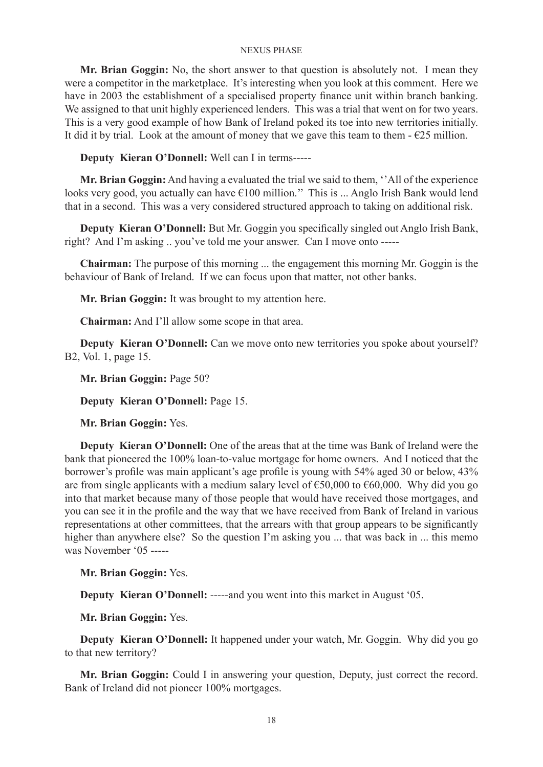**Mr. Brian Goggin:** No, the short answer to that question is absolutely not. I mean they were a competitor in the marketplace. It's interesting when you look at this comment. Here we have in 2003 the establishment of a specialised property finance unit within branch banking. We assigned to that unit highly experienced lenders. This was a trial that went on for two years. This is a very good example of how Bank of Ireland poked its toe into new territories initially. It did it by trial. Look at the amount of money that we gave this team to them  $-\epsilon 25$  million.

**Deputy Kieran O'Donnell:** Well can I in terms-----

**Mr. Brian Goggin:** And having a evaluated the trial we said to them, ''All of the experience looks very good, you actually can have €100 million.'' This is ... Anglo Irish Bank would lend that in a second. This was a very considered structured approach to taking on additional risk.

**Deputy Kieran O'Donnell:** But Mr. Goggin you specifically singled out Anglo Irish Bank, right? And I'm asking .. you've told me your answer. Can I move onto -----

**Chairman:** The purpose of this morning ... the engagement this morning Mr. Goggin is the behaviour of Bank of Ireland. If we can focus upon that matter, not other banks.

**Mr. Brian Goggin:** It was brought to my attention here.

**Chairman:** And I'll allow some scope in that area.

**Deputy Kieran O'Donnell:** Can we move onto new territories you spoke about yourself? B2, Vol. 1, page 15.

**Mr. Brian Goggin:** Page 50?

**Deputy Kieran O'Donnell:** Page 15.

**Mr. Brian Goggin:** Yes.

**Deputy Kieran O'Donnell:** One of the areas that at the time was Bank of Ireland were the bank that pioneered the 100% loan-to-value mortgage for home owners. And I noticed that the borrower's profile was main applicant's age profile is young with 54% aged 30 or below, 43% are from single applicants with a medium salary level of  $\epsilon$ 50,000 to  $\epsilon$ 60,000. Why did you go into that market because many of those people that would have received those mortgages, and you can see it in the profile and the way that we have received from Bank of Ireland in various representations at other committees, that the arrears with that group appears to be significantly higher than anywhere else? So the question I'm asking you ... that was back in ... this memo was November '05 -----

**Mr. Brian Goggin:** Yes.

**Deputy Kieran O'Donnell:** -----and you went into this market in August '05.

**Mr. Brian Goggin:** Yes.

**Deputy Kieran O'Donnell:** It happened under your watch, Mr. Goggin. Why did you go to that new territory?

**Mr. Brian Goggin:** Could I in answering your question, Deputy, just correct the record. Bank of Ireland did not pioneer 100% mortgages.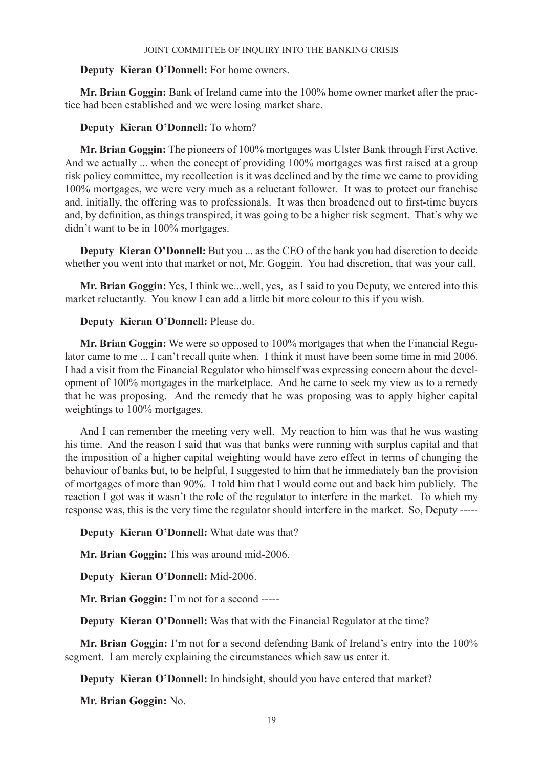### **Deputy Kieran O'Donnell:** For home owners.

**Mr. Brian Goggin:** Bank of Ireland came into the 100% home owner market after the practice had been established and we were losing market share.

### **Deputy Kieran O'Donnell:** To whom?

**Mr. Brian Goggin:** The pioneers of 100% mortgages was Ulster Bank through First Active. And we actually ... when the concept of providing 100% mortgages was first raised at a group risk policy committee, my recollection is it was declined and by the time we came to providing 100% mortgages, we were very much as a reluctant follower. It was to protect our franchise and, initially, the offering was to professionals. It was then broadened out to first-time buyers and, by definition, as things transpired, it was going to be a higher risk segment. That's why we didn't want to be in 100% mortgages.

**Deputy Kieran O'Donnell:** But you ... as the CEO of the bank you had discretion to decide whether you went into that market or not, Mr. Goggin. You had discretion, that was your call.

**Mr. Brian Goggin:** Yes, I think we...well, yes, as I said to you Deputy, we entered into this market reluctantly. You know I can add a little bit more colour to this if you wish.

### **Deputy Kieran O'Donnell:** Please do.

**Mr. Brian Goggin:** We were so opposed to 100% mortgages that when the Financial Regulator came to me ... I can't recall quite when. I think it must have been some time in mid 2006. I had a visit from the Financial Regulator who himself was expressing concern about the development of 100% mortgages in the marketplace. And he came to seek my view as to a remedy that he was proposing. And the remedy that he was proposing was to apply higher capital weightings to 100% mortgages.

And I can remember the meeting very well. My reaction to him was that he was wasting his time. And the reason I said that was that banks were running with surplus capital and that the imposition of a higher capital weighting would have zero effect in terms of changing the behaviour of banks but, to be helpful, I suggested to him that he immediately ban the provision of mortgages of more than 90%. I told him that I would come out and back him publicly. The reaction I got was it wasn't the role of the regulator to interfere in the market. To which my response was, this is the very time the regulator should interfere in the market. So, Deputy -----

## **Deputy Kieran O'Donnell:** What date was that?

**Mr. Brian Goggin:** This was around mid-2006.

**Deputy Kieran O'Donnell:** Mid-2006.

**Mr. Brian Goggin:** I'm not for a second -----

**Deputy Kieran O'Donnell:** Was that with the Financial Regulator at the time?

**Mr. Brian Goggin:** I'm not for a second defending Bank of Ireland's entry into the 100% segment. I am merely explaining the circumstances which saw us enter it.

**Deputy Kieran O'Donnell:** In hindsight, should you have entered that market?

**Mr. Brian Goggin:** No.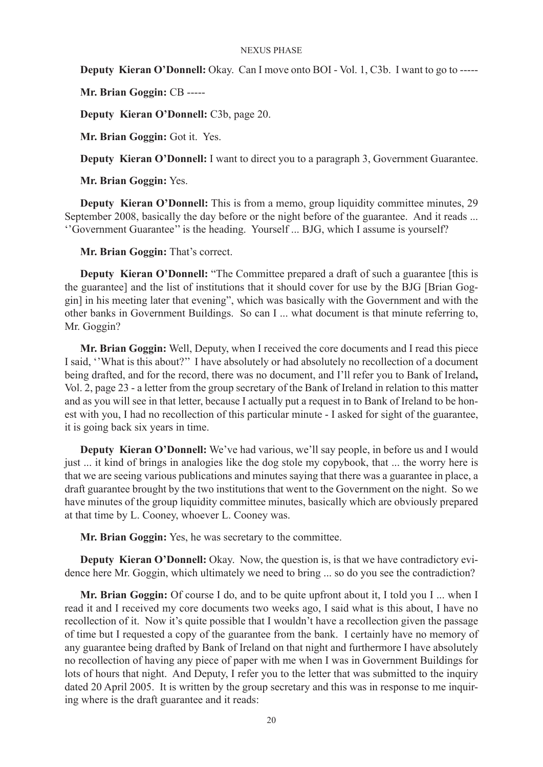**Deputy Kieran O'Donnell:** Okay. Can I move onto BOI - Vol. 1, C3b. I want to go to -----

**Mr. Brian Goggin:** CB -----

**Deputy Kieran O'Donnell:** C3b, page 20.

**Mr. Brian Goggin:** Got it. Yes.

**Deputy Kieran O'Donnell:** I want to direct you to a paragraph 3, Government Guarantee.

**Mr. Brian Goggin:** Yes.

**Deputy Kieran O'Donnell:** This is from a memo, group liquidity committee minutes, 29 September 2008, basically the day before or the night before of the guarantee. And it reads ... ''Government Guarantee'' is the heading. Yourself ... BJG, which I assume is yourself?

**Mr. Brian Goggin:** That's correct.

**Deputy Kieran O'Donnell:** "The Committee prepared a draft of such a guarantee [this is the guarantee] and the list of institutions that it should cover for use by the BJG [Brian Goggin] in his meeting later that evening", which was basically with the Government and with the other banks in Government Buildings. So can I ... what document is that minute referring to, Mr. Goggin?

**Mr. Brian Goggin:** Well, Deputy, when I received the core documents and I read this piece I said, ''What is this about?'' I have absolutely or had absolutely no recollection of a document being drafted, and for the record, there was no document, and I'll refer you to Bank of Ireland**,**  Vol. 2, page 23 - a letter from the group secretary of the Bank of Ireland in relation to this matter and as you will see in that letter, because I actually put a request in to Bank of Ireland to be honest with you, I had no recollection of this particular minute - I asked for sight of the guarantee, it is going back six years in time.

**Deputy Kieran O'Donnell:** We've had various, we'll say people, in before us and I would just ... it kind of brings in analogies like the dog stole my copybook, that ... the worry here is that we are seeing various publications and minutes saying that there was a guarantee in place, a draft guarantee brought by the two institutions that went to the Government on the night. So we have minutes of the group liquidity committee minutes, basically which are obviously prepared at that time by L. Cooney, whoever L. Cooney was.

**Mr. Brian Goggin:** Yes, he was secretary to the committee.

**Deputy Kieran O'Donnell:** Okay. Now, the question is, is that we have contradictory evidence here Mr. Goggin, which ultimately we need to bring ... so do you see the contradiction?

**Mr. Brian Goggin:** Of course I do, and to be quite upfront about it, I told you I ... when I read it and I received my core documents two weeks ago, I said what is this about, I have no recollection of it. Now it's quite possible that I wouldn't have a recollection given the passage of time but I requested a copy of the guarantee from the bank. I certainly have no memory of any guarantee being drafted by Bank of Ireland on that night and furthermore I have absolutely no recollection of having any piece of paper with me when I was in Government Buildings for lots of hours that night. And Deputy, I refer you to the letter that was submitted to the inquiry dated 20 April 2005. It is written by the group secretary and this was in response to me inquiring where is the draft guarantee and it reads: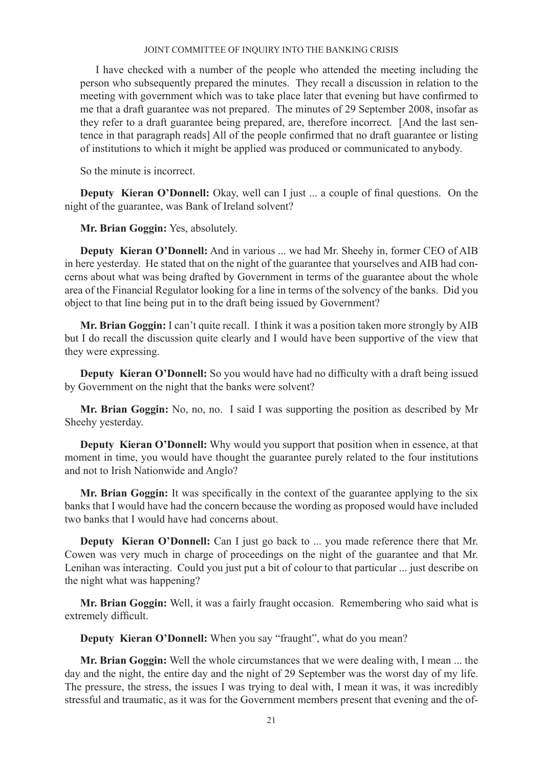I have checked with a number of the people who attended the meeting including the person who subsequently prepared the minutes. They recall a discussion in relation to the meeting with government which was to take place later that evening but have confirmed to me that a draft guarantee was not prepared. The minutes of 29 September 2008, insofar as they refer to a draft guarantee being prepared, are, therefore incorrect. [And the last sentence in that paragraph reads] All of the people confirmed that no draft guarantee or listing of institutions to which it might be applied was produced or communicated to anybody.

So the minute is incorrect.

**Deputy Kieran O'Donnell:** Okay, well can I just ... a couple of final questions. On the night of the guarantee, was Bank of Ireland solvent?

**Mr. Brian Goggin:** Yes, absolutely.

**Deputy Kieran O'Donnell:** And in various ... we had Mr. Sheehy in, former CEO of AIB in here yesterday. He stated that on the night of the guarantee that yourselves and AIB had concerns about what was being drafted by Government in terms of the guarantee about the whole area of the Financial Regulator looking for a line in terms of the solvency of the banks. Did you object to that line being put in to the draft being issued by Government?

**Mr. Brian Goggin:** I can't quite recall. I think it was a position taken more strongly by AIB but I do recall the discussion quite clearly and I would have been supportive of the view that they were expressing.

**Deputy Kieran O'Donnell:** So you would have had no difficulty with a draft being issued by Government on the night that the banks were solvent?

**Mr. Brian Goggin:** No, no, no. I said I was supporting the position as described by Mr Sheehy yesterday.

**Deputy Kieran O'Donnell:** Why would you support that position when in essence, at that moment in time, you would have thought the guarantee purely related to the four institutions and not to Irish Nationwide and Anglo?

**Mr. Brian Goggin:** It was specifically in the context of the guarantee applying to the six banks that I would have had the concern because the wording as proposed would have included two banks that I would have had concerns about.

**Deputy Kieran O'Donnell:** Can I just go back to ... you made reference there that Mr. Cowen was very much in charge of proceedings on the night of the guarantee and that Mr. Lenihan was interacting. Could you just put a bit of colour to that particular ... just describe on the night what was happening?

**Mr. Brian Goggin:** Well, it was a fairly fraught occasion. Remembering who said what is extremely difficult.

**Deputy Kieran O'Donnell:** When you say "fraught", what do you mean?

**Mr. Brian Goggin:** Well the whole circumstances that we were dealing with, I mean ... the day and the night, the entire day and the night of 29 September was the worst day of my life. The pressure, the stress, the issues I was trying to deal with, I mean it was, it was incredibly stressful and traumatic, as it was for the Government members present that evening and the of-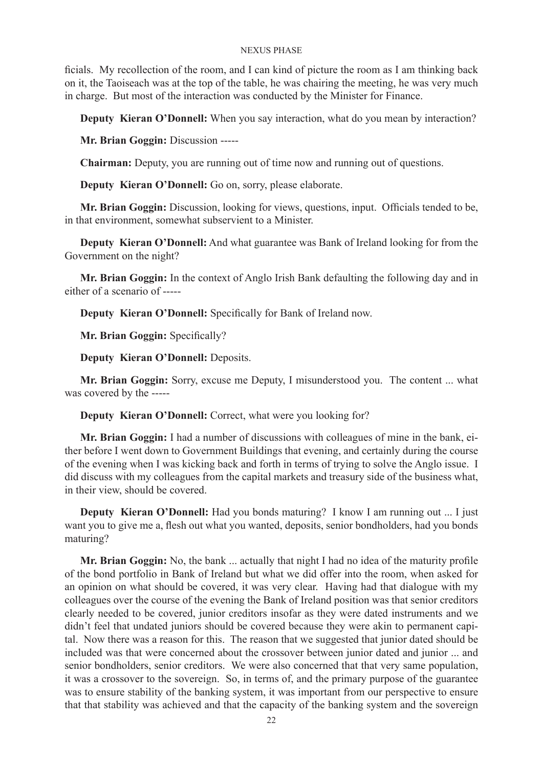ficials. My recollection of the room, and I can kind of picture the room as I am thinking back on it, the Taoiseach was at the top of the table, he was chairing the meeting, he was very much in charge. But most of the interaction was conducted by the Minister for Finance.

**Deputy Kieran O'Donnell:** When you say interaction, what do you mean by interaction?

**Mr. Brian Goggin:** Discussion -----

**Chairman:** Deputy, you are running out of time now and running out of questions.

**Deputy Kieran O'Donnell:** Go on, sorry, please elaborate.

**Mr. Brian Goggin:** Discussion, looking for views, questions, input. Officials tended to be, in that environment, somewhat subservient to a Minister.

**Deputy Kieran O'Donnell:** And what guarantee was Bank of Ireland looking for from the Government on the night?

**Mr. Brian Goggin:** In the context of Anglo Irish Bank defaulting the following day and in either of a scenario of -----

**Deputy Kieran O'Donnell:** Specifically for Bank of Ireland now.

**Mr. Brian Goggin:** Specifically?

**Deputy Kieran O'Donnell:** Deposits.

**Mr. Brian Goggin:** Sorry, excuse me Deputy, I misunderstood you. The content ... what was covered by the -----

**Deputy Kieran O'Donnell:** Correct, what were you looking for?

**Mr. Brian Goggin:** I had a number of discussions with colleagues of mine in the bank, either before I went down to Government Buildings that evening, and certainly during the course of the evening when I was kicking back and forth in terms of trying to solve the Anglo issue. I did discuss with my colleagues from the capital markets and treasury side of the business what, in their view, should be covered.

**Deputy Kieran O'Donnell:** Had you bonds maturing? I know I am running out ... I just want you to give me a, flesh out what you wanted, deposits, senior bondholders, had you bonds maturing?

**Mr. Brian Goggin:** No, the bank ... actually that night I had no idea of the maturity profile of the bond portfolio in Bank of Ireland but what we did offer into the room, when asked for an opinion on what should be covered, it was very clear. Having had that dialogue with my colleagues over the course of the evening the Bank of Ireland position was that senior creditors clearly needed to be covered, junior creditors insofar as they were dated instruments and we didn't feel that undated juniors should be covered because they were akin to permanent capital. Now there was a reason for this. The reason that we suggested that junior dated should be included was that were concerned about the crossover between junior dated and junior ... and senior bondholders, senior creditors. We were also concerned that that very same population, it was a crossover to the sovereign. So, in terms of, and the primary purpose of the guarantee was to ensure stability of the banking system, it was important from our perspective to ensure that that stability was achieved and that the capacity of the banking system and the sovereign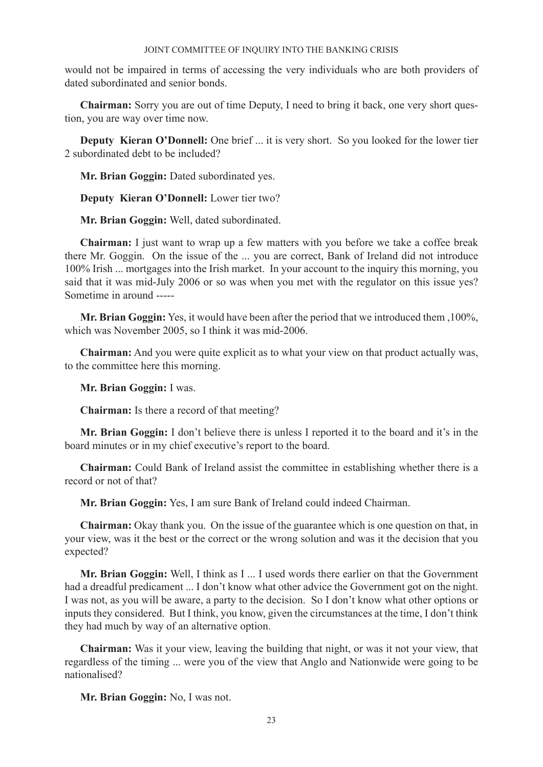would not be impaired in terms of accessing the very individuals who are both providers of dated subordinated and senior bonds.

**Chairman:** Sorry you are out of time Deputy, I need to bring it back, one very short question, you are way over time now.

**Deputy Kieran O'Donnell:** One brief ... it is very short. So you looked for the lower tier 2 subordinated debt to be included?

**Mr. Brian Goggin:** Dated subordinated yes.

**Deputy Kieran O'Donnell:** Lower tier two?

**Mr. Brian Goggin:** Well, dated subordinated.

**Chairman:** I just want to wrap up a few matters with you before we take a coffee break there Mr. Goggin. On the issue of the ... you are correct, Bank of Ireland did not introduce 100% Irish ... mortgages into the Irish market. In your account to the inquiry this morning, you said that it was mid-July 2006 or so was when you met with the regulator on this issue yes? Sometime in around -----

**Mr. Brian Goggin:** Yes, it would have been after the period that we introduced them ,100%, which was November 2005, so I think it was mid-2006.

**Chairman:** And you were quite explicit as to what your view on that product actually was, to the committee here this morning.

**Mr. Brian Goggin:** I was.

**Chairman:** Is there a record of that meeting?

**Mr. Brian Goggin:** I don't believe there is unless I reported it to the board and it's in the board minutes or in my chief executive's report to the board.

**Chairman:** Could Bank of Ireland assist the committee in establishing whether there is a record or not of that?

**Mr. Brian Goggin:** Yes, I am sure Bank of Ireland could indeed Chairman.

**Chairman:** Okay thank you. On the issue of the guarantee which is one question on that, in your view, was it the best or the correct or the wrong solution and was it the decision that you expected?

**Mr. Brian Goggin:** Well, I think as I ... I used words there earlier on that the Government had a dreadful predicament ... I don't know what other advice the Government got on the night. I was not, as you will be aware, a party to the decision. So I don't know what other options or inputs they considered. But I think, you know, given the circumstances at the time, I don't think they had much by way of an alternative option.

**Chairman:** Was it your view, leaving the building that night, or was it not your view, that regardless of the timing ... were you of the view that Anglo and Nationwide were going to be nationalised?

**Mr. Brian Goggin:** No, I was not.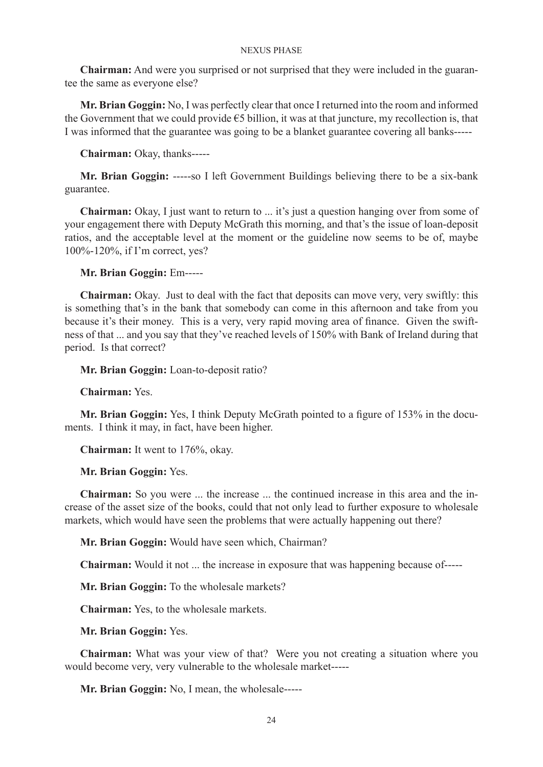**Chairman:** And were you surprised or not surprised that they were included in the guarantee the same as everyone else?

**Mr. Brian Goggin:** No, I was perfectly clear that once I returned into the room and informed the Government that we could provide  $\epsilon$ 5 billion, it was at that juncture, my recollection is, that I was informed that the guarantee was going to be a blanket guarantee covering all banks-----

**Chairman:** Okay, thanks-----

**Mr. Brian Goggin:** -----so I left Government Buildings believing there to be a six-bank guarantee.

**Chairman:** Okay, I just want to return to ... it's just a question hanging over from some of your engagement there with Deputy McGrath this morning, and that's the issue of loan-deposit ratios, and the acceptable level at the moment or the guideline now seems to be of, maybe 100%-120%, if I'm correct, yes?

### **Mr. Brian Goggin:** Em-----

**Chairman:** Okay. Just to deal with the fact that deposits can move very, very swiftly: this is something that's in the bank that somebody can come in this afternoon and take from you because it's their money. This is a very, very rapid moving area of finance. Given the swiftness of that ... and you say that they've reached levels of 150% with Bank of Ireland during that period. Is that correct?

**Mr. Brian Goggin:** Loan-to-deposit ratio?

**Chairman:** Yes.

**Mr. Brian Goggin:** Yes, I think Deputy McGrath pointed to a figure of 153% in the documents. I think it may, in fact, have been higher.

**Chairman:** It went to 176%, okay.

## **Mr. Brian Goggin:** Yes.

**Chairman:** So you were ... the increase ... the continued increase in this area and the increase of the asset size of the books, could that not only lead to further exposure to wholesale markets, which would have seen the problems that were actually happening out there?

**Mr. Brian Goggin:** Would have seen which, Chairman?

**Chairman:** Would it not ... the increase in exposure that was happening because of-----

**Mr. Brian Goggin:** To the wholesale markets?

**Chairman:** Yes, to the wholesale markets.

**Mr. Brian Goggin:** Yes.

**Chairman:** What was your view of that? Were you not creating a situation where you would become very, very vulnerable to the wholesale market-----

**Mr. Brian Goggin:** No, I mean, the wholesale-----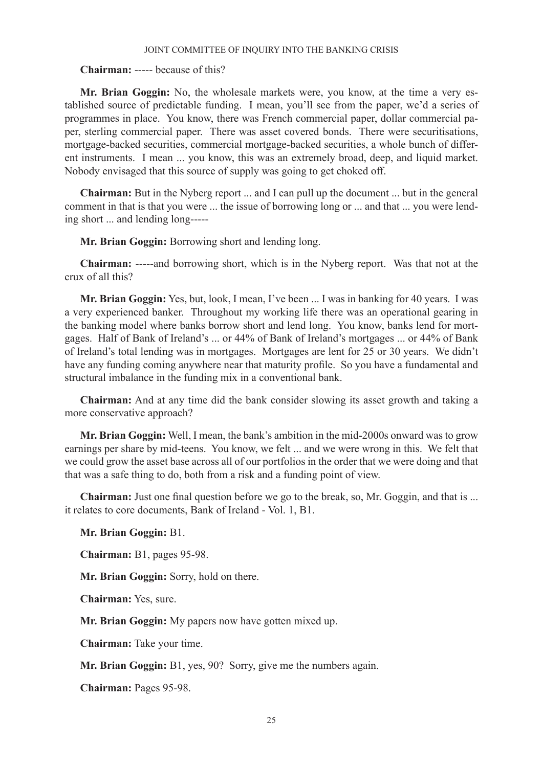### **Chairman:** ----- because of this?

**Mr. Brian Goggin:** No, the wholesale markets were, you know, at the time a very established source of predictable funding. I mean, you'll see from the paper, we'd a series of programmes in place. You know, there was French commercial paper, dollar commercial paper, sterling commercial paper. There was asset covered bonds. There were securitisations, mortgage-backed securities, commercial mortgage-backed securities, a whole bunch of different instruments. I mean ... you know, this was an extremely broad, deep, and liquid market. Nobody envisaged that this source of supply was going to get choked off.

**Chairman:** But in the Nyberg report ... and I can pull up the document ... but in the general comment in that is that you were ... the issue of borrowing long or ... and that ... you were lending short ... and lending long-----

**Mr. Brian Goggin:** Borrowing short and lending long.

**Chairman:** -----and borrowing short, which is in the Nyberg report. Was that not at the crux of all this?

**Mr. Brian Goggin:** Yes, but, look, I mean, I've been ... I was in banking for 40 years. I was a very experienced banker. Throughout my working life there was an operational gearing in the banking model where banks borrow short and lend long. You know, banks lend for mortgages. Half of Bank of Ireland's ... or 44% of Bank of Ireland's mortgages ... or 44% of Bank of Ireland's total lending was in mortgages. Mortgages are lent for 25 or 30 years. We didn't have any funding coming anywhere near that maturity profile. So you have a fundamental and structural imbalance in the funding mix in a conventional bank.

**Chairman:** And at any time did the bank consider slowing its asset growth and taking a more conservative approach?

**Mr. Brian Goggin:** Well, I mean, the bank's ambition in the mid-2000s onward was to grow earnings per share by mid-teens. You know, we felt ... and we were wrong in this. We felt that we could grow the asset base across all of our portfolios in the order that we were doing and that that was a safe thing to do, both from a risk and a funding point of view.

**Chairman:** Just one final question before we go to the break, so, Mr. Goggin, and that is ... it relates to core documents, Bank of Ireland - Vol. 1, B1.

**Mr. Brian Goggin:** B1.

**Chairman:** B1, pages 95-98.

**Mr. Brian Goggin:** Sorry, hold on there.

**Chairman:** Yes, sure.

**Mr. Brian Goggin:** My papers now have gotten mixed up.

**Chairman:** Take your time.

**Mr. Brian Goggin:** B1, yes, 90? Sorry, give me the numbers again.

**Chairman:** Pages 95-98.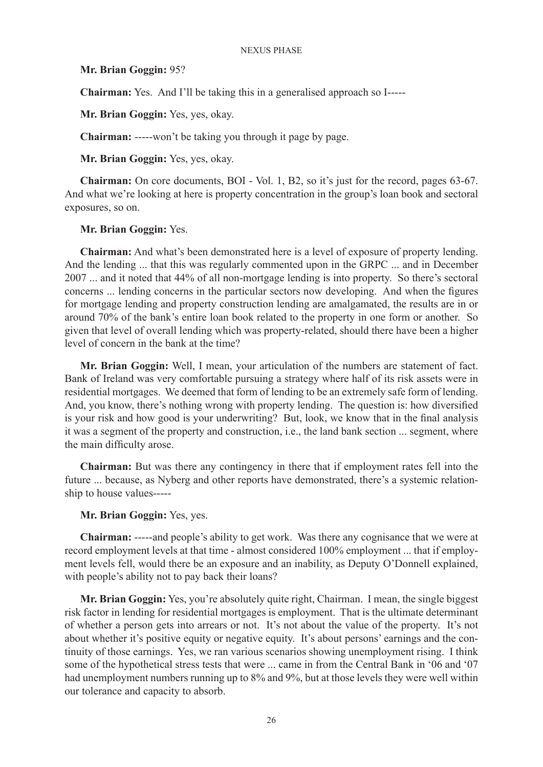## **Mr. Brian Goggin:** 95?

**Chairman:** Yes. And I'll be taking this in a generalised approach so I-----

**Mr. Brian Goggin:** Yes, yes, okay.

**Chairman:** -----won't be taking you through it page by page.

**Mr. Brian Goggin:** Yes, yes, okay.

**Chairman:** On core documents, BOI - Vol. 1, B2, so it's just for the record, pages 63-67. And what we're looking at here is property concentration in the group's loan book and sectoral exposures, so on.

## **Mr. Brian Goggin:** Yes.

**Chairman:** And what's been demonstrated here is a level of exposure of property lending. And the lending ... that this was regularly commented upon in the GRPC ... and in December 2007 ... and it noted that 44% of all non-mortgage lending is into property. So there's sectoral concerns ... lending concerns in the particular sectors now developing. And when the figures for mortgage lending and property construction lending are amalgamated, the results are in or around 70% of the bank's entire loan book related to the property in one form or another. So given that level of overall lending which was property-related, should there have been a higher level of concern in the bank at the time?

**Mr. Brian Goggin:** Well, I mean, your articulation of the numbers are statement of fact. Bank of Ireland was very comfortable pursuing a strategy where half of its risk assets were in residential mortgages. We deemed that form of lending to be an extremely safe form of lending. And, you know, there's nothing wrong with property lending. The question is: how diversified is your risk and how good is your underwriting? But, look, we know that in the final analysis it was a segment of the property and construction, i.e., the land bank section ... segment, where the main difficulty arose.

**Chairman:** But was there any contingency in there that if employment rates fell into the future ... because, as Nyberg and other reports have demonstrated, there's a systemic relationship to house values-----

## **Mr. Brian Goggin:** Yes, yes.

**Chairman:** -----and people's ability to get work. Was there any cognisance that we were at record employment levels at that time - almost considered 100% employment ... that if employment levels fell, would there be an exposure and an inability, as Deputy O'Donnell explained, with people's ability not to pay back their loans?

**Mr. Brian Goggin:** Yes, you're absolutely quite right, Chairman. I mean, the single biggest risk factor in lending for residential mortgages is employment. That is the ultimate determinant of whether a person gets into arrears or not. It's not about the value of the property. It's not about whether it's positive equity or negative equity. It's about persons' earnings and the continuity of those earnings. Yes, we ran various scenarios showing unemployment rising. I think some of the hypothetical stress tests that were ... came in from the Central Bank in '06 and '07 had unemployment numbers running up to 8% and 9%, but at those levels they were well within our tolerance and capacity to absorb.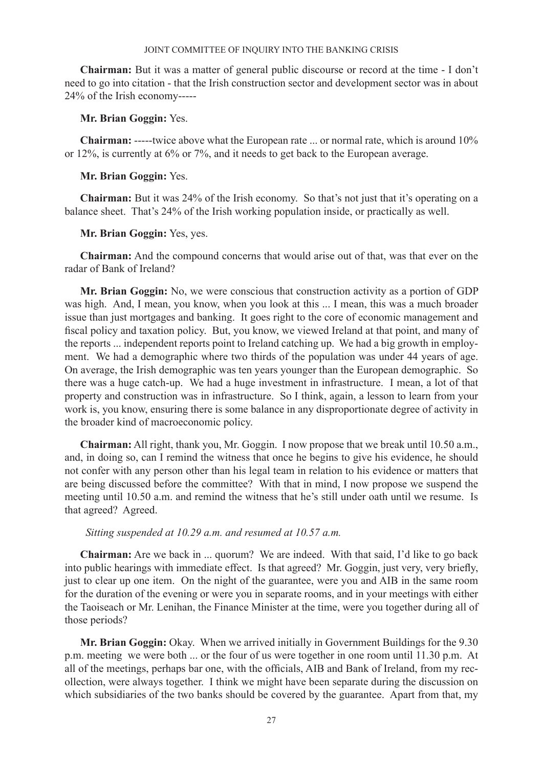**Chairman:** But it was a matter of general public discourse or record at the time - I don't need to go into citation - that the Irish construction sector and development sector was in about 24% of the Irish economy-----

## **Mr. Brian Goggin:** Yes.

**Chairman:** -----twice above what the European rate ... or normal rate, which is around 10% or 12%, is currently at 6% or 7%, and it needs to get back to the European average.

## **Mr. Brian Goggin:** Yes.

**Chairman:** But it was 24% of the Irish economy. So that's not just that it's operating on a balance sheet. That's 24% of the Irish working population inside, or practically as well.

## **Mr. Brian Goggin:** Yes, yes.

**Chairman:** And the compound concerns that would arise out of that, was that ever on the radar of Bank of Ireland?

**Mr. Brian Goggin:** No, we were conscious that construction activity as a portion of GDP was high. And, I mean, you know, when you look at this ... I mean, this was a much broader issue than just mortgages and banking. It goes right to the core of economic management and fiscal policy and taxation policy. But, you know, we viewed Ireland at that point, and many of the reports ... independent reports point to Ireland catching up. We had a big growth in employment. We had a demographic where two thirds of the population was under 44 years of age. On average, the Irish demographic was ten years younger than the European demographic. So there was a huge catch-up. We had a huge investment in infrastructure. I mean, a lot of that property and construction was in infrastructure. So I think, again, a lesson to learn from your work is, you know, ensuring there is some balance in any disproportionate degree of activity in the broader kind of macroeconomic policy.

**Chairman:** All right, thank you, Mr. Goggin. I now propose that we break until 10.50 a.m., and, in doing so, can I remind the witness that once he begins to give his evidence, he should not confer with any person other than his legal team in relation to his evidence or matters that are being discussed before the committee? With that in mind, I now propose we suspend the meeting until 10.50 a.m. and remind the witness that he's still under oath until we resume. Is that agreed? Agreed.

## *Sitting suspended at 10.29 a.m. and resumed at 10.57 a.m.*

**Chairman:** Are we back in ... quorum? We are indeed. With that said, I'd like to go back into public hearings with immediate effect. Is that agreed? Mr. Goggin, just very, very briefly, just to clear up one item. On the night of the guarantee, were you and AIB in the same room for the duration of the evening or were you in separate rooms, and in your meetings with either the Taoiseach or Mr. Lenihan, the Finance Minister at the time, were you together during all of those periods?

**Mr. Brian Goggin:** Okay. When we arrived initially in Government Buildings for the 9.30 p.m. meeting we were both ... or the four of us were together in one room until 11.30 p.m. At all of the meetings, perhaps bar one, with the officials, AIB and Bank of Ireland, from my recollection, were always together. I think we might have been separate during the discussion on which subsidiaries of the two banks should be covered by the guarantee. Apart from that, my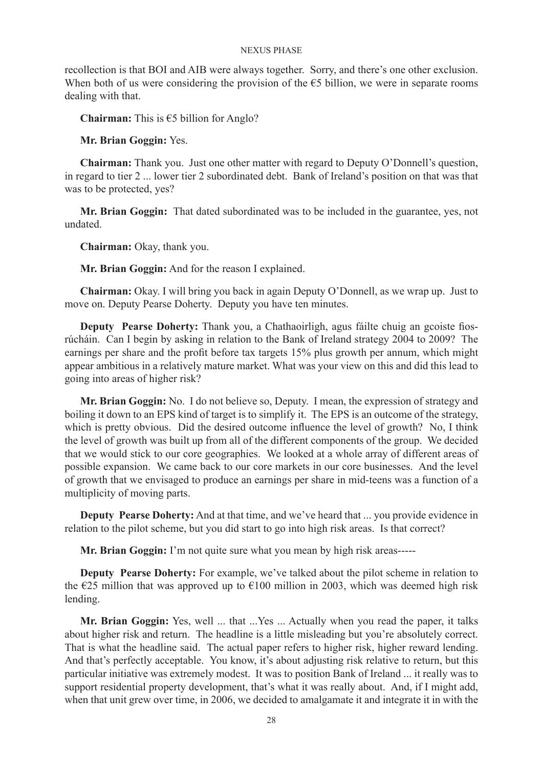recollection is that BOI and AIB were always together. Sorry, and there's one other exclusion. When both of us were considering the provision of the  $\epsilon$ 5 billion, we were in separate rooms dealing with that.

**Chairman:** This is €5 billion for Anglo?

**Mr. Brian Goggin:** Yes.

**Chairman:** Thank you. Just one other matter with regard to Deputy O'Donnell's question, in regard to tier 2 ... lower tier 2 subordinated debt. Bank of Ireland's position on that was that was to be protected, yes?

**Mr. Brian Goggin:** That dated subordinated was to be included in the guarantee, yes, not undated.

**Chairman:** Okay, thank you.

**Mr. Brian Goggin:** And for the reason I explained.

**Chairman:** Okay. I will bring you back in again Deputy O'Donnell, as we wrap up. Just to move on. Deputy Pearse Doherty. Deputy you have ten minutes.

**Deputy Pearse Doherty:** Thank you, a Chathaoirligh, agus fáilte chuig an gcoiste fiosrúcháin. Can I begin by asking in relation to the Bank of Ireland strategy 2004 to 2009? The earnings per share and the profit before tax targets 15% plus growth per annum, which might appear ambitious in a relatively mature market. What was your view on this and did this lead to going into areas of higher risk?

**Mr. Brian Goggin:** No. I do not believe so, Deputy. I mean, the expression of strategy and boiling it down to an EPS kind of target is to simplify it. The EPS is an outcome of the strategy, which is pretty obvious. Did the desired outcome influence the level of growth? No, I think the level of growth was built up from all of the different components of the group. We decided that we would stick to our core geographies. We looked at a whole array of different areas of possible expansion. We came back to our core markets in our core businesses. And the level of growth that we envisaged to produce an earnings per share in mid-teens was a function of a multiplicity of moving parts.

**Deputy Pearse Doherty:** And at that time, and we've heard that ... you provide evidence in relation to the pilot scheme, but you did start to go into high risk areas. Is that correct?

**Mr. Brian Goggin:** I'm not quite sure what you mean by high risk areas-----

**Deputy Pearse Doherty:** For example, we've talked about the pilot scheme in relation to the  $\epsilon$ 25 million that was approved up to  $\epsilon$ 100 million in 2003, which was deemed high risk lending.

**Mr. Brian Goggin:** Yes, well ... that ...Yes ... Actually when you read the paper, it talks about higher risk and return. The headline is a little misleading but you're absolutely correct. That is what the headline said. The actual paper refers to higher risk, higher reward lending. And that's perfectly acceptable. You know, it's about adjusting risk relative to return, but this particular initiative was extremely modest. It was to position Bank of Ireland ... it really was to support residential property development, that's what it was really about. And, if I might add, when that unit grew over time, in 2006, we decided to amalgamate it and integrate it in with the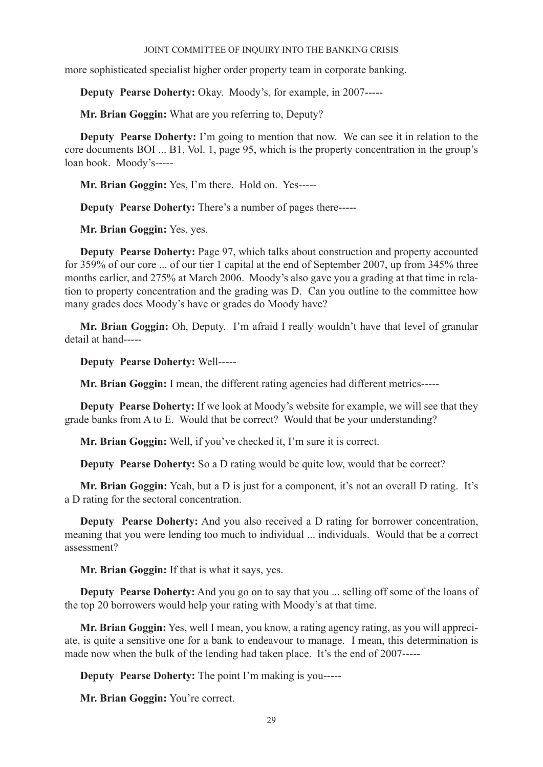more sophisticated specialist higher order property team in corporate banking.

**Deputy Pearse Doherty:** Okay. Moody's, for example, in 2007-----

**Mr. Brian Goggin:** What are you referring to, Deputy?

**Deputy Pearse Doherty:** I'm going to mention that now. We can see it in relation to the core documents BOI ... B1, Vol. 1, page 95, which is the property concentration in the group's loan book. Moody's-----

**Mr. Brian Goggin:** Yes, I'm there. Hold on. Yes-----

**Deputy Pearse Doherty:** There's a number of pages there-----

**Mr. Brian Goggin:** Yes, yes.

**Deputy Pearse Doherty:** Page 97, which talks about construction and property accounted for 359% of our core ... of our tier 1 capital at the end of September 2007, up from 345% three months earlier, and 275% at March 2006. Moody's also gave you a grading at that time in relation to property concentration and the grading was D. Can you outline to the committee how many grades does Moody's have or grades do Moody have?

**Mr. Brian Goggin:** Oh, Deputy. I'm afraid I really wouldn't have that level of granular detail at hand-----

**Deputy Pearse Doherty:** Well-----

**Mr. Brian Goggin:** I mean, the different rating agencies had different metrics-----

**Deputy Pearse Doherty:** If we look at Moody's website for example, we will see that they grade banks from A to E. Would that be correct? Would that be your understanding?

**Mr. Brian Goggin:** Well, if you've checked it, I'm sure it is correct.

**Deputy Pearse Doherty:** So a D rating would be quite low, would that be correct?

**Mr. Brian Goggin:** Yeah, but a D is just for a component, it's not an overall D rating. It's a D rating for the sectoral concentration.

**Deputy Pearse Doherty:** And you also received a D rating for borrower concentration, meaning that you were lending too much to individual ... individuals. Would that be a correct assessment?

**Mr. Brian Goggin:** If that is what it says, yes.

**Deputy Pearse Doherty:** And you go on to say that you ... selling off some of the loans of the top 20 borrowers would help your rating with Moody's at that time.

**Mr. Brian Goggin:** Yes, well I mean, you know, a rating agency rating, as you will appreciate, is quite a sensitive one for a bank to endeavour to manage. I mean, this determination is made now when the bulk of the lending had taken place. It's the end of 2007-----

**Deputy Pearse Doherty:** The point I'm making is you-----

**Mr. Brian Goggin:** You're correct.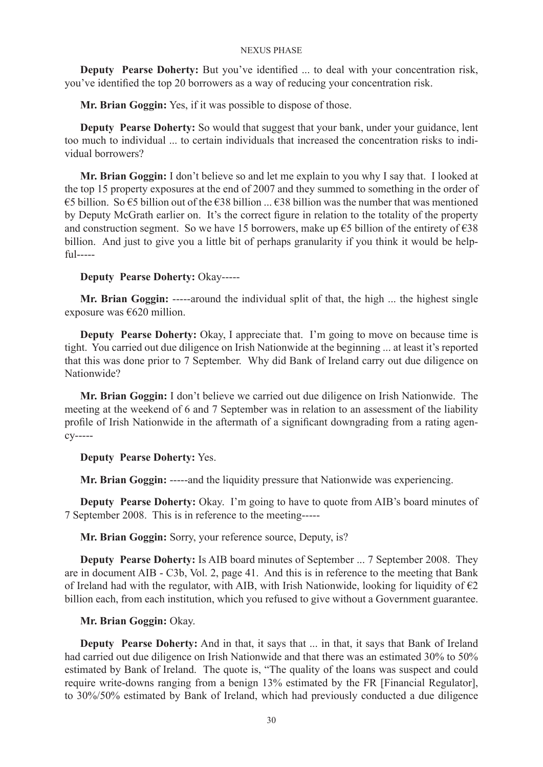**Deputy Pearse Doherty:** But you've identified ... to deal with your concentration risk, you've identified the top 20 borrowers as a way of reducing your concentration risk.

**Mr. Brian Goggin:** Yes, if it was possible to dispose of those.

**Deputy Pearse Doherty:** So would that suggest that your bank, under your guidance, lent too much to individual ... to certain individuals that increased the concentration risks to individual borrowers?

**Mr. Brian Goggin:** I don't believe so and let me explain to you why I say that. I looked at the top 15 property exposures at the end of 2007 and they summed to something in the order of €5 billion. So €5 billion out of the €38 billion ... €38 billion was the number that was mentioned by Deputy McGrath earlier on. It's the correct figure in relation to the totality of the property and construction segment. So we have 15 borrowers, make up  $\epsilon$ 5 billion of the entirety of  $\epsilon$ 38 billion. And just to give you a little bit of perhaps granularity if you think it would be helpful-----

## **Deputy Pearse Doherty:** Okay-----

**Mr. Brian Goggin:** -----around the individual split of that, the high ... the highest single exposure was €620 million.

**Deputy Pearse Doherty:** Okay, I appreciate that. I'm going to move on because time is tight. You carried out due diligence on Irish Nationwide at the beginning ... at least it's reported that this was done prior to 7 September. Why did Bank of Ireland carry out due diligence on Nationwide?

**Mr. Brian Goggin:** I don't believe we carried out due diligence on Irish Nationwide. The meeting at the weekend of 6 and 7 September was in relation to an assessment of the liability profile of Irish Nationwide in the aftermath of a significant downgrading from a rating agency-----

### **Deputy Pearse Doherty:** Yes.

**Mr. Brian Goggin:** -----and the liquidity pressure that Nationwide was experiencing.

**Deputy Pearse Doherty:** Okay. I'm going to have to quote from AIB's board minutes of 7 September 2008. This is in reference to the meeting-----

**Mr. Brian Goggin:** Sorry, your reference source, Deputy, is?

**Deputy Pearse Doherty:** Is AIB board minutes of September ... 7 September 2008. They are in document AIB - C3b, Vol. 2, page 41. And this is in reference to the meeting that Bank of Ireland had with the regulator, with AIB, with Irish Nationwide, looking for liquidity of  $\epsilon_2$ billion each, from each institution, which you refused to give without a Government guarantee.

### **Mr. Brian Goggin:** Okay.

**Deputy Pearse Doherty:** And in that, it says that ... in that, it says that Bank of Ireland had carried out due diligence on Irish Nationwide and that there was an estimated 30% to 50% estimated by Bank of Ireland. The quote is, "The quality of the loans was suspect and could require write-downs ranging from a benign 13% estimated by the FR [Financial Regulator], to 30%/50% estimated by Bank of Ireland, which had previously conducted a due diligence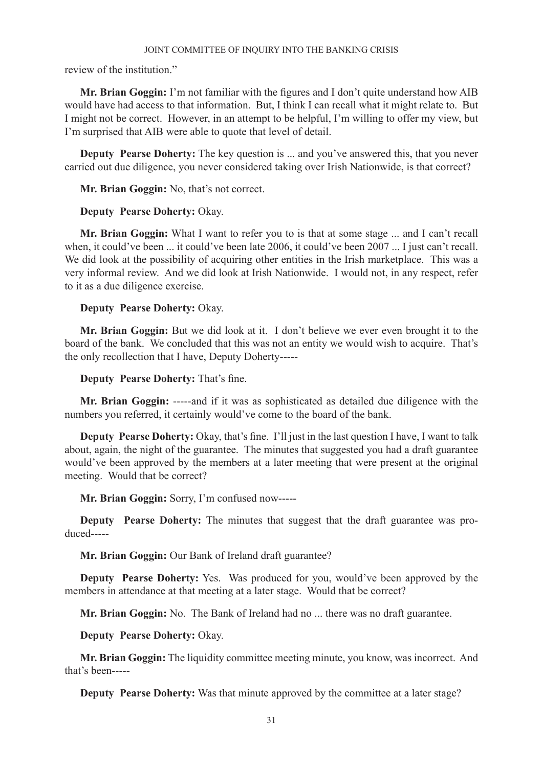review of the institution."

**Mr. Brian Goggin:** I'm not familiar with the figures and I don't quite understand how AIB would have had access to that information. But, I think I can recall what it might relate to. But I might not be correct. However, in an attempt to be helpful, I'm willing to offer my view, but I'm surprised that AIB were able to quote that level of detail.

**Deputy Pearse Doherty:** The key question is ... and you've answered this, that you never carried out due diligence, you never considered taking over Irish Nationwide, is that correct?

**Mr. Brian Goggin:** No, that's not correct.

## **Deputy Pearse Doherty:** Okay.

**Mr. Brian Goggin:** What I want to refer you to is that at some stage ... and I can't recall when, it could've been ... it could've been late 2006, it could've been 2007 ... I just can't recall. We did look at the possibility of acquiring other entities in the Irish marketplace. This was a very informal review. And we did look at Irish Nationwide. I would not, in any respect, refer to it as a due diligence exercise.

## **Deputy Pearse Doherty:** Okay.

**Mr. Brian Goggin:** But we did look at it. I don't believe we ever even brought it to the board of the bank. We concluded that this was not an entity we would wish to acquire. That's the only recollection that I have, Deputy Doherty-----

**Deputy Pearse Doherty:** That's fine.

**Mr. Brian Goggin:** -----and if it was as sophisticated as detailed due diligence with the numbers you referred, it certainly would've come to the board of the bank.

**Deputy Pearse Doherty:** Okay, that's fine. I'll just in the last question I have, I want to talk about, again, the night of the guarantee. The minutes that suggested you had a draft guarantee would've been approved by the members at a later meeting that were present at the original meeting. Would that be correct?

**Mr. Brian Goggin:** Sorry, I'm confused now-----

**Deputy Pearse Doherty:** The minutes that suggest that the draft guarantee was produced-----

**Mr. Brian Goggin:** Our Bank of Ireland draft guarantee?

**Deputy Pearse Doherty:** Yes. Was produced for you, would've been approved by the members in attendance at that meeting at a later stage. Would that be correct?

**Mr. Brian Goggin:** No. The Bank of Ireland had no ... there was no draft guarantee.

**Deputy Pearse Doherty:** Okay.

**Mr. Brian Goggin:** The liquidity committee meeting minute, you know, was incorrect. And that's been-----

**Deputy Pearse Doherty:** Was that minute approved by the committee at a later stage?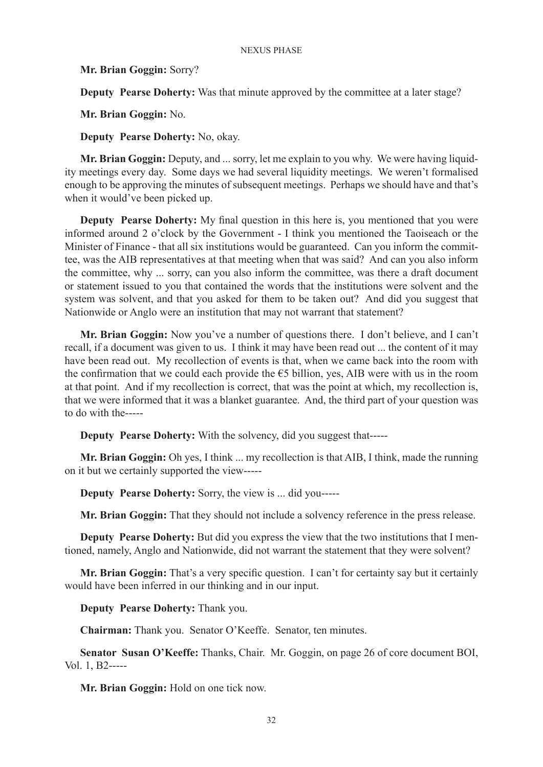**Mr. Brian Goggin:** Sorry?

**Deputy Pearse Doherty:** Was that minute approved by the committee at a later stage?

**Mr. Brian Goggin:** No.

**Deputy Pearse Doherty:** No, okay.

**Mr. Brian Goggin:** Deputy, and ... sorry, let me explain to you why. We were having liquidity meetings every day. Some days we had several liquidity meetings. We weren't formalised enough to be approving the minutes of subsequent meetings. Perhaps we should have and that's when it would've been picked up.

**Deputy Pearse Doherty:** My final question in this here is, you mentioned that you were informed around 2 o'clock by the Government - I think you mentioned the Taoiseach or the Minister of Finance - that all six institutions would be guaranteed. Can you inform the committee, was the AIB representatives at that meeting when that was said? And can you also inform the committee, why ... sorry, can you also inform the committee, was there a draft document or statement issued to you that contained the words that the institutions were solvent and the system was solvent, and that you asked for them to be taken out? And did you suggest that Nationwide or Anglo were an institution that may not warrant that statement?

**Mr. Brian Goggin:** Now you've a number of questions there. I don't believe, and I can't recall, if a document was given to us. I think it may have been read out ... the content of it may have been read out. My recollection of events is that, when we came back into the room with the confirmation that we could each provide the  $\epsilon$ 5 billion, yes, AIB were with us in the room at that point. And if my recollection is correct, that was the point at which, my recollection is, that we were informed that it was a blanket guarantee. And, the third part of your question was to do with the-----

**Deputy Pearse Doherty:** With the solvency, did you suggest that-----

**Mr. Brian Goggin:** Oh yes, I think ... my recollection is that AIB, I think, made the running on it but we certainly supported the view-----

**Deputy Pearse Doherty:** Sorry, the view is ... did you-----

**Mr. Brian Goggin:** That they should not include a solvency reference in the press release.

**Deputy Pearse Doherty:** But did you express the view that the two institutions that I mentioned, namely, Anglo and Nationwide, did not warrant the statement that they were solvent?

**Mr. Brian Goggin:** That's a very specific question. I can't for certainty say but it certainly would have been inferred in our thinking and in our input.

**Deputy Pearse Doherty:** Thank you.

**Chairman:** Thank you. Senator O'Keeffe. Senator, ten minutes.

**Senator Susan O'Keeffe:** Thanks, Chair. Mr. Goggin, on page 26 of core document BOI, Vol. 1, B2-----

**Mr. Brian Goggin:** Hold on one tick now.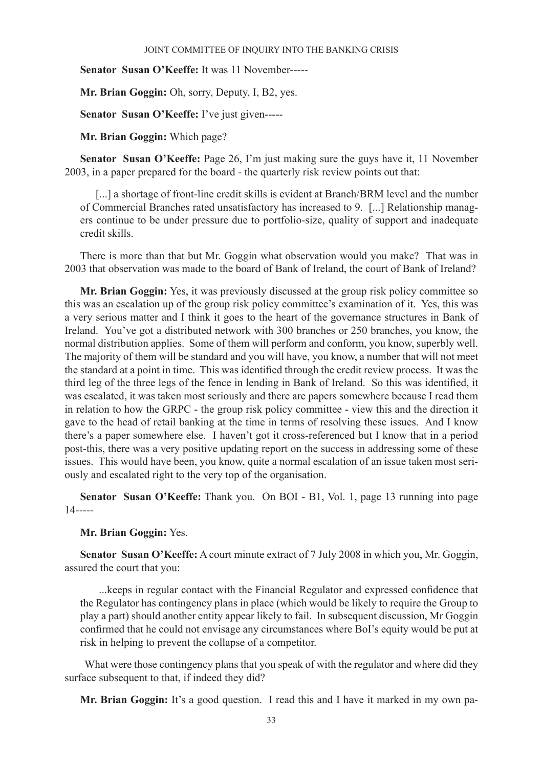**Senator Susan O'Keeffe:** It was 11 November-----

**Mr. Brian Goggin:** Oh, sorry, Deputy, I, B2, yes.

**Senator Susan O'Keeffe:** I've just given-----

**Mr. Brian Goggin:** Which page?

**Senator Susan O'Keeffe:** Page 26, I'm just making sure the guys have it, 11 November 2003, in a paper prepared for the board - the quarterly risk review points out that:

[...] a shortage of front-line credit skills is evident at Branch/BRM level and the number of Commercial Branches rated unsatisfactory has increased to 9. [...] Relationship managers continue to be under pressure due to portfolio-size, quality of support and inadequate credit skills.

There is more than that but Mr. Goggin what observation would you make? That was in 2003 that observation was made to the board of Bank of Ireland, the court of Bank of Ireland?

**Mr. Brian Goggin:** Yes, it was previously discussed at the group risk policy committee so this was an escalation up of the group risk policy committee's examination of it. Yes, this was a very serious matter and I think it goes to the heart of the governance structures in Bank of Ireland. You've got a distributed network with 300 branches or 250 branches, you know, the normal distribution applies. Some of them will perform and conform, you know, superbly well. The majority of them will be standard and you will have, you know, a number that will not meet the standard at a point in time. This was identified through the credit review process. It was the third leg of the three legs of the fence in lending in Bank of Ireland. So this was identified, it was escalated, it was taken most seriously and there are papers somewhere because I read them in relation to how the GRPC - the group risk policy committee - view this and the direction it gave to the head of retail banking at the time in terms of resolving these issues. And I know there's a paper somewhere else. I haven't got it cross-referenced but I know that in a period post-this, there was a very positive updating report on the success in addressing some of these issues. This would have been, you know, quite a normal escalation of an issue taken most seriously and escalated right to the very top of the organisation.

**Senator Susan O'Keeffe:** Thank you. On BOI - B1, Vol. 1, page 13 running into page 14-----

## **Mr. Brian Goggin:** Yes.

**Senator Susan O'Keeffe:** A court minute extract of 7 July 2008 in which you, Mr. Goggin, assured the court that you:

 ...keeps in regular contact with the Financial Regulator and expressed confidence that the Regulator has contingency plans in place (which would be likely to require the Group to play a part) should another entity appear likely to fail. In subsequent discussion, Mr Goggin confirmed that he could not envisage any circumstances where BoI's equity would be put at risk in helping to prevent the collapse of a competitor.

 What were those contingency plans that you speak of with the regulator and where did they surface subsequent to that, if indeed they did?

**Mr. Brian Goggin:** It's a good question. I read this and I have it marked in my own pa-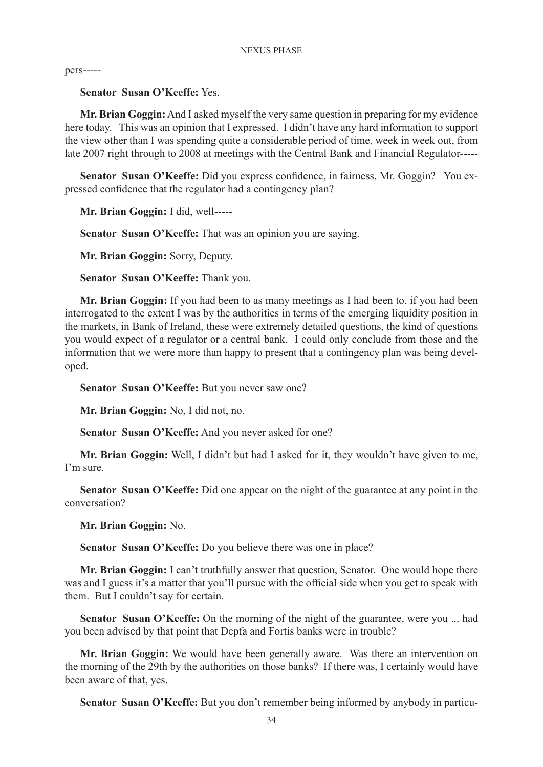pers-----

## **Senator Susan O'Keeffe:** Yes.

**Mr. Brian Goggin:** And I asked myself the very same question in preparing for my evidence here today. This was an opinion that I expressed. I didn't have any hard information to support the view other than I was spending quite a considerable period of time, week in week out, from late 2007 right through to 2008 at meetings with the Central Bank and Financial Regulator-----

**Senator Susan O'Keeffe:** Did you express confidence, in fairness, Mr. Goggin? You expressed confidence that the regulator had a contingency plan?

**Mr. Brian Goggin:** I did, well-----

**Senator Susan O'Keeffe:** That was an opinion you are saying.

**Mr. Brian Goggin:** Sorry, Deputy.

**Senator Susan O'Keeffe:** Thank you.

**Mr. Brian Goggin:** If you had been to as many meetings as I had been to, if you had been interrogated to the extent I was by the authorities in terms of the emerging liquidity position in the markets, in Bank of Ireland, these were extremely detailed questions, the kind of questions you would expect of a regulator or a central bank. I could only conclude from those and the information that we were more than happy to present that a contingency plan was being developed.

**Senator Susan O'Keeffe:** But you never saw one?

**Mr. Brian Goggin:** No, I did not, no.

**Senator Susan O'Keeffe:** And you never asked for one?

**Mr. Brian Goggin:** Well, I didn't but had I asked for it, they wouldn't have given to me, I'm sure.

**Senator Susan O'Keeffe:** Did one appear on the night of the guarantee at any point in the conversation?

**Mr. Brian Goggin:** No.

**Senator Susan O'Keeffe:** Do you believe there was one in place?

**Mr. Brian Goggin:** I can't truthfully answer that question, Senator. One would hope there was and I guess it's a matter that you'll pursue with the official side when you get to speak with them. But I couldn't say for certain.

**Senator Susan O'Keeffe:** On the morning of the night of the guarantee, were you ... had you been advised by that point that Depfa and Fortis banks were in trouble?

**Mr. Brian Goggin:** We would have been generally aware. Was there an intervention on the morning of the 29th by the authorities on those banks? If there was, I certainly would have been aware of that, yes.

**Senator Susan O'Keeffe:** But you don't remember being informed by anybody in particu-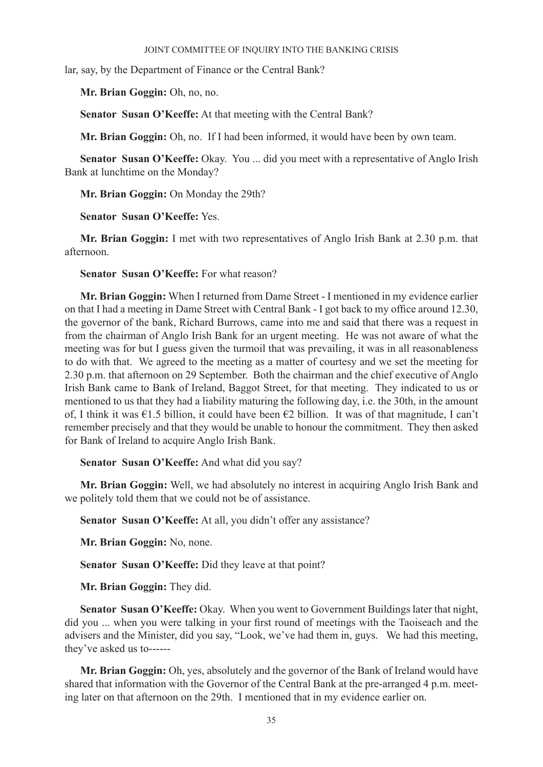lar, say, by the Department of Finance or the Central Bank?

**Mr. Brian Goggin:** Oh, no, no.

**Senator Susan O'Keeffe:** At that meeting with the Central Bank?

**Mr. Brian Goggin:** Oh, no. If I had been informed, it would have been by own team.

**Senator Susan O'Keeffe:** Okay. You ... did you meet with a representative of Anglo Irish Bank at lunchtime on the Monday?

**Mr. Brian Goggin:** On Monday the 29th?

**Senator Susan O'Keeffe:** Yes.

**Mr. Brian Goggin:** I met with two representatives of Anglo Irish Bank at 2.30 p.m. that afternoon.

**Senator Susan O'Keeffe:** For what reason?

**Mr. Brian Goggin:** When I returned from Dame Street - I mentioned in my evidence earlier on that I had a meeting in Dame Street with Central Bank - I got back to my office around 12.30, the governor of the bank, Richard Burrows, came into me and said that there was a request in from the chairman of Anglo Irish Bank for an urgent meeting. He was not aware of what the meeting was for but I guess given the turmoil that was prevailing, it was in all reasonableness to do with that. We agreed to the meeting as a matter of courtesy and we set the meeting for 2.30 p.m. that afternoon on 29 September. Both the chairman and the chief executive of Anglo Irish Bank came to Bank of Ireland, Baggot Street, for that meeting. They indicated to us or mentioned to us that they had a liability maturing the following day, i.e. the 30th, in the amount of, I think it was €1.5 billion, it could have been €2 billion. It was of that magnitude, I can't remember precisely and that they would be unable to honour the commitment. They then asked for Bank of Ireland to acquire Anglo Irish Bank.

**Senator Susan O'Keeffe:** And what did you say?

**Mr. Brian Goggin:** Well, we had absolutely no interest in acquiring Anglo Irish Bank and we politely told them that we could not be of assistance.

**Senator Susan O'Keeffe:** At all, you didn't offer any assistance?

**Mr. Brian Goggin:** No, none.

**Senator Susan O'Keeffe:** Did they leave at that point?

**Mr. Brian Goggin:** They did.

**Senator Susan O'Keeffe:** Okay. When you went to Government Buildings later that night, did you ... when you were talking in your first round of meetings with the Taoiseach and the advisers and the Minister, did you say, "Look, we've had them in, guys. We had this meeting, they've asked us to------

**Mr. Brian Goggin:** Oh, yes, absolutely and the governor of the Bank of Ireland would have shared that information with the Governor of the Central Bank at the pre-arranged 4 p.m. meeting later on that afternoon on the 29th. I mentioned that in my evidence earlier on.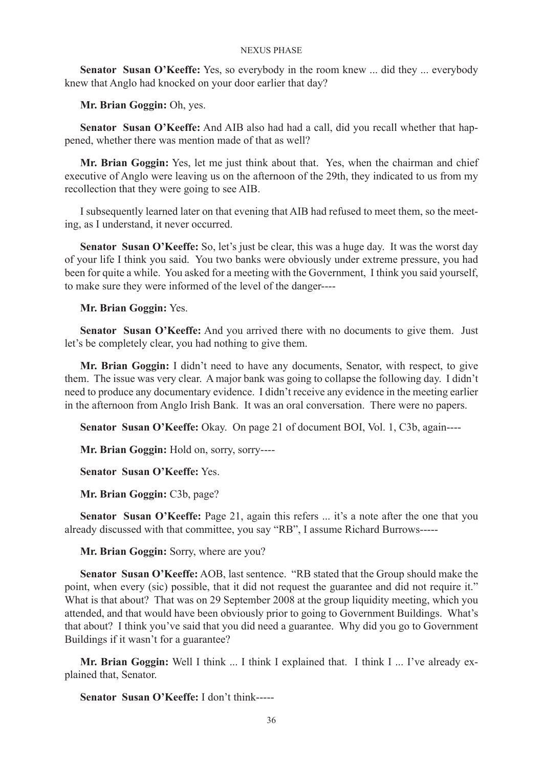**Senator Susan O'Keeffe:** Yes, so everybody in the room knew ... did they ... everybody knew that Anglo had knocked on your door earlier that day?

**Mr. Brian Goggin:** Oh, yes.

**Senator Susan O'Keeffe:** And AIB also had had a call, did you recall whether that happened, whether there was mention made of that as well?

**Mr. Brian Goggin:** Yes, let me just think about that. Yes, when the chairman and chief executive of Anglo were leaving us on the afternoon of the 29th, they indicated to us from my recollection that they were going to see AIB.

I subsequently learned later on that evening that AIB had refused to meet them, so the meeting, as I understand, it never occurred.

**Senator Susan O'Keeffe:** So, let's just be clear, this was a huge day. It was the worst day of your life I think you said. You two banks were obviously under extreme pressure, you had been for quite a while. You asked for a meeting with the Government, I think you said yourself, to make sure they were informed of the level of the danger----

**Mr. Brian Goggin:** Yes.

**Senator Susan O'Keeffe:** And you arrived there with no documents to give them. Just let's be completely clear, you had nothing to give them.

**Mr. Brian Goggin:** I didn't need to have any documents, Senator, with respect, to give them. The issue was very clear. A major bank was going to collapse the following day. I didn't need to produce any documentary evidence. I didn't receive any evidence in the meeting earlier in the afternoon from Anglo Irish Bank. It was an oral conversation. There were no papers.

**Senator Susan O'Keeffe:** Okay. On page 21 of document BOI, Vol. 1, C3b, again----

**Mr. Brian Goggin:** Hold on, sorry, sorry----

**Senator Susan O'Keeffe:** Yes.

**Mr. Brian Goggin:** C3b, page?

Senator Susan O'Keeffe: Page 21, again this refers ... it's a note after the one that you already discussed with that committee, you say "RB", I assume Richard Burrows-----

**Mr. Brian Goggin:** Sorry, where are you?

**Senator Susan O'Keeffe:** AOB, last sentence. "RB stated that the Group should make the point, when every (sic) possible, that it did not request the guarantee and did not require it." What is that about? That was on 29 September 2008 at the group liquidity meeting, which you attended, and that would have been obviously prior to going to Government Buildings. What's that about? I think you've said that you did need a guarantee. Why did you go to Government Buildings if it wasn't for a guarantee?

**Mr. Brian Goggin:** Well I think ... I think I explained that. I think I ... I've already explained that, Senator.

**Senator Susan O'Keeffe:** I don't think-----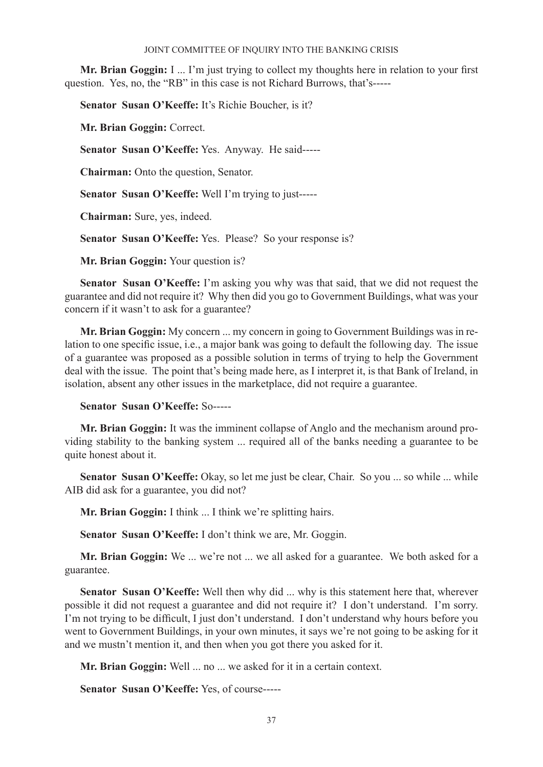**Mr. Brian Goggin:** I ... I'm just trying to collect my thoughts here in relation to your first question. Yes, no, the "RB" in this case is not Richard Burrows, that's-----

**Senator Susan O'Keeffe:** It's Richie Boucher, is it?

**Mr. Brian Goggin:** Correct.

**Senator Susan O'Keeffe:** Yes. Anyway. He said-----

**Chairman:** Onto the question, Senator.

**Senator Susan O'Keeffe:** Well I'm trying to just-----

**Chairman:** Sure, yes, indeed.

**Senator Susan O'Keeffe:** Yes. Please? So your response is?

**Mr. Brian Goggin:** Your question is?

**Senator Susan O'Keeffe:** I'm asking you why was that said, that we did not request the guarantee and did not require it? Why then did you go to Government Buildings, what was your concern if it wasn't to ask for a guarantee?

**Mr. Brian Goggin:** My concern ... my concern in going to Government Buildings was in relation to one specific issue, i.e., a major bank was going to default the following day. The issue of a guarantee was proposed as a possible solution in terms of trying to help the Government deal with the issue. The point that's being made here, as I interpret it, is that Bank of Ireland, in isolation, absent any other issues in the marketplace, did not require a guarantee.

## **Senator Susan O'Keeffe:** So-----

**Mr. Brian Goggin:** It was the imminent collapse of Anglo and the mechanism around providing stability to the banking system ... required all of the banks needing a guarantee to be quite honest about it.

**Senator Susan O'Keeffe:** Okay, so let me just be clear, Chair. So you ... so while ... while AIB did ask for a guarantee, you did not?

**Mr. Brian Goggin:** I think ... I think we're splitting hairs.

**Senator Susan O'Keeffe:** I don't think we are, Mr. Goggin.

**Mr. Brian Goggin:** We ... we're not ... we all asked for a guarantee. We both asked for a guarantee.

**Senator Susan O'Keeffe:** Well then why did ... why is this statement here that, wherever possible it did not request a guarantee and did not require it? I don't understand. I'm sorry. I'm not trying to be difficult, I just don't understand. I don't understand why hours before you went to Government Buildings, in your own minutes, it says we're not going to be asking for it and we mustn't mention it, and then when you got there you asked for it.

**Mr. Brian Goggin:** Well ... no ... we asked for it in a certain context.

**Senator Susan O'Keeffe:** Yes, of course-----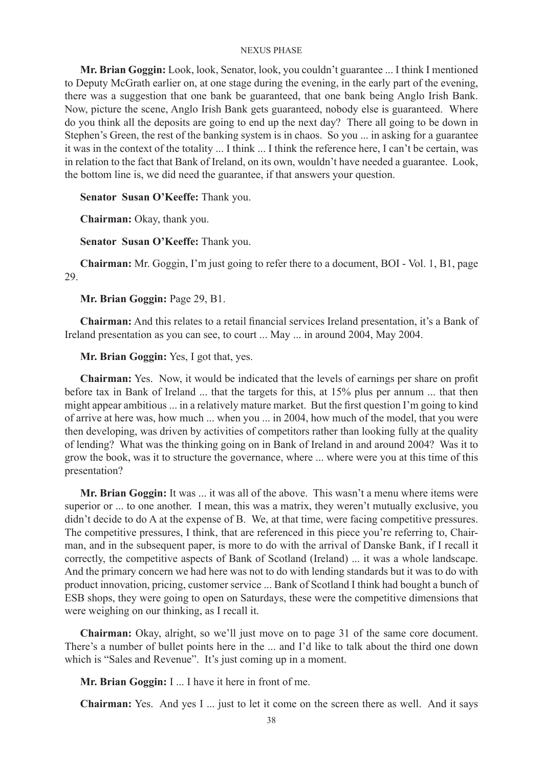**Mr. Brian Goggin:** Look, look, Senator, look, you couldn't guarantee ... I think I mentioned to Deputy McGrath earlier on, at one stage during the evening, in the early part of the evening, there was a suggestion that one bank be guaranteed, that one bank being Anglo Irish Bank. Now, picture the scene, Anglo Irish Bank gets guaranteed, nobody else is guaranteed. Where do you think all the deposits are going to end up the next day? There all going to be down in Stephen's Green, the rest of the banking system is in chaos. So you ... in asking for a guarantee it was in the context of the totality ... I think ... I think the reference here, I can't be certain, was in relation to the fact that Bank of Ireland, on its own, wouldn't have needed a guarantee. Look, the bottom line is, we did need the guarantee, if that answers your question.

**Senator Susan O'Keeffe:** Thank you.

**Chairman:** Okay, thank you.

**Senator Susan O'Keeffe:** Thank you.

**Chairman:** Mr. Goggin, I'm just going to refer there to a document, BOI - Vol. 1, B1, page 29.

**Mr. Brian Goggin:** Page 29, B1.

**Chairman:** And this relates to a retail financial services Ireland presentation, it's a Bank of Ireland presentation as you can see, to court ... May ... in around 2004, May 2004.

**Mr. Brian Goggin:** Yes, I got that, yes.

**Chairman:** Yes. Now, it would be indicated that the levels of earnings per share on profit before tax in Bank of Ireland ... that the targets for this, at 15% plus per annum ... that then might appear ambitious ... in a relatively mature market. But the first question I'm going to kind of arrive at here was, how much ... when you ... in 2004, how much of the model, that you were then developing, was driven by activities of competitors rather than looking fully at the quality of lending? What was the thinking going on in Bank of Ireland in and around 2004? Was it to grow the book, was it to structure the governance, where ... where were you at this time of this presentation?

**Mr. Brian Goggin:** It was ... it was all of the above. This wasn't a menu where items were superior or ... to one another. I mean, this was a matrix, they weren't mutually exclusive, you didn't decide to do A at the expense of B. We, at that time, were facing competitive pressures. The competitive pressures, I think, that are referenced in this piece you're referring to, Chairman, and in the subsequent paper, is more to do with the arrival of Danske Bank, if I recall it correctly, the competitive aspects of Bank of Scotland (Ireland) ... it was a whole landscape. And the primary concern we had here was not to do with lending standards but it was to do with product innovation, pricing, customer service ... Bank of Scotland I think had bought a bunch of ESB shops, they were going to open on Saturdays, these were the competitive dimensions that were weighing on our thinking, as I recall it.

**Chairman:** Okay, alright, so we'll just move on to page 31 of the same core document. There's a number of bullet points here in the ... and I'd like to talk about the third one down which is "Sales and Revenue". It's just coming up in a moment.

**Mr. Brian Goggin:** I ... I have it here in front of me.

**Chairman:** Yes. And yes I ... just to let it come on the screen there as well. And it says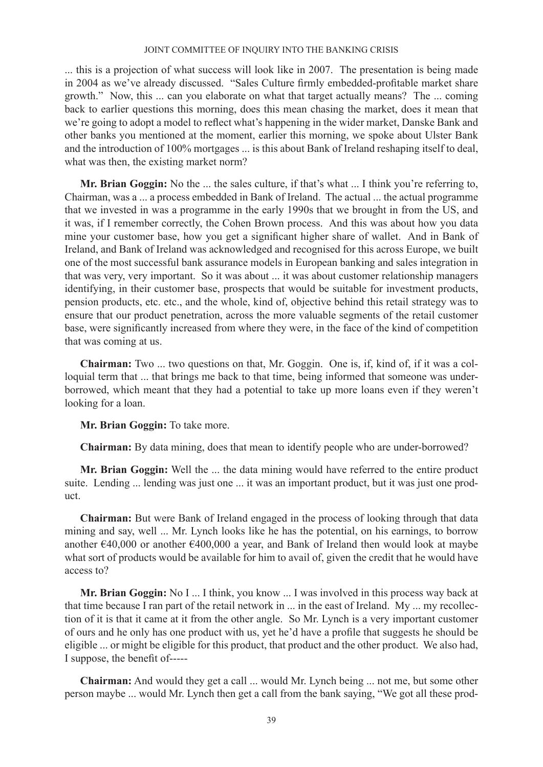... this is a projection of what success will look like in 2007. The presentation is being made in 2004 as we've already discussed. "Sales Culture firmly embedded-profitable market share growth." Now, this ... can you elaborate on what that target actually means? The ... coming back to earlier questions this morning, does this mean chasing the market, does it mean that we're going to adopt a model to reflect what's happening in the wider market, Danske Bank and other banks you mentioned at the moment, earlier this morning, we spoke about Ulster Bank and the introduction of 100% mortgages ... is this about Bank of Ireland reshaping itself to deal, what was then, the existing market norm?

**Mr. Brian Goggin:** No the ... the sales culture, if that's what ... I think you're referring to, Chairman, was a ... a process embedded in Bank of Ireland. The actual ... the actual programme that we invested in was a programme in the early 1990s that we brought in from the US, and it was, if I remember correctly, the Cohen Brown process. And this was about how you data mine your customer base, how you get a significant higher share of wallet. And in Bank of Ireland, and Bank of Ireland was acknowledged and recognised for this across Europe, we built one of the most successful bank assurance models in European banking and sales integration in that was very, very important. So it was about ... it was about customer relationship managers identifying, in their customer base, prospects that would be suitable for investment products, pension products, etc. etc., and the whole, kind of, objective behind this retail strategy was to ensure that our product penetration, across the more valuable segments of the retail customer base, were significantly increased from where they were, in the face of the kind of competition that was coming at us.

**Chairman:** Two ... two questions on that, Mr. Goggin. One is, if, kind of, if it was a colloquial term that ... that brings me back to that time, being informed that someone was underborrowed, which meant that they had a potential to take up more loans even if they weren't looking for a loan.

**Mr. Brian Goggin:** To take more.

**Chairman:** By data mining, does that mean to identify people who are under-borrowed?

**Mr. Brian Goggin:** Well the ... the data mining would have referred to the entire product suite. Lending ... lending was just one ... it was an important product, but it was just one product.

**Chairman:** But were Bank of Ireland engaged in the process of looking through that data mining and say, well ... Mr. Lynch looks like he has the potential, on his earnings, to borrow another  $\epsilon$ 40,000 or another  $\epsilon$ 400,000 a year, and Bank of Ireland then would look at maybe what sort of products would be available for him to avail of, given the credit that he would have access to?

**Mr. Brian Goggin:** No I ... I think, you know ... I was involved in this process way back at that time because I ran part of the retail network in ... in the east of Ireland. My ... my recollection of it is that it came at it from the other angle. So Mr. Lynch is a very important customer of ours and he only has one product with us, yet he'd have a profile that suggests he should be eligible ... or might be eligible for this product, that product and the other product. We also had, I suppose, the benefit of-----

**Chairman:** And would they get a call ... would Mr. Lynch being ... not me, but some other person maybe ... would Mr. Lynch then get a call from the bank saying, "We got all these prod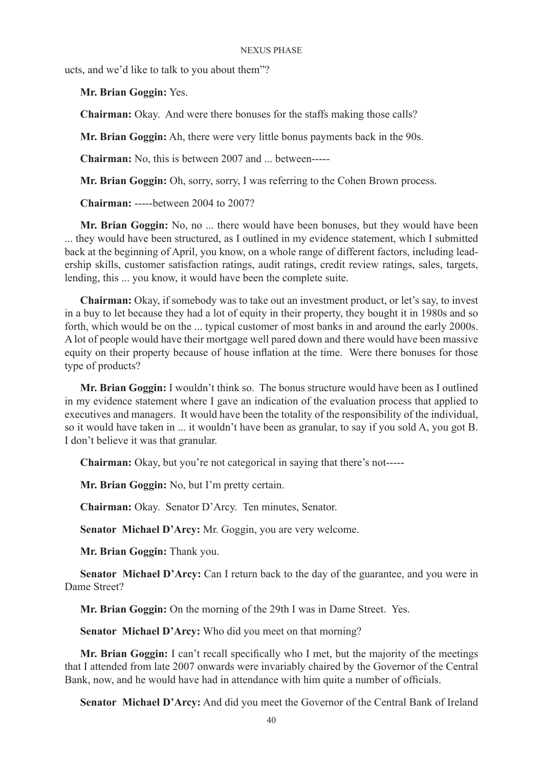ucts, and we'd like to talk to you about them"?

**Mr. Brian Goggin:** Yes.

**Chairman:** Okay. And were there bonuses for the staffs making those calls?

**Mr. Brian Goggin:** Ah, there were very little bonus payments back in the 90s.

**Chairman:** No, this is between 2007 and ... between-----

**Mr. Brian Goggin:** Oh, sorry, sorry, I was referring to the Cohen Brown process.

**Chairman:** -----between 2004 to 2007?

**Mr. Brian Goggin:** No, no ... there would have been bonuses, but they would have been ... they would have been structured, as I outlined in my evidence statement, which I submitted back at the beginning of April, you know, on a whole range of different factors, including leadership skills, customer satisfaction ratings, audit ratings, credit review ratings, sales, targets, lending, this ... you know, it would have been the complete suite.

**Chairman:** Okay, if somebody was to take out an investment product, or let's say, to invest in a buy to let because they had a lot of equity in their property, they bought it in 1980s and so forth, which would be on the ... typical customer of most banks in and around the early 2000s. A lot of people would have their mortgage well pared down and there would have been massive equity on their property because of house inflation at the time. Were there bonuses for those type of products?

**Mr. Brian Goggin:** I wouldn't think so. The bonus structure would have been as I outlined in my evidence statement where I gave an indication of the evaluation process that applied to executives and managers. It would have been the totality of the responsibility of the individual, so it would have taken in ... it wouldn't have been as granular, to say if you sold A, you got B. I don't believe it was that granular.

**Chairman:** Okay, but you're not categorical in saying that there's not-----

**Mr. Brian Goggin:** No, but I'm pretty certain.

**Chairman:** Okay. Senator D'Arcy. Ten minutes, Senator.

**Senator Michael D'Arcy:** Mr. Goggin, you are very welcome.

**Mr. Brian Goggin:** Thank you.

**Senator Michael D'Arcy:** Can I return back to the day of the guarantee, and you were in Dame Street?

**Mr. Brian Goggin:** On the morning of the 29th I was in Dame Street. Yes.

**Senator Michael D'Arcy:** Who did you meet on that morning?

**Mr. Brian Goggin:** I can't recall specifically who I met, but the majority of the meetings that I attended from late 2007 onwards were invariably chaired by the Governor of the Central Bank, now, and he would have had in attendance with him quite a number of officials.

**Senator Michael D'Arcy:** And did you meet the Governor of the Central Bank of Ireland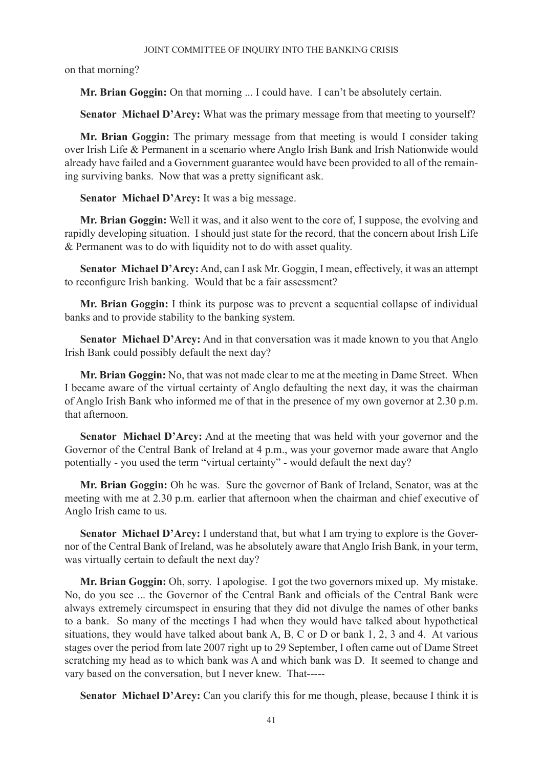on that morning?

**Mr. Brian Goggin:** On that morning ... I could have. I can't be absolutely certain.

**Senator Michael D'Arcy:** What was the primary message from that meeting to yourself?

**Mr. Brian Goggin:** The primary message from that meeting is would I consider taking over Irish Life & Permanent in a scenario where Anglo Irish Bank and Irish Nationwide would already have failed and a Government guarantee would have been provided to all of the remaining surviving banks. Now that was a pretty significant ask.

**Senator Michael D'Arcy:** It was a big message.

**Mr. Brian Goggin:** Well it was, and it also went to the core of, I suppose, the evolving and rapidly developing situation. I should just state for the record, that the concern about Irish Life & Permanent was to do with liquidity not to do with asset quality.

**Senator Michael D'Arcy:** And, can I ask Mr. Goggin, I mean, effectively, it was an attempt to reconfigure Irish banking. Would that be a fair assessment?

**Mr. Brian Goggin:** I think its purpose was to prevent a sequential collapse of individual banks and to provide stability to the banking system.

**Senator Michael D'Arcy:** And in that conversation was it made known to you that Anglo Irish Bank could possibly default the next day?

**Mr. Brian Goggin:** No, that was not made clear to me at the meeting in Dame Street. When I became aware of the virtual certainty of Anglo defaulting the next day, it was the chairman of Anglo Irish Bank who informed me of that in the presence of my own governor at 2.30 p.m. that afternoon.

**Senator Michael D'Arcy:** And at the meeting that was held with your governor and the Governor of the Central Bank of Ireland at 4 p.m., was your governor made aware that Anglo potentially - you used the term "virtual certainty" - would default the next day?

**Mr. Brian Goggin:** Oh he was. Sure the governor of Bank of Ireland, Senator, was at the meeting with me at 2.30 p.m. earlier that afternoon when the chairman and chief executive of Anglo Irish came to us.

**Senator Michael D'Arcy:** I understand that, but what I am trying to explore is the Governor of the Central Bank of Ireland, was he absolutely aware that Anglo Irish Bank, in your term, was virtually certain to default the next day?

**Mr. Brian Goggin:** Oh, sorry. I apologise. I got the two governors mixed up. My mistake. No, do you see ... the Governor of the Central Bank and officials of the Central Bank were always extremely circumspect in ensuring that they did not divulge the names of other banks to a bank. So many of the meetings I had when they would have talked about hypothetical situations, they would have talked about bank A, B, C or D or bank 1, 2, 3 and 4. At various stages over the period from late 2007 right up to 29 September, I often came out of Dame Street scratching my head as to which bank was A and which bank was D. It seemed to change and vary based on the conversation, but I never knew. That-----

**Senator Michael D'Arcy:** Can you clarify this for me though, please, because I think it is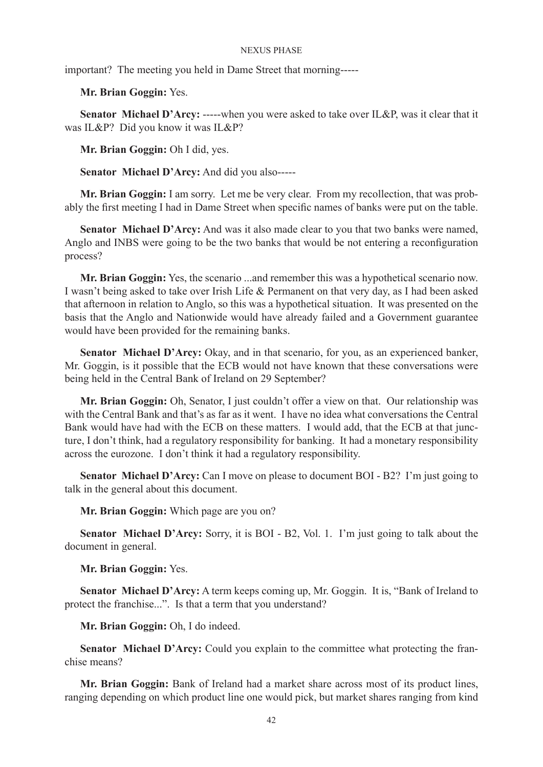important? The meeting you held in Dame Street that morning-----

**Mr. Brian Goggin:** Yes.

**Senator Michael D'Arcy:** -----when you were asked to take over IL&P, was it clear that it was IL&P? Did you know it was IL&P?

**Mr. Brian Goggin:** Oh I did, yes.

**Senator Michael D'Arcy:** And did you also-----

**Mr. Brian Goggin:** I am sorry. Let me be very clear. From my recollection, that was probably the first meeting I had in Dame Street when specific names of banks were put on the table.

**Senator Michael D'Arcy:** And was it also made clear to you that two banks were named, Anglo and INBS were going to be the two banks that would be not entering a reconfiguration process?

**Mr. Brian Goggin:** Yes, the scenario ...and remember this was a hypothetical scenario now. I wasn't being asked to take over Irish Life & Permanent on that very day, as I had been asked that afternoon in relation to Anglo, so this was a hypothetical situation. It was presented on the basis that the Anglo and Nationwide would have already failed and a Government guarantee would have been provided for the remaining banks.

**Senator Michael D'Arcy:** Okay, and in that scenario, for you, as an experienced banker, Mr. Goggin, is it possible that the ECB would not have known that these conversations were being held in the Central Bank of Ireland on 29 September?

**Mr. Brian Goggin:** Oh, Senator, I just couldn't offer a view on that. Our relationship was with the Central Bank and that's as far as it went. I have no idea what conversations the Central Bank would have had with the ECB on these matters. I would add, that the ECB at that juncture, I don't think, had a regulatory responsibility for banking. It had a monetary responsibility across the eurozone. I don't think it had a regulatory responsibility.

**Senator Michael D'Arcy:** Can I move on please to document BOI - B2? I'm just going to talk in the general about this document.

**Mr. Brian Goggin:** Which page are you on?

**Senator Michael D'Arcy:** Sorry, it is BOI - B2, Vol. 1. I'm just going to talk about the document in general.

**Mr. Brian Goggin:** Yes.

**Senator Michael D'Arcy:** A term keeps coming up, Mr. Goggin. It is, "Bank of Ireland to protect the franchise...". Is that a term that you understand?

**Mr. Brian Goggin:** Oh, I do indeed.

**Senator Michael D'Arcy:** Could you explain to the committee what protecting the franchise means?

**Mr. Brian Goggin:** Bank of Ireland had a market share across most of its product lines, ranging depending on which product line one would pick, but market shares ranging from kind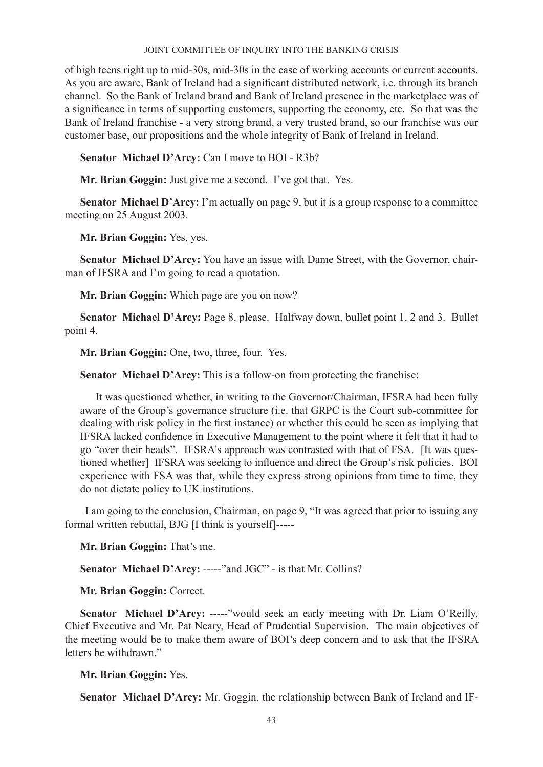of high teens right up to mid-30s, mid-30s in the case of working accounts or current accounts. As you are aware, Bank of Ireland had a significant distributed network, i.e. through its branch channel. So the Bank of Ireland brand and Bank of Ireland presence in the marketplace was of a significance in terms of supporting customers, supporting the economy, etc. So that was the Bank of Ireland franchise - a very strong brand, a very trusted brand, so our franchise was our customer base, our propositions and the whole integrity of Bank of Ireland in Ireland.

**Senator Michael D'Arcy:** Can I move to BOI - R3b?

**Mr. Brian Goggin:** Just give me a second. I've got that. Yes.

**Senator Michael D'Arcy:** I'm actually on page 9, but it is a group response to a committee meeting on 25 August 2003.

**Mr. Brian Goggin:** Yes, yes.

**Senator Michael D'Arcy:** You have an issue with Dame Street, with the Governor, chairman of IFSRA and I'm going to read a quotation.

**Mr. Brian Goggin:** Which page are you on now?

**Senator Michael D'Arcy:** Page 8, please. Halfway down, bullet point 1, 2 and 3. Bullet point 4.

**Mr. Brian Goggin:** One, two, three, four. Yes.

**Senator Michael D'Arcy:** This is a follow-on from protecting the franchise:

It was questioned whether, in writing to the Governor/Chairman, IFSRA had been fully aware of the Group's governance structure (i.e. that GRPC is the Court sub-committee for dealing with risk policy in the first instance) or whether this could be seen as implying that IFSRA lacked confidence in Executive Management to the point where it felt that it had to go "over their heads". IFSRA's approach was contrasted with that of FSA. [It was questioned whether] IFSRA was seeking to influence and direct the Group's risk policies. BOI experience with FSA was that, while they express strong opinions from time to time, they do not dictate policy to UK institutions.

 I am going to the conclusion, Chairman, on page 9, "It was agreed that prior to issuing any formal written rebuttal, BJG [I think is yourself]-----

**Mr. Brian Goggin:** That's me.

**Senator Michael D'Arcy:** -----"and JGC" - is that Mr. Collins?

**Mr. Brian Goggin:** Correct.

**Senator Michael D'Arcy:** -----"would seek an early meeting with Dr. Liam O'Reilly, Chief Executive and Mr. Pat Neary, Head of Prudential Supervision. The main objectives of the meeting would be to make them aware of BOI's deep concern and to ask that the IFSRA letters be withdrawn"

**Mr. Brian Goggin:** Yes.

**Senator Michael D'Arcy:** Mr. Goggin, the relationship between Bank of Ireland and IF-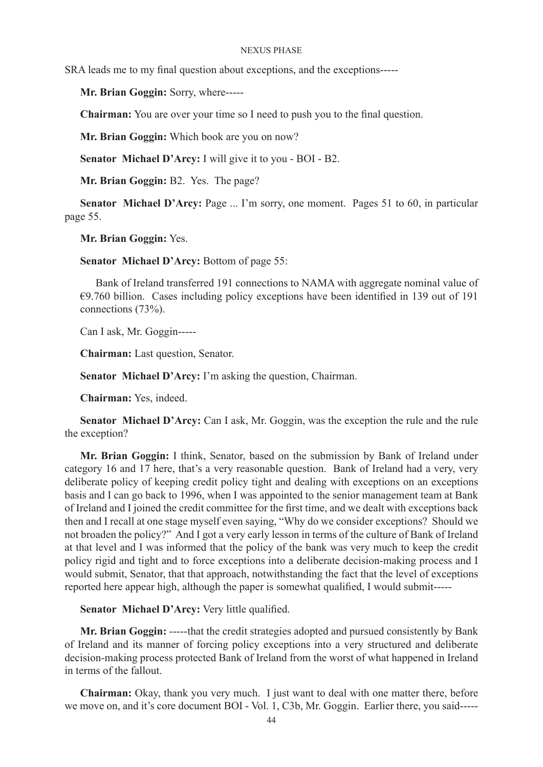SRA leads me to my final question about exceptions, and the exceptions-----

**Mr. Brian Goggin:** Sorry, where-----

**Chairman:** You are over your time so I need to push you to the final question.

**Mr. Brian Goggin:** Which book are you on now?

**Senator Michael D'Arcy:** I will give it to you - BOI - B2.

**Mr. Brian Goggin:** B2. Yes. The page?

**Senator Michael D'Arcy:** Page ... I'm sorry, one moment. Pages 51 to 60, in particular page 55.

**Mr. Brian Goggin:** Yes.

**Senator Michael D'Arcy:** Bottom of page 55:

Bank of Ireland transferred 191 connections to NAMA with aggregate nominal value of  $\epsilon$ 9.760 billion. Cases including policy exceptions have been identified in 139 out of 191 connections (73%).

Can I ask, Mr. Goggin-----

**Chairman:** Last question, Senator.

**Senator Michael D'Arcy:** I'm asking the question, Chairman.

**Chairman:** Yes, indeed.

**Senator Michael D'Arcy:** Can I ask, Mr. Goggin, was the exception the rule and the rule the exception?

**Mr. Brian Goggin:** I think, Senator, based on the submission by Bank of Ireland under category 16 and 17 here, that's a very reasonable question. Bank of Ireland had a very, very deliberate policy of keeping credit policy tight and dealing with exceptions on an exceptions basis and I can go back to 1996, when I was appointed to the senior management team at Bank of Ireland and I joined the credit committee for the first time, and we dealt with exceptions back then and I recall at one stage myself even saying, "Why do we consider exceptions? Should we not broaden the policy?" And I got a very early lesson in terms of the culture of Bank of Ireland at that level and I was informed that the policy of the bank was very much to keep the credit policy rigid and tight and to force exceptions into a deliberate decision-making process and I would submit, Senator, that that approach, notwithstanding the fact that the level of exceptions reported here appear high, although the paper is somewhat qualified, I would submit-----

**Senator Michael D'Arcy:** Very little qualified.

**Mr. Brian Goggin:** -----that the credit strategies adopted and pursued consistently by Bank of Ireland and its manner of forcing policy exceptions into a very structured and deliberate decision-making process protected Bank of Ireland from the worst of what happened in Ireland in terms of the fallout.

**Chairman:** Okay, thank you very much. I just want to deal with one matter there, before we move on, and it's core document BOI - Vol. 1, C3b, Mr. Goggin. Earlier there, you said-----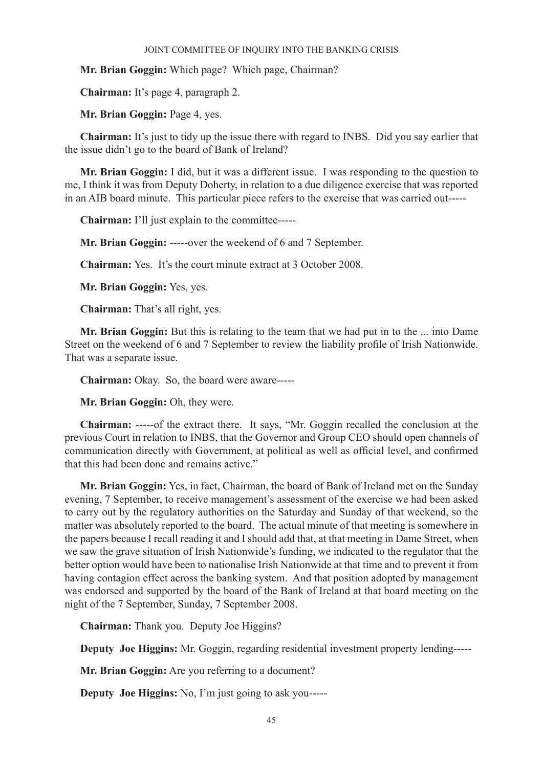**Mr. Brian Goggin:** Which page? Which page, Chairman?

**Chairman:** It's page 4, paragraph 2.

**Mr. Brian Goggin:** Page 4, yes.

**Chairman:** It's just to tidy up the issue there with regard to INBS. Did you say earlier that the issue didn't go to the board of Bank of Ireland?

**Mr. Brian Goggin:** I did, but it was a different issue. I was responding to the question to me, I think it was from Deputy Doherty, in relation to a due diligence exercise that was reported in an AIB board minute. This particular piece refers to the exercise that was carried out-----

**Chairman:** I'll just explain to the committee-----

**Mr. Brian Goggin:** -----over the weekend of 6 and 7 September.

**Chairman:** Yes. It's the court minute extract at 3 October 2008.

**Mr. Brian Goggin:** Yes, yes.

**Chairman:** That's all right, yes.

**Mr. Brian Goggin:** But this is relating to the team that we had put in to the ... into Dame Street on the weekend of 6 and 7 September to review the liability profile of Irish Nationwide. That was a separate issue.

**Chairman:** Okay. So, the board were aware-----

**Mr. Brian Goggin:** Oh, they were.

**Chairman:** -----of the extract there. It says, "Mr. Goggin recalled the conclusion at the previous Court in relation to INBS, that the Governor and Group CEO should open channels of communication directly with Government, at political as well as official level, and confirmed that this had been done and remains active."

**Mr. Brian Goggin:** Yes, in fact, Chairman, the board of Bank of Ireland met on the Sunday evening, 7 September, to receive management's assessment of the exercise we had been asked to carry out by the regulatory authorities on the Saturday and Sunday of that weekend, so the matter was absolutely reported to the board. The actual minute of that meeting is somewhere in the papers because I recall reading it and I should add that, at that meeting in Dame Street, when we saw the grave situation of Irish Nationwide's funding, we indicated to the regulator that the better option would have been to nationalise Irish Nationwide at that time and to prevent it from having contagion effect across the banking system. And that position adopted by management was endorsed and supported by the board of the Bank of Ireland at that board meeting on the night of the 7 September, Sunday, 7 September 2008.

**Chairman:** Thank you. Deputy Joe Higgins?

**Deputy Joe Higgins:** Mr. Goggin, regarding residential investment property lending-----

**Mr. Brian Goggin:** Are you referring to a document?

**Deputy Joe Higgins:** No, I'm just going to ask you-----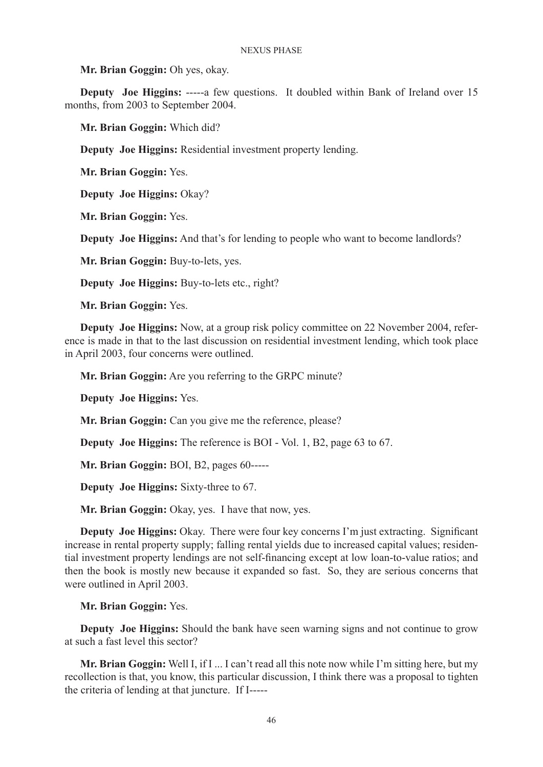**Mr. Brian Goggin:** Oh yes, okay.

**Deputy** Joe Higgins: -----a few questions. It doubled within Bank of Ireland over 15 months, from 2003 to September 2004.

**Mr. Brian Goggin:** Which did?

**Deputy Joe Higgins:** Residential investment property lending.

**Mr. Brian Goggin:** Yes.

**Deputy Joe Higgins:** Okay?

**Mr. Brian Goggin:** Yes.

**Deputy Joe Higgins:** And that's for lending to people who want to become landlords?

**Mr. Brian Goggin:** Buy-to-lets, yes.

**Deputy Joe Higgins:** Buy-to-lets etc., right?

**Mr. Brian Goggin:** Yes.

**Deputy Joe Higgins:** Now, at a group risk policy committee on 22 November 2004, reference is made in that to the last discussion on residential investment lending, which took place in April 2003, four concerns were outlined.

**Mr. Brian Goggin:** Are you referring to the GRPC minute?

**Deputy Joe Higgins:** Yes.

**Mr. Brian Goggin:** Can you give me the reference, please?

**Deputy Joe Higgins:** The reference is BOI - Vol. 1, B2, page 63 to 67.

**Mr. Brian Goggin:** BOI, B2, pages 60-----

**Deputy Joe Higgins:** Sixty-three to 67.

**Mr. Brian Goggin:** Okay, yes. I have that now, yes.

**Deputy Joe Higgins:** Okay. There were four key concerns I'm just extracting. Significant increase in rental property supply; falling rental yields due to increased capital values; residential investment property lendings are not self-financing except at low loan-to-value ratios; and then the book is mostly new because it expanded so fast. So, they are serious concerns that were outlined in April 2003.

**Mr. Brian Goggin:** Yes.

**Deputy Joe Higgins:** Should the bank have seen warning signs and not continue to grow at such a fast level this sector?

**Mr. Brian Goggin:** Well I, if I ... I can't read all this note now while I'm sitting here, but my recollection is that, you know, this particular discussion, I think there was a proposal to tighten the criteria of lending at that juncture. If I-----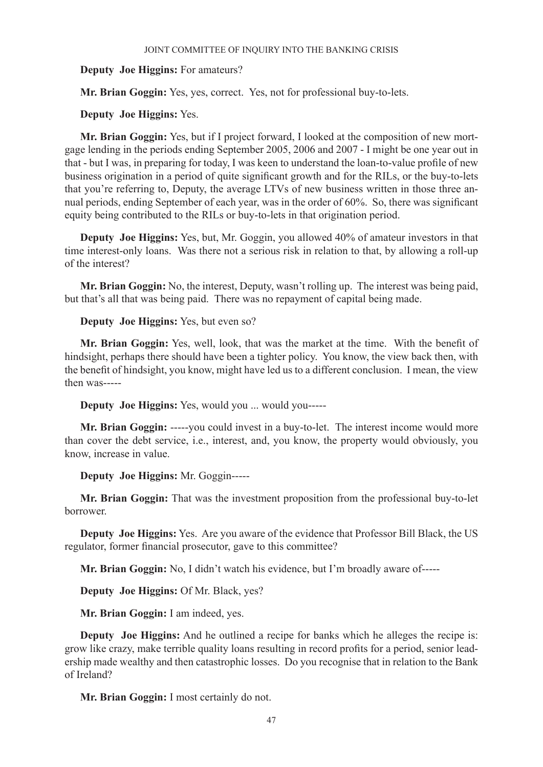## **Deputy Joe Higgins:** For amateurs?

**Mr. Brian Goggin:** Yes, yes, correct. Yes, not for professional buy-to-lets.

## **Deputy Joe Higgins:** Yes.

**Mr. Brian Goggin:** Yes, but if I project forward, I looked at the composition of new mortgage lending in the periods ending September 2005, 2006 and 2007 - I might be one year out in that - but I was, in preparing for today, I was keen to understand the loan-to-value profile of new business origination in a period of quite significant growth and for the RILs, or the buy-to-lets that you're referring to, Deputy, the average LTVs of new business written in those three annual periods, ending September of each year, was in the order of 60%. So, there was significant equity being contributed to the RILs or buy-to-lets in that origination period.

**Deputy Joe Higgins:** Yes, but, Mr. Goggin, you allowed 40% of amateur investors in that time interest-only loans. Was there not a serious risk in relation to that, by allowing a roll-up of the interest?

**Mr. Brian Goggin:** No, the interest, Deputy, wasn't rolling up. The interest was being paid, but that's all that was being paid. There was no repayment of capital being made.

**Deputy Joe Higgins:** Yes, but even so?

**Mr. Brian Goggin:** Yes, well, look, that was the market at the time. With the benefit of hindsight, perhaps there should have been a tighter policy. You know, the view back then, with the benefit of hindsight, you know, might have led us to a different conclusion. I mean, the view then was-----

**Deputy Joe Higgins:** Yes, would you ... would you-----

**Mr. Brian Goggin:** -----you could invest in a buy-to-let. The interest income would more than cover the debt service, i.e., interest, and, you know, the property would obviously, you know, increase in value.

## **Deputy Joe Higgins:** Mr. Goggin-----

**Mr. Brian Goggin:** That was the investment proposition from the professional buy-to-let borrower.

**Deputy Joe Higgins:** Yes. Are you aware of the evidence that Professor Bill Black, the US regulator, former financial prosecutor, gave to this committee?

**Mr. Brian Goggin:** No, I didn't watch his evidence, but I'm broadly aware of-----

**Deputy Joe Higgins:** Of Mr. Black, yes?

**Mr. Brian Goggin:** I am indeed, yes.

**Deputy Joe Higgins:** And he outlined a recipe for banks which he alleges the recipe is: grow like crazy, make terrible quality loans resulting in record profits for a period, senior leadership made wealthy and then catastrophic losses. Do you recognise that in relation to the Bank of Ireland?

**Mr. Brian Goggin:** I most certainly do not.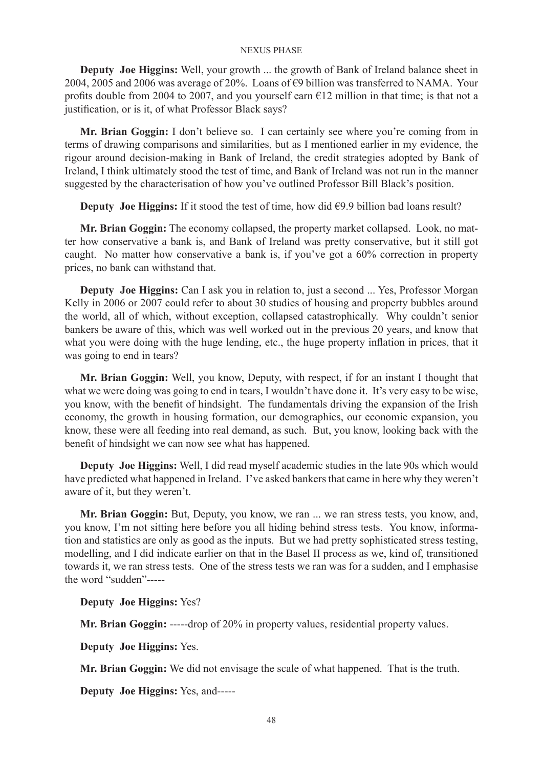**Deputy Joe Higgins:** Well, your growth ... the growth of Bank of Ireland balance sheet in 2004, 2005 and 2006 was average of 20%. Loans of €9 billion was transferred to NAMA. Your profits double from 2004 to 2007, and you yourself earn  $E12$  million in that time; is that not a justification, or is it, of what Professor Black says?

**Mr. Brian Goggin:** I don't believe so. I can certainly see where you're coming from in terms of drawing comparisons and similarities, but as I mentioned earlier in my evidence, the rigour around decision-making in Bank of Ireland, the credit strategies adopted by Bank of Ireland, I think ultimately stood the test of time, and Bank of Ireland was not run in the manner suggested by the characterisation of how you've outlined Professor Bill Black's position.

**Deputy Joe Higgins:** If it stood the test of time, how did €9.9 billion bad loans result?

**Mr. Brian Goggin:** The economy collapsed, the property market collapsed. Look, no matter how conservative a bank is, and Bank of Ireland was pretty conservative, but it still got caught. No matter how conservative a bank is, if you've got a 60% correction in property prices, no bank can withstand that.

**Deputy Joe Higgins:** Can I ask you in relation to, just a second ... Yes, Professor Morgan Kelly in 2006 or 2007 could refer to about 30 studies of housing and property bubbles around the world, all of which, without exception, collapsed catastrophically. Why couldn't senior bankers be aware of this, which was well worked out in the previous 20 years, and know that what you were doing with the huge lending, etc., the huge property inflation in prices, that it was going to end in tears?

**Mr. Brian Goggin:** Well, you know, Deputy, with respect, if for an instant I thought that what we were doing was going to end in tears, I wouldn't have done it. It's very easy to be wise, you know, with the benefit of hindsight. The fundamentals driving the expansion of the Irish economy, the growth in housing formation, our demographics, our economic expansion, you know, these were all feeding into real demand, as such. But, you know, looking back with the benefit of hindsight we can now see what has happened.

**Deputy Joe Higgins:** Well, I did read myself academic studies in the late 90s which would have predicted what happened in Ireland. I've asked bankers that came in here why they weren't aware of it, but they weren't.

**Mr. Brian Goggin:** But, Deputy, you know, we ran ... we ran stress tests, you know, and, you know, I'm not sitting here before you all hiding behind stress tests. You know, information and statistics are only as good as the inputs. But we had pretty sophisticated stress testing, modelling, and I did indicate earlier on that in the Basel II process as we, kind of, transitioned towards it, we ran stress tests. One of the stress tests we ran was for a sudden, and I emphasise the word "sudden"-----

**Deputy Joe Higgins:** Yes?

**Mr. Brian Goggin:** -----drop of 20% in property values, residential property values.

**Deputy Joe Higgins:** Yes.

**Mr. Brian Goggin:** We did not envisage the scale of what happened. That is the truth.

**Deputy Joe Higgins:** Yes, and-----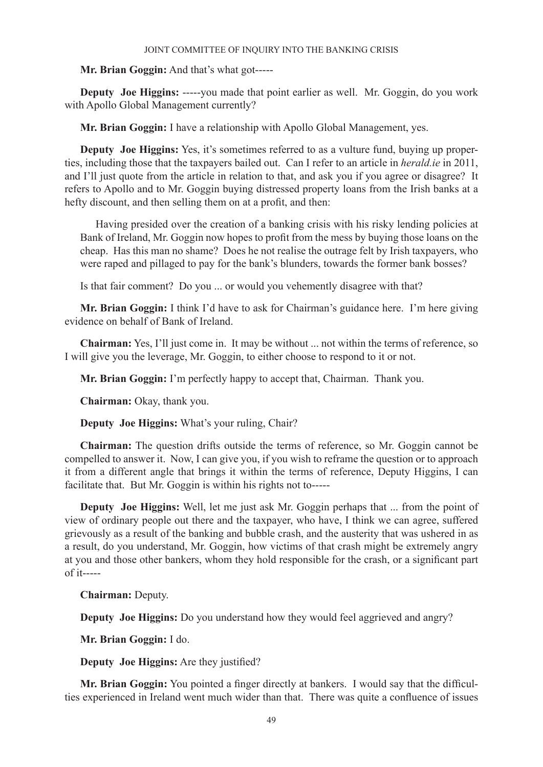**Mr. Brian Goggin:** And that's what got-----

**Deputy Joe Higgins:** -----you made that point earlier as well. Mr. Goggin, do you work with Apollo Global Management currently?

**Mr. Brian Goggin:** I have a relationship with Apollo Global Management, yes.

**Deputy Joe Higgins:** Yes, it's sometimes referred to as a vulture fund, buying up properties, including those that the taxpayers bailed out. Can I refer to an article in *herald.ie* in 2011, and I'll just quote from the article in relation to that, and ask you if you agree or disagree? It refers to Apollo and to Mr. Goggin buying distressed property loans from the Irish banks at a hefty discount, and then selling them on at a profit, and then:

Having presided over the creation of a banking crisis with his risky lending policies at Bank of Ireland, Mr. Goggin now hopes to profit from the mess by buying those loans on the cheap. Has this man no shame? Does he not realise the outrage felt by Irish taxpayers, who were raped and pillaged to pay for the bank's blunders, towards the former bank bosses?

Is that fair comment? Do you ... or would you vehemently disagree with that?

**Mr. Brian Goggin:** I think I'd have to ask for Chairman's guidance here. I'm here giving evidence on behalf of Bank of Ireland.

**Chairman:** Yes, I'll just come in. It may be without ... not within the terms of reference, so I will give you the leverage, Mr. Goggin, to either choose to respond to it or not.

**Mr. Brian Goggin:** I'm perfectly happy to accept that, Chairman. Thank you.

**Chairman:** Okay, thank you.

**Deputy Joe Higgins:** What's your ruling, Chair?

**Chairman:** The question drifts outside the terms of reference, so Mr. Goggin cannot be compelled to answer it. Now, I can give you, if you wish to reframe the question or to approach it from a different angle that brings it within the terms of reference, Deputy Higgins, I can facilitate that. But Mr. Goggin is within his rights not to-----

**Deputy Joe Higgins:** Well, let me just ask Mr. Goggin perhaps that ... from the point of view of ordinary people out there and the taxpayer, who have, I think we can agree, suffered grievously as a result of the banking and bubble crash, and the austerity that was ushered in as a result, do you understand, Mr. Goggin, how victims of that crash might be extremely angry at you and those other bankers, whom they hold responsible for the crash, or a significant part of it-----

**Chairman:** Deputy.

**Deputy Joe Higgins:** Do you understand how they would feel aggrieved and angry?

**Mr. Brian Goggin:** I do.

**Deputy Joe Higgins:** Are they justified?

**Mr. Brian Goggin:** You pointed a finger directly at bankers. I would say that the difficulties experienced in Ireland went much wider than that. There was quite a confluence of issues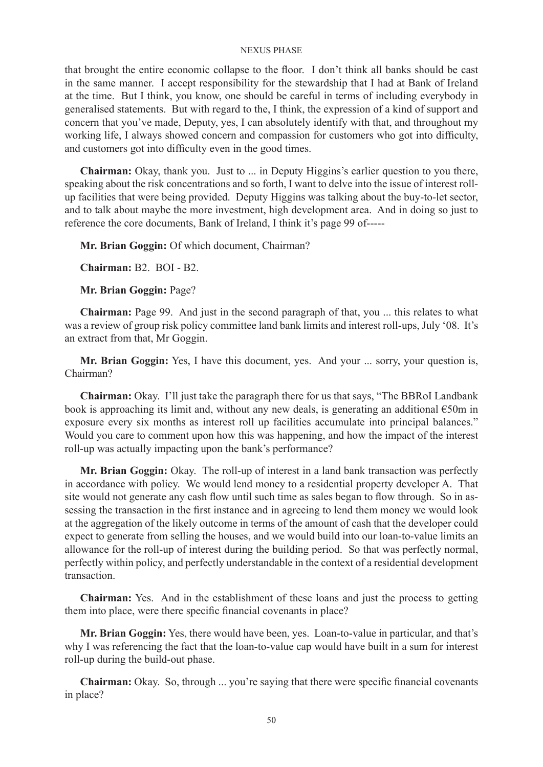that brought the entire economic collapse to the floor. I don't think all banks should be cast in the same manner. I accept responsibility for the stewardship that I had at Bank of Ireland at the time. But I think, you know, one should be careful in terms of including everybody in generalised statements. But with regard to the, I think, the expression of a kind of support and concern that you've made, Deputy, yes, I can absolutely identify with that, and throughout my working life, I always showed concern and compassion for customers who got into difficulty, and customers got into difficulty even in the good times.

**Chairman:** Okay, thank you. Just to ... in Deputy Higgins's earlier question to you there, speaking about the risk concentrations and so forth, I want to delve into the issue of interest rollup facilities that were being provided. Deputy Higgins was talking about the buy-to-let sector, and to talk about maybe the more investment, high development area. And in doing so just to reference the core documents, Bank of Ireland, I think it's page 99 of-----

**Mr. Brian Goggin:** Of which document, Chairman?

**Chairman:** B2. BOI - B2.

**Mr. Brian Goggin:** Page?

**Chairman:** Page 99. And just in the second paragraph of that, you ... this relates to what was a review of group risk policy committee land bank limits and interest roll-ups, July '08. It's an extract from that, Mr Goggin.

**Mr. Brian Goggin:** Yes, I have this document, yes. And your ... sorry, your question is, Chairman?

**Chairman:** Okay. I'll just take the paragraph there for us that says, "The BBRoI Landbank book is approaching its limit and, without any new deals, is generating an additional  $\epsilon$ 50m in exposure every six months as interest roll up facilities accumulate into principal balances." Would you care to comment upon how this was happening, and how the impact of the interest roll-up was actually impacting upon the bank's performance?

**Mr. Brian Goggin:** Okay. The roll-up of interest in a land bank transaction was perfectly in accordance with policy. We would lend money to a residential property developer A. That site would not generate any cash flow until such time as sales began to flow through. So in assessing the transaction in the first instance and in agreeing to lend them money we would look at the aggregation of the likely outcome in terms of the amount of cash that the developer could expect to generate from selling the houses, and we would build into our loan-to-value limits an allowance for the roll-up of interest during the building period. So that was perfectly normal, perfectly within policy, and perfectly understandable in the context of a residential development transaction.

**Chairman:** Yes. And in the establishment of these loans and just the process to getting them into place, were there specific financial covenants in place?

**Mr. Brian Goggin:** Yes, there would have been, yes. Loan-to-value in particular, and that's why I was referencing the fact that the loan-to-value cap would have built in a sum for interest roll-up during the build-out phase.

**Chairman:** Okay. So, through ... you're saying that there were specific financial covenants in place?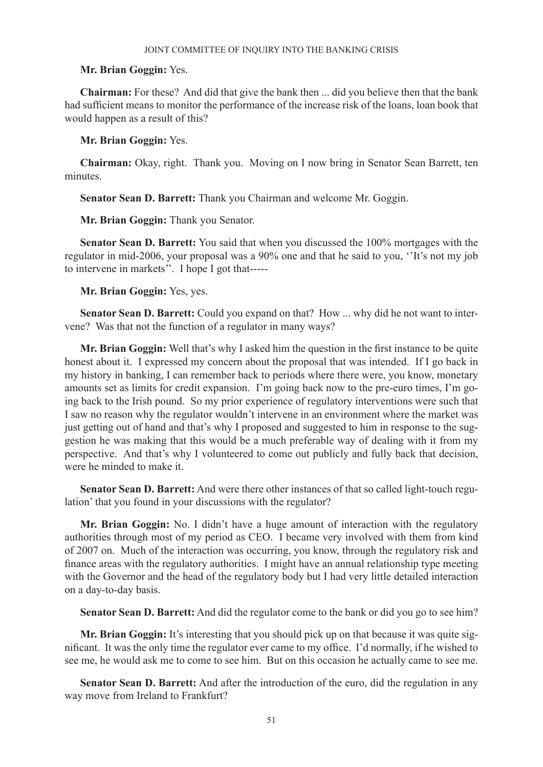### **Mr. Brian Goggin:** Yes.

**Chairman:** For these? And did that give the bank then ... did you believe then that the bank had sufficient means to monitor the performance of the increase risk of the loans, loan book that would happen as a result of this?

### **Mr. Brian Goggin:** Yes.

**Chairman:** Okay, right. Thank you. Moving on I now bring in Senator Sean Barrett, ten minutes.

**Senator Sean D. Barrett:** Thank you Chairman and welcome Mr. Goggin.

**Mr. Brian Goggin:** Thank you Senator.

**Senator Sean D. Barrett:** You said that when you discussed the 100% mortgages with the regulator in mid-2006, your proposal was a 90% one and that he said to you, ''It's not my job to intervene in markets''. I hope I got that-----

**Mr. Brian Goggin:** Yes, yes.

**Senator Sean D. Barrett:** Could you expand on that? How ... why did he not want to intervene? Was that not the function of a regulator in many ways?

**Mr. Brian Goggin:** Well that's why I asked him the question in the first instance to be quite honest about it. I expressed my concern about the proposal that was intended. If I go back in my history in banking, I can remember back to periods where there were, you know, monetary amounts set as limits for credit expansion. I'm going back now to the pre-euro times, I'm going back to the Irish pound. So my prior experience of regulatory interventions were such that I saw no reason why the regulator wouldn't intervene in an environment where the market was just getting out of hand and that's why I proposed and suggested to him in response to the suggestion he was making that this would be a much preferable way of dealing with it from my perspective. And that's why I volunteered to come out publicly and fully back that decision, were he minded to make it.

**Senator Sean D. Barrett:** And were there other instances of that so called light-touch regulation' that you found in your discussions with the regulator?

**Mr. Brian Goggin:** No. I didn't have a huge amount of interaction with the regulatory authorities through most of my period as CEO. I became very involved with them from kind of 2007 on. Much of the interaction was occurring, you know, through the regulatory risk and finance areas with the regulatory authorities. I might have an annual relationship type meeting with the Governor and the head of the regulatory body but I had very little detailed interaction on a day-to-day basis.

**Senator Sean D. Barrett:** And did the regulator come to the bank or did you go to see him?

**Mr. Brian Goggin:** It's interesting that you should pick up on that because it was quite significant. It was the only time the regulator ever came to my office. I'd normally, if he wished to see me, he would ask me to come to see him. But on this occasion he actually came to see me.

**Senator Sean D. Barrett:** And after the introduction of the euro, did the regulation in any way move from Ireland to Frankfurt?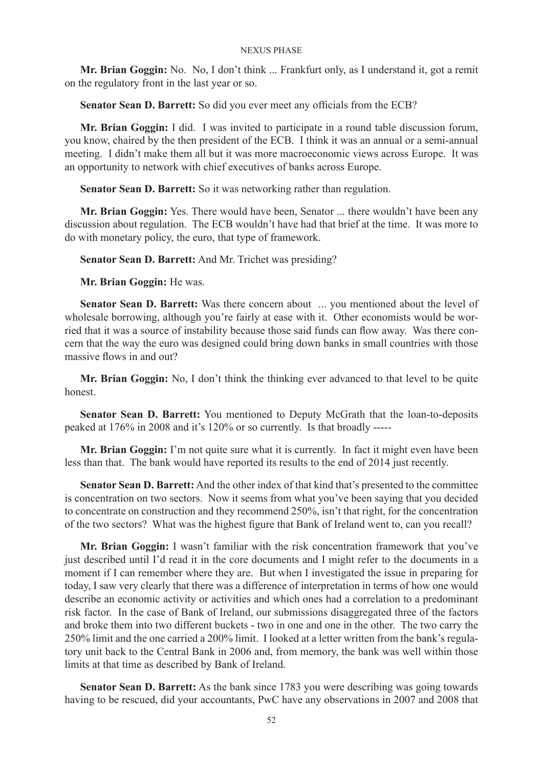**Mr. Brian Goggin:** No. No, I don't think ... Frankfurt only, as I understand it, got a remit on the regulatory front in the last year or so.

**Senator Sean D. Barrett:** So did you ever meet any officials from the ECB?

**Mr. Brian Goggin:** I did. I was invited to participate in a round table discussion forum, you know, chaired by the then president of the ECB. I think it was an annual or a semi-annual meeting. I didn't make them all but it was more macroeconomic views across Europe. It was an opportunity to network with chief executives of banks across Europe.

**Senator Sean D. Barrett:** So it was networking rather than regulation.

**Mr. Brian Goggin:** Yes. There would have been, Senator ... there wouldn't have been any discussion about regulation. The ECB wouldn't have had that brief at the time. It was more to do with monetary policy, the euro, that type of framework.

**Senator Sean D. Barrett:** And Mr. Trichet was presiding?

**Mr. Brian Goggin:** He was.

**Senator Sean D. Barrett:** Was there concern about ... you mentioned about the level of wholesale borrowing, although you're fairly at ease with it. Other economists would be worried that it was a source of instability because those said funds can flow away. Was there concern that the way the euro was designed could bring down banks in small countries with those massive flows in and out?

**Mr. Brian Goggin:** No, I don't think the thinking ever advanced to that level to be quite honest.

**Senator Sean D. Barrett:** You mentioned to Deputy McGrath that the loan-to-deposits peaked at 176% in 2008 and it's 120% or so currently. Is that broadly -----

**Mr. Brian Goggin:** I'm not quite sure what it is currently. In fact it might even have been less than that. The bank would have reported its results to the end of 2014 just recently.

**Senator Sean D. Barrett:** And the other index of that kind that's presented to the committee is concentration on two sectors. Now it seems from what you've been saying that you decided to concentrate on construction and they recommend 250%, isn't that right, for the concentration of the two sectors? What was the highest figure that Bank of Ireland went to, can you recall?

**Mr. Brian Goggin:** I wasn't familiar with the risk concentration framework that you've just described until I'd read it in the core documents and I might refer to the documents in a moment if I can remember where they are. But when I investigated the issue in preparing for today, I saw very clearly that there was a difference of interpretation in terms of how one would describe an economic activity or activities and which ones had a correlation to a predominant risk factor. In the case of Bank of Ireland, our submissions disaggregated three of the factors and broke them into two different buckets - two in one and one in the other. The two carry the 250% limit and the one carried a 200% limit. I looked at a letter written from the bank's regulatory unit back to the Central Bank in 2006 and, from memory, the bank was well within those limits at that time as described by Bank of Ireland.

**Senator Sean D. Barrett:** As the bank since 1783 you were describing was going towards having to be rescued, did your accountants, PwC have any observations in 2007 and 2008 that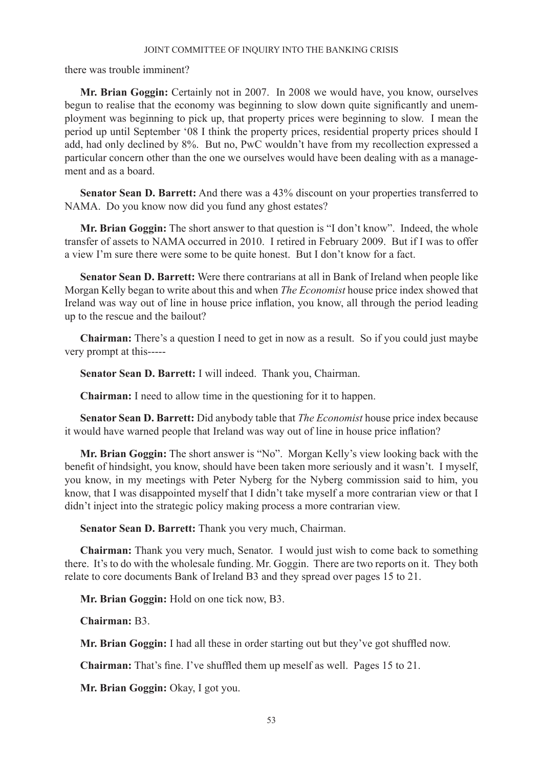there was trouble imminent?

**Mr. Brian Goggin:** Certainly not in 2007. In 2008 we would have, you know, ourselves begun to realise that the economy was beginning to slow down quite significantly and unemployment was beginning to pick up, that property prices were beginning to slow. I mean the period up until September '08 I think the property prices, residential property prices should I add, had only declined by 8%. But no, PwC wouldn't have from my recollection expressed a particular concern other than the one we ourselves would have been dealing with as a management and as a board.

**Senator Sean D. Barrett:** And there was a 43% discount on your properties transferred to NAMA. Do you know now did you fund any ghost estates?

**Mr. Brian Goggin:** The short answer to that question is "I don't know". Indeed, the whole transfer of assets to NAMA occurred in 2010. I retired in February 2009. But if I was to offer a view I'm sure there were some to be quite honest. But I don't know for a fact.

**Senator Sean D. Barrett:** Were there contrarians at all in Bank of Ireland when people like Morgan Kelly began to write about this and when *The Economist* house price index showed that Ireland was way out of line in house price inflation, you know, all through the period leading up to the rescue and the bailout?

**Chairman:** There's a question I need to get in now as a result. So if you could just maybe very prompt at this-----

**Senator Sean D. Barrett:** I will indeed. Thank you, Chairman.

**Chairman:** I need to allow time in the questioning for it to happen.

**Senator Sean D. Barrett:** Did anybody table that *The Economist* house price index because it would have warned people that Ireland was way out of line in house price inflation?

**Mr. Brian Goggin:** The short answer is "No". Morgan Kelly's view looking back with the benefit of hindsight, you know, should have been taken more seriously and it wasn't. I myself, you know, in my meetings with Peter Nyberg for the Nyberg commission said to him, you know, that I was disappointed myself that I didn't take myself a more contrarian view or that I didn't inject into the strategic policy making process a more contrarian view.

**Senator Sean D. Barrett:** Thank you very much, Chairman.

**Chairman:** Thank you very much, Senator. I would just wish to come back to something there. It's to do with the wholesale funding. Mr. Goggin. There are two reports on it. They both relate to core documents Bank of Ireland B3 and they spread over pages 15 to 21.

**Mr. Brian Goggin:** Hold on one tick now, B3.

**Chairman:** B3.

**Mr. Brian Goggin:** I had all these in order starting out but they've got shuffled now.

**Chairman:** That's fine. I've shuffled them up meself as well. Pages 15 to 21.

**Mr. Brian Goggin:** Okay, I got you.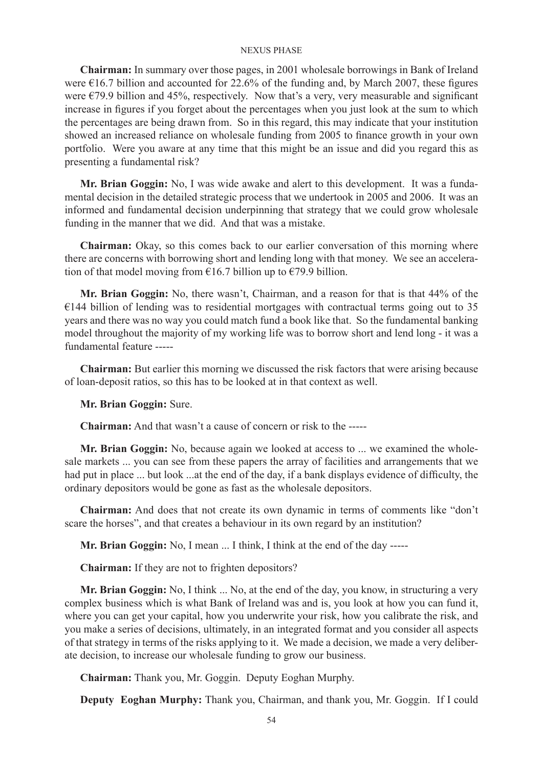**Chairman:** In summary over those pages, in 2001 wholesale borrowings in Bank of Ireland were €16.7 billion and accounted for 22.6% of the funding and, by March 2007, these figures were  $\epsilon$ 79.9 billion and 45%, respectively. Now that's a very, very measurable and significant increase in figures if you forget about the percentages when you just look at the sum to which the percentages are being drawn from. So in this regard, this may indicate that your institution showed an increased reliance on wholesale funding from 2005 to finance growth in your own portfolio. Were you aware at any time that this might be an issue and did you regard this as presenting a fundamental risk?

**Mr. Brian Goggin:** No, I was wide awake and alert to this development. It was a fundamental decision in the detailed strategic process that we undertook in 2005 and 2006. It was an informed and fundamental decision underpinning that strategy that we could grow wholesale funding in the manner that we did. And that was a mistake.

**Chairman:** Okay, so this comes back to our earlier conversation of this morning where there are concerns with borrowing short and lending long with that money. We see an acceleration of that model moving from  $\epsilon$ 16.7 billion up to  $\epsilon$ 79.9 billion.

**Mr. Brian Goggin:** No, there wasn't, Chairman, and a reason for that is that 44% of the  $€144$  billion of lending was to residential mortgages with contractual terms going out to 35 years and there was no way you could match fund a book like that. So the fundamental banking model throughout the majority of my working life was to borrow short and lend long - it was a fundamental feature -----

**Chairman:** But earlier this morning we discussed the risk factors that were arising because of loan-deposit ratios, so this has to be looked at in that context as well.

**Mr. Brian Goggin:** Sure.

**Chairman:** And that wasn't a cause of concern or risk to the -----

**Mr. Brian Goggin:** No, because again we looked at access to ... we examined the wholesale markets ... you can see from these papers the array of facilities and arrangements that we had put in place ... but look ...at the end of the day, if a bank displays evidence of difficulty, the ordinary depositors would be gone as fast as the wholesale depositors.

**Chairman:** And does that not create its own dynamic in terms of comments like "don't scare the horses", and that creates a behaviour in its own regard by an institution?

**Mr. Brian Goggin:** No, I mean ... I think, I think at the end of the day -----

**Chairman:** If they are not to frighten depositors?

**Mr. Brian Goggin:** No, I think ... No, at the end of the day, you know, in structuring a very complex business which is what Bank of Ireland was and is, you look at how you can fund it, where you can get your capital, how you underwrite your risk, how you calibrate the risk, and you make a series of decisions, ultimately, in an integrated format and you consider all aspects of that strategy in terms of the risks applying to it. We made a decision, we made a very deliberate decision, to increase our wholesale funding to grow our business.

**Chairman:** Thank you, Mr. Goggin. Deputy Eoghan Murphy.

**Deputy Eoghan Murphy:** Thank you, Chairman, and thank you, Mr. Goggin. If I could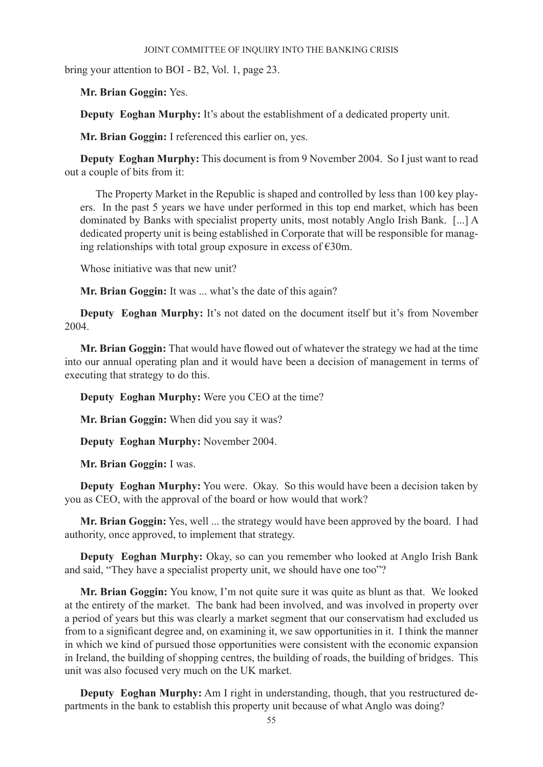bring your attention to BOI - B2, Vol. 1, page 23.

**Mr. Brian Goggin:** Yes.

**Deputy Eoghan Murphy:** It's about the establishment of a dedicated property unit.

**Mr. Brian Goggin:** I referenced this earlier on, yes.

**Deputy Eoghan Murphy:** This document is from 9 November 2004. So I just want to read out a couple of bits from it:

The Property Market in the Republic is shaped and controlled by less than 100 key players. In the past 5 years we have under performed in this top end market, which has been dominated by Banks with specialist property units, most notably Anglo Irish Bank. [...] A dedicated property unit is being established in Corporate that will be responsible for managing relationships with total group exposure in excess of  $\epsilon$ 30m.

Whose initiative was that new unit?

**Mr. Brian Goggin:** It was ... what's the date of this again?

**Deputy Eoghan Murphy:** It's not dated on the document itself but it's from November 2004.

**Mr. Brian Goggin:** That would have flowed out of whatever the strategy we had at the time into our annual operating plan and it would have been a decision of management in terms of executing that strategy to do this.

**Deputy Eoghan Murphy:** Were you CEO at the time?

**Mr. Brian Goggin:** When did you say it was?

**Deputy Eoghan Murphy:** November 2004.

**Mr. Brian Goggin:** I was.

**Deputy Eoghan Murphy:** You were. Okay. So this would have been a decision taken by you as CEO, with the approval of the board or how would that work?

**Mr. Brian Goggin:** Yes, well ... the strategy would have been approved by the board. I had authority, once approved, to implement that strategy.

**Deputy Eoghan Murphy:** Okay, so can you remember who looked at Anglo Irish Bank and said, "They have a specialist property unit, we should have one too"?

**Mr. Brian Goggin:** You know, I'm not quite sure it was quite as blunt as that. We looked at the entirety of the market. The bank had been involved, and was involved in property over a period of years but this was clearly a market segment that our conservatism had excluded us from to a significant degree and, on examining it, we saw opportunities in it. I think the manner in which we kind of pursued those opportunities were consistent with the economic expansion in Ireland, the building of shopping centres, the building of roads, the building of bridges. This unit was also focused very much on the UK market.

**Deputy Eoghan Murphy:** Am I right in understanding, though, that you restructured departments in the bank to establish this property unit because of what Anglo was doing?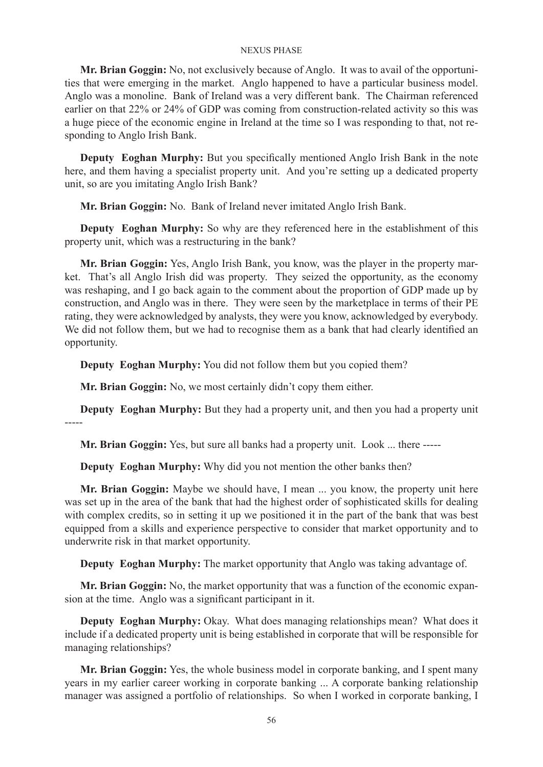**Mr. Brian Goggin:** No, not exclusively because of Anglo. It was to avail of the opportunities that were emerging in the market. Anglo happened to have a particular business model. Anglo was a monoline. Bank of Ireland was a very different bank. The Chairman referenced earlier on that 22% or 24% of GDP was coming from construction-related activity so this was a huge piece of the economic engine in Ireland at the time so I was responding to that, not responding to Anglo Irish Bank.

**Deputy Eoghan Murphy:** But you specifically mentioned Anglo Irish Bank in the note here, and them having a specialist property unit. And you're setting up a dedicated property unit, so are you imitating Anglo Irish Bank?

**Mr. Brian Goggin:** No. Bank of Ireland never imitated Anglo Irish Bank.

**Deputy Eoghan Murphy:** So why are they referenced here in the establishment of this property unit, which was a restructuring in the bank?

**Mr. Brian Goggin:** Yes, Anglo Irish Bank, you know, was the player in the property market. That's all Anglo Irish did was property. They seized the opportunity, as the economy was reshaping, and I go back again to the comment about the proportion of GDP made up by construction, and Anglo was in there. They were seen by the marketplace in terms of their PE rating, they were acknowledged by analysts, they were you know, acknowledged by everybody. We did not follow them, but we had to recognise them as a bank that had clearly identified an opportunity.

**Deputy Eoghan Murphy:** You did not follow them but you copied them?

**Mr. Brian Goggin:** No, we most certainly didn't copy them either.

**Deputy Eoghan Murphy:** But they had a property unit, and then you had a property unit -----

**Mr. Brian Goggin:** Yes, but sure all banks had a property unit. Look ... there -----

**Deputy Eoghan Murphy:** Why did you not mention the other banks then?

**Mr. Brian Goggin:** Maybe we should have, I mean ... you know, the property unit here was set up in the area of the bank that had the highest order of sophisticated skills for dealing with complex credits, so in setting it up we positioned it in the part of the bank that was best equipped from a skills and experience perspective to consider that market opportunity and to underwrite risk in that market opportunity.

**Deputy Eoghan Murphy:** The market opportunity that Anglo was taking advantage of.

**Mr. Brian Goggin:** No, the market opportunity that was a function of the economic expansion at the time. Anglo was a significant participant in it.

**Deputy Eoghan Murphy:** Okay. What does managing relationships mean? What does it include if a dedicated property unit is being established in corporate that will be responsible for managing relationships?

**Mr. Brian Goggin:** Yes, the whole business model in corporate banking, and I spent many years in my earlier career working in corporate banking ... A corporate banking relationship manager was assigned a portfolio of relationships. So when I worked in corporate banking, I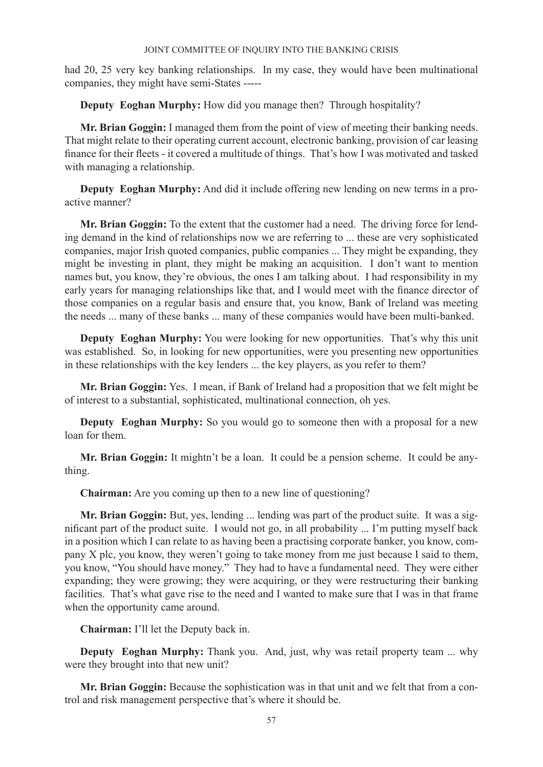had 20, 25 very key banking relationships. In my case, they would have been multinational companies, they might have semi-States -----

**Deputy Eoghan Murphy:** How did you manage then? Through hospitality?

**Mr. Brian Goggin:** I managed them from the point of view of meeting their banking needs. That might relate to their operating current account, electronic banking, provision of car leasing finance for their fleets - it covered a multitude of things. That's how I was motivated and tasked with managing a relationship.

**Deputy Eoghan Murphy:** And did it include offering new lending on new terms in a proactive manner?

**Mr. Brian Goggin:** To the extent that the customer had a need. The driving force for lending demand in the kind of relationships now we are referring to ... these are very sophisticated companies, major Irish quoted companies, public companies ... They might be expanding, they might be investing in plant, they might be making an acquisition. I don't want to mention names but, you know, they're obvious, the ones I am talking about. I had responsibility in my early years for managing relationships like that, and I would meet with the finance director of those companies on a regular basis and ensure that, you know, Bank of Ireland was meeting the needs ... many of these banks ... many of these companies would have been multi-banked.

**Deputy Eoghan Murphy:** You were looking for new opportunities. That's why this unit was established. So, in looking for new opportunities, were you presenting new opportunities in these relationships with the key lenders ... the key players, as you refer to them?

**Mr. Brian Goggin:** Yes. I mean, if Bank of Ireland had a proposition that we felt might be of interest to a substantial, sophisticated, multinational connection, oh yes.

**Deputy Eoghan Murphy:** So you would go to someone then with a proposal for a new loan for them.

**Mr. Brian Goggin:** It mightn't be a loan. It could be a pension scheme. It could be anything.

**Chairman:** Are you coming up then to a new line of questioning?

**Mr. Brian Goggin:** But, yes, lending ... lending was part of the product suite. It was a significant part of the product suite. I would not go, in all probability ... I'm putting myself back in a position which I can relate to as having been a practising corporate banker, you know, company X plc, you know, they weren't going to take money from me just because I said to them, you know, "You should have money." They had to have a fundamental need. They were either expanding; they were growing; they were acquiring, or they were restructuring their banking facilities. That's what gave rise to the need and I wanted to make sure that I was in that frame when the opportunity came around.

**Chairman:** I'll let the Deputy back in.

**Deputy Eoghan Murphy:** Thank you. And, just, why was retail property team ... why were they brought into that new unit?

**Mr. Brian Goggin:** Because the sophistication was in that unit and we felt that from a control and risk management perspective that's where it should be.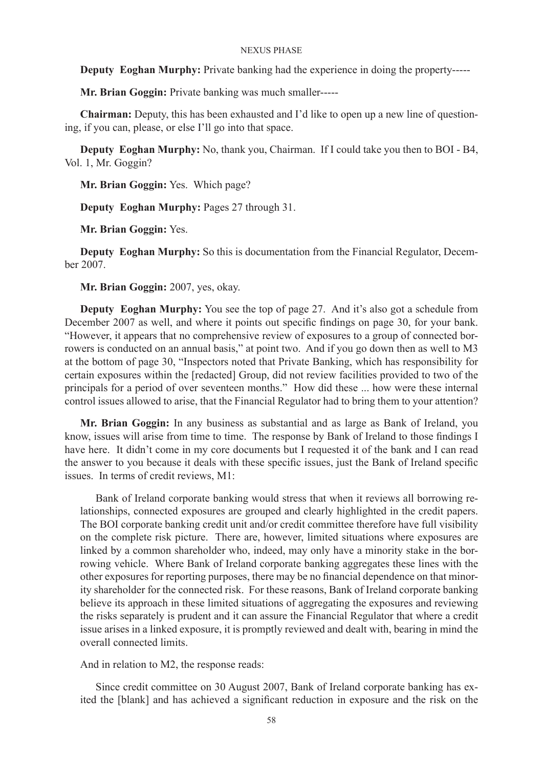**Deputy Eoghan Murphy:** Private banking had the experience in doing the property-----

**Mr. Brian Goggin:** Private banking was much smaller-----

**Chairman:** Deputy, this has been exhausted and I'd like to open up a new line of questioning, if you can, please, or else I'll go into that space.

**Deputy Eoghan Murphy:** No, thank you, Chairman. If I could take you then to BOI - B4, Vol. 1, Mr. Goggin?

**Mr. Brian Goggin:** Yes. Which page?

**Deputy Eoghan Murphy:** Pages 27 through 31.

**Mr. Brian Goggin:** Yes.

**Deputy Eoghan Murphy:** So this is documentation from the Financial Regulator, December 2007.

**Mr. Brian Goggin:** 2007, yes, okay.

**Deputy Eoghan Murphy:** You see the top of page 27. And it's also got a schedule from December 2007 as well, and where it points out specific findings on page 30, for your bank. "However, it appears that no comprehensive review of exposures to a group of connected borrowers is conducted on an annual basis," at point two. And if you go down then as well to M3 at the bottom of page 30, "Inspectors noted that Private Banking, which has responsibility for certain exposures within the [redacted] Group, did not review facilities provided to two of the principals for a period of over seventeen months." How did these ... how were these internal control issues allowed to arise, that the Financial Regulator had to bring them to your attention?

**Mr. Brian Goggin:** In any business as substantial and as large as Bank of Ireland, you know, issues will arise from time to time. The response by Bank of Ireland to those findings I have here. It didn't come in my core documents but I requested it of the bank and I can read the answer to you because it deals with these specific issues, just the Bank of Ireland specific issues. In terms of credit reviews, M1:

Bank of Ireland corporate banking would stress that when it reviews all borrowing relationships, connected exposures are grouped and clearly highlighted in the credit papers. The BOI corporate banking credit unit and/or credit committee therefore have full visibility on the complete risk picture. There are, however, limited situations where exposures are linked by a common shareholder who, indeed, may only have a minority stake in the borrowing vehicle. Where Bank of Ireland corporate banking aggregates these lines with the other exposures for reporting purposes, there may be no financial dependence on that minority shareholder for the connected risk. For these reasons, Bank of Ireland corporate banking believe its approach in these limited situations of aggregating the exposures and reviewing the risks separately is prudent and it can assure the Financial Regulator that where a credit issue arises in a linked exposure, it is promptly reviewed and dealt with, bearing in mind the overall connected limits.

And in relation to M2, the response reads:

Since credit committee on 30 August 2007, Bank of Ireland corporate banking has exited the [blank] and has achieved a significant reduction in exposure and the risk on the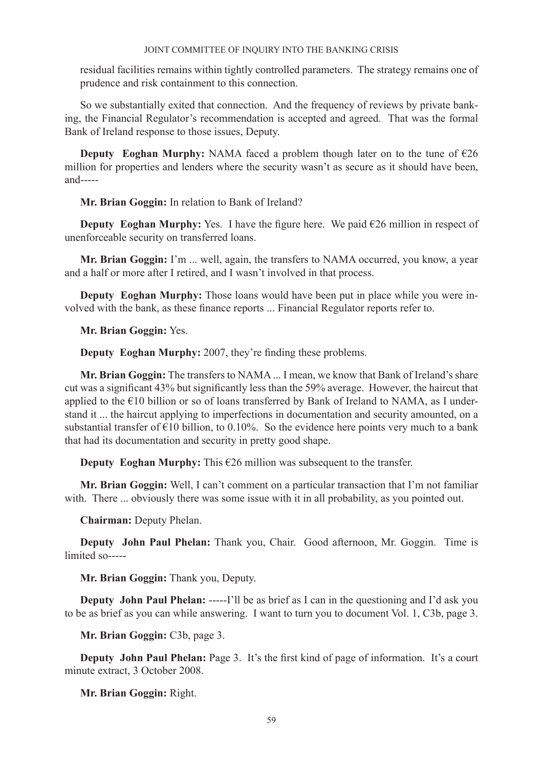residual facilities remains within tightly controlled parameters. The strategy remains one of prudence and risk containment to this connection.

So we substantially exited that connection. And the frequency of reviews by private banking, the Financial Regulator's recommendation is accepted and agreed. That was the formal Bank of Ireland response to those issues, Deputy.

**Deputy Eoghan Murphy:** NAMA faced a problem though later on to the tune of  $\epsilon$ 26 million for properties and lenders where the security wasn't as secure as it should have been, and-----

## **Mr. Brian Goggin:** In relation to Bank of Ireland?

**Deputy Eoghan Murphy:** Yes. I have the figure here. We paid €26 million in respect of unenforceable security on transferred loans.

**Mr. Brian Goggin:** I'm ... well, again, the transfers to NAMA occurred, you know, a year and a half or more after I retired, and I wasn't involved in that process.

**Deputy Eoghan Murphy:** Those loans would have been put in place while you were involved with the bank, as these finance reports ... Financial Regulator reports refer to.

**Mr. Brian Goggin:** Yes.

**Deputy Eoghan Murphy:** 2007, they're finding these problems.

**Mr. Brian Goggin:** The transfers to NAMA ... I mean, we know that Bank of Ireland's share cut was a significant 43% but significantly less than the 59% average. However, the haircut that applied to the €10 billion or so of loans transferred by Bank of Ireland to NAMA, as I understand it ... the haircut applying to imperfections in documentation and security amounted, on a substantial transfer of  $\epsilon$ 10 billion, to 0.10%. So the evidence here points very much to a bank that had its documentation and security in pretty good shape.

**Deputy Eoghan Murphy:** This  $\epsilon$ 26 million was subsequent to the transfer.

**Mr. Brian Goggin:** Well, I can't comment on a particular transaction that I'm not familiar with. There ... obviously there was some issue with it in all probability, as you pointed out.

**Chairman:** Deputy Phelan.

**Deputy John Paul Phelan:** Thank you, Chair. Good afternoon, Mr. Goggin. Time is limited so-----

**Mr. Brian Goggin:** Thank you, Deputy.

**Deputy John Paul Phelan:** -----I'll be as brief as I can in the questioning and I'd ask you to be as brief as you can while answering. I want to turn you to document Vol. 1, C3b, page 3.

**Mr. Brian Goggin:** C3b, page 3.

**Deputy John Paul Phelan:** Page 3. It's the first kind of page of information. It's a court minute extract, 3 October 2008.

**Mr. Brian Goggin:** Right.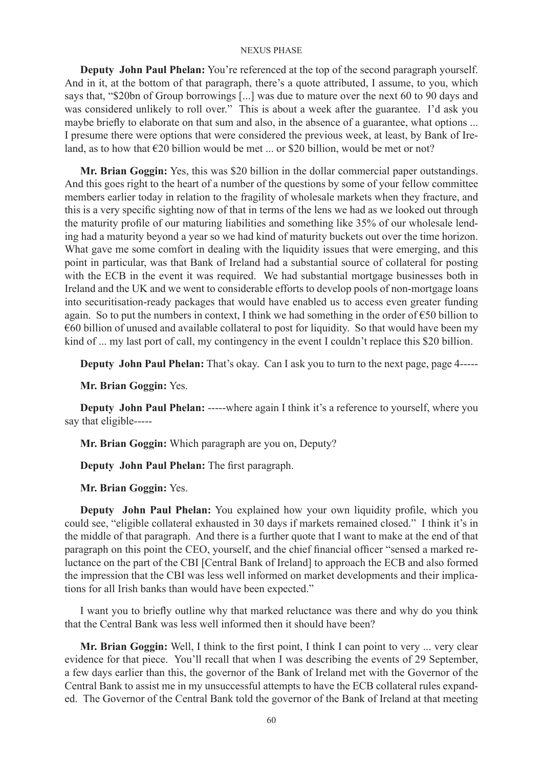**Deputy John Paul Phelan:** You're referenced at the top of the second paragraph yourself. And in it, at the bottom of that paragraph, there's a quote attributed, I assume, to you, which says that, "\$20bn of Group borrowings [...] was due to mature over the next 60 to 90 days and was considered unlikely to roll over." This is about a week after the guarantee. I'd ask you maybe briefly to elaborate on that sum and also, in the absence of a guarantee, what options ... I presume there were options that were considered the previous week, at least, by Bank of Ireland, as to how that  $\epsilon$ 20 billion would be met ... or \$20 billion, would be met or not?

**Mr. Brian Goggin:** Yes, this was \$20 billion in the dollar commercial paper outstandings. And this goes right to the heart of a number of the questions by some of your fellow committee members earlier today in relation to the fragility of wholesale markets when they fracture, and this is a very specific sighting now of that in terms of the lens we had as we looked out through the maturity profile of our maturing liabilities and something like 35% of our wholesale lending had a maturity beyond a year so we had kind of maturity buckets out over the time horizon. What gave me some comfort in dealing with the liquidity issues that were emerging, and this point in particular, was that Bank of Ireland had a substantial source of collateral for posting with the ECB in the event it was required. We had substantial mortgage businesses both in Ireland and the UK and we went to considerable efforts to develop pools of non-mortgage loans into securitisation-ready packages that would have enabled us to access even greater funding again. So to put the numbers in context, I think we had something in the order of  $\epsilon$ 50 billion to €60 billion of unused and available collateral to post for liquidity. So that would have been my kind of ... my last port of call, my contingency in the event I couldn't replace this \$20 billion.

**Deputy John Paul Phelan:** That's okay. Can I ask you to turn to the next page, page 4-----

**Mr. Brian Goggin:** Yes.

**Deputy John Paul Phelan:** -----where again I think it's a reference to yourself, where you say that eligible-----

**Mr. Brian Goggin:** Which paragraph are you on, Deputy?

**Deputy John Paul Phelan:** The first paragraph.

**Mr. Brian Goggin:** Yes.

**Deputy John Paul Phelan:** You explained how your own liquidity profile, which you could see, "eligible collateral exhausted in 30 days if markets remained closed." I think it's in the middle of that paragraph. And there is a further quote that I want to make at the end of that paragraph on this point the CEO, yourself, and the chief financial officer "sensed a marked reluctance on the part of the CBI [Central Bank of Ireland] to approach the ECB and also formed the impression that the CBI was less well informed on market developments and their implications for all Irish banks than would have been expected."

I want you to briefly outline why that marked reluctance was there and why do you think that the Central Bank was less well informed then it should have been?

**Mr. Brian Goggin:** Well, I think to the first point, I think I can point to very ... very clear evidence for that piece. You'll recall that when I was describing the events of 29 September, a few days earlier than this, the governor of the Bank of Ireland met with the Governor of the Central Bank to assist me in my unsuccessful attempts to have the ECB collateral rules expanded. The Governor of the Central Bank told the governor of the Bank of Ireland at that meeting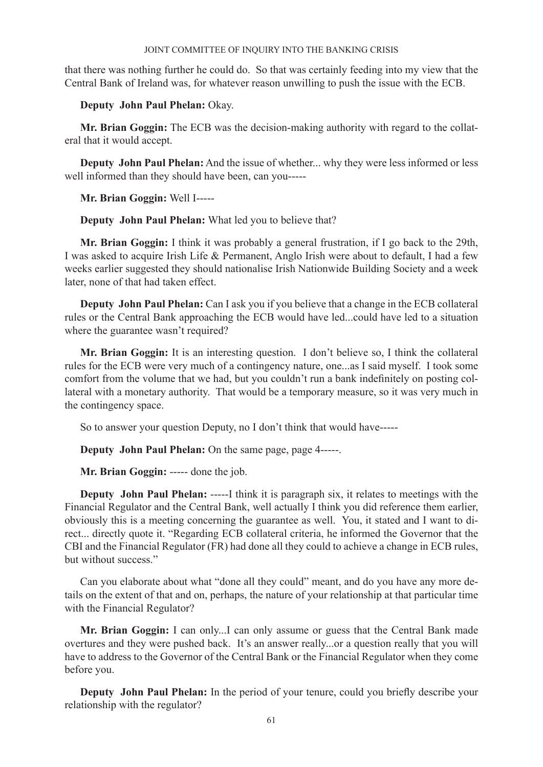that there was nothing further he could do. So that was certainly feeding into my view that the Central Bank of Ireland was, for whatever reason unwilling to push the issue with the ECB.

**Deputy John Paul Phelan:** Okay.

**Mr. Brian Goggin:** The ECB was the decision-making authority with regard to the collateral that it would accept.

**Deputy John Paul Phelan:** And the issue of whether... why they were less informed or less well informed than they should have been, can you-----

**Mr. Brian Goggin:** Well I-----

**Deputy John Paul Phelan:** What led you to believe that?

**Mr. Brian Goggin:** I think it was probably a general frustration, if I go back to the 29th, I was asked to acquire Irish Life & Permanent, Anglo Irish were about to default, I had a few weeks earlier suggested they should nationalise Irish Nationwide Building Society and a week later, none of that had taken effect.

**Deputy John Paul Phelan:** Can I ask you if you believe that a change in the ECB collateral rules or the Central Bank approaching the ECB would have led...could have led to a situation where the guarantee wasn't required?

**Mr. Brian Goggin:** It is an interesting question. I don't believe so, I think the collateral rules for the ECB were very much of a contingency nature, one...as I said myself. I took some comfort from the volume that we had, but you couldn't run a bank indefinitely on posting collateral with a monetary authority. That would be a temporary measure, so it was very much in the contingency space.

So to answer your question Deputy, no I don't think that would have-----

**Deputy John Paul Phelan:** On the same page, page 4-----.

**Mr. Brian Goggin:** ----- done the job.

**Deputy John Paul Phelan:** -----I think it is paragraph six, it relates to meetings with the Financial Regulator and the Central Bank, well actually I think you did reference them earlier, obviously this is a meeting concerning the guarantee as well. You, it stated and I want to direct... directly quote it. "Regarding ECB collateral criteria, he informed the Governor that the CBI and the Financial Regulator (FR) had done all they could to achieve a change in ECB rules, but without success."

Can you elaborate about what "done all they could" meant, and do you have any more details on the extent of that and on, perhaps, the nature of your relationship at that particular time with the Financial Regulator?

**Mr. Brian Goggin:** I can only...I can only assume or guess that the Central Bank made overtures and they were pushed back. It's an answer really...or a question really that you will have to address to the Governor of the Central Bank or the Financial Regulator when they come before you.

**Deputy John Paul Phelan:** In the period of your tenure, could you briefly describe your relationship with the regulator?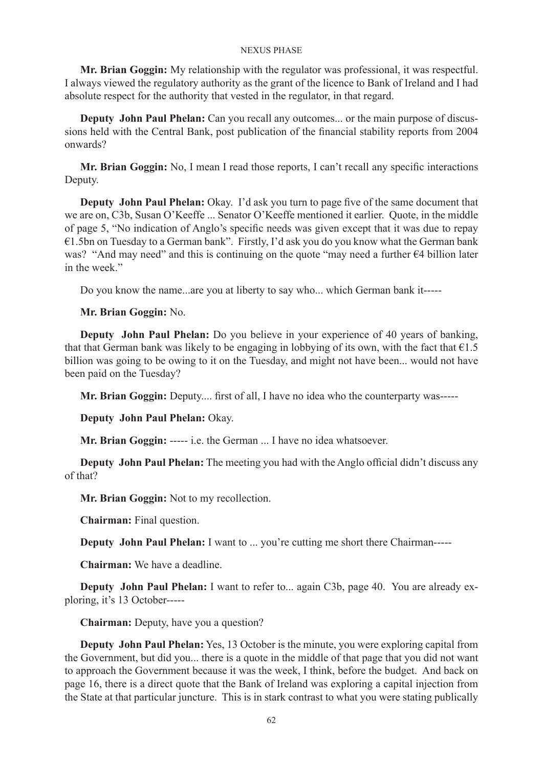**Mr. Brian Goggin:** My relationship with the regulator was professional, it was respectful. I always viewed the regulatory authority as the grant of the licence to Bank of Ireland and I had absolute respect for the authority that vested in the regulator, in that regard.

**Deputy John Paul Phelan:** Can you recall any outcomes... or the main purpose of discussions held with the Central Bank, post publication of the financial stability reports from 2004 onwards?

**Mr. Brian Goggin:** No, I mean I read those reports, I can't recall any specific interactions Deputy.

**Deputy John Paul Phelan:** Okay. I'd ask you turn to page five of the same document that we are on, C3b, Susan O'Keeffe ... Senator O'Keeffe mentioned it earlier. Quote, in the middle of page 5, "No indication of Anglo's specific needs was given except that it was due to repay €1.5bn on Tuesday to a German bank". Firstly, I'd ask you do you know what the German bank was? "And may need" and this is continuing on the quote "may need a further €4 billion later in the week."

Do you know the name...are you at liberty to say who... which German bank it-----

## **Mr. Brian Goggin:** No.

**Deputy John Paul Phelan:** Do you believe in your experience of 40 years of banking, that that German bank was likely to be engaging in lobbying of its own, with the fact that  $\epsilon$ 1.5 billion was going to be owing to it on the Tuesday, and might not have been... would not have been paid on the Tuesday?

**Mr. Brian Goggin:** Deputy.... first of all, I have no idea who the counterparty was-----

**Deputy John Paul Phelan:** Okay.

**Mr. Brian Goggin:** ----- i.e. the German ... I have no idea whatsoever.

**Deputy John Paul Phelan:** The meeting you had with the Anglo official didn't discuss any of that?

**Mr. Brian Goggin:** Not to my recollection.

**Chairman:** Final question.

**Deputy John Paul Phelan:** I want to ... you're cutting me short there Chairman-----

**Chairman:** We have a deadline.

**Deputy John Paul Phelan:** I want to refer to... again C3b, page 40. You are already exploring, it's 13 October-----

**Chairman:** Deputy, have you a question?

**Deputy John Paul Phelan:** Yes, 13 October is the minute, you were exploring capital from the Government, but did you... there is a quote in the middle of that page that you did not want to approach the Government because it was the week, I think, before the budget. And back on page 16, there is a direct quote that the Bank of Ireland was exploring a capital injection from the State at that particular juncture. This is in stark contrast to what you were stating publically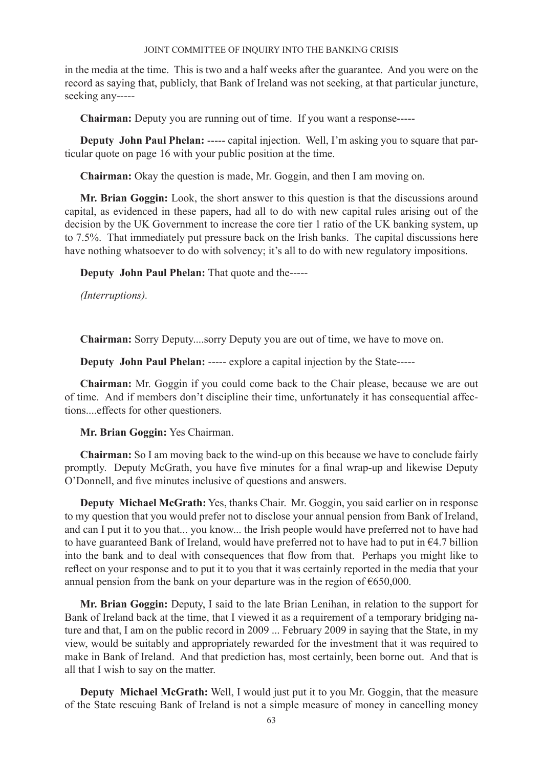in the media at the time. This is two and a half weeks after the guarantee. And you were on the record as saying that, publicly, that Bank of Ireland was not seeking, at that particular juncture, seeking any-----

**Chairman:** Deputy you are running out of time. If you want a response-----

**Deputy John Paul Phelan:** ----- capital injection. Well, I'm asking you to square that particular quote on page 16 with your public position at the time.

**Chairman:** Okay the question is made, Mr. Goggin, and then I am moving on.

**Mr. Brian Goggin:** Look, the short answer to this question is that the discussions around capital, as evidenced in these papers, had all to do with new capital rules arising out of the decision by the UK Government to increase the core tier 1 ratio of the UK banking system, up to 7.5%. That immediately put pressure back on the Irish banks. The capital discussions here have nothing whatsoever to do with solvency; it's all to do with new regulatory impositions.

**Deputy John Paul Phelan:** That quote and the-----

*(Interruptions).*

**Chairman:** Sorry Deputy....sorry Deputy you are out of time, we have to move on.

**Deputy John Paul Phelan:** ----- explore a capital injection by the State-----

**Chairman:** Mr. Goggin if you could come back to the Chair please, because we are out of time. And if members don't discipline their time, unfortunately it has consequential affections....effects for other questioners.

**Mr. Brian Goggin:** Yes Chairman.

**Chairman:** So I am moving back to the wind-up on this because we have to conclude fairly promptly. Deputy McGrath, you have five minutes for a final wrap-up and likewise Deputy O'Donnell, and five minutes inclusive of questions and answers.

**Deputy Michael McGrath:** Yes, thanks Chair. Mr. Goggin, you said earlier on in response to my question that you would prefer not to disclose your annual pension from Bank of Ireland, and can I put it to you that... you know... the Irish people would have preferred not to have had to have guaranteed Bank of Ireland, would have preferred not to have had to put in  $\epsilon$ 4.7 billion into the bank and to deal with consequences that flow from that. Perhaps you might like to reflect on your response and to put it to you that it was certainly reported in the media that your annual pension from the bank on your departure was in the region of  $\varepsilon$ 650,000.

**Mr. Brian Goggin:** Deputy, I said to the late Brian Lenihan, in relation to the support for Bank of Ireland back at the time, that I viewed it as a requirement of a temporary bridging nature and that, I am on the public record in 2009 ... February 2009 in saying that the State, in my view, would be suitably and appropriately rewarded for the investment that it was required to make in Bank of Ireland. And that prediction has, most certainly, been borne out. And that is all that I wish to say on the matter.

**Deputy Michael McGrath:** Well, I would just put it to you Mr. Goggin, that the measure of the State rescuing Bank of Ireland is not a simple measure of money in cancelling money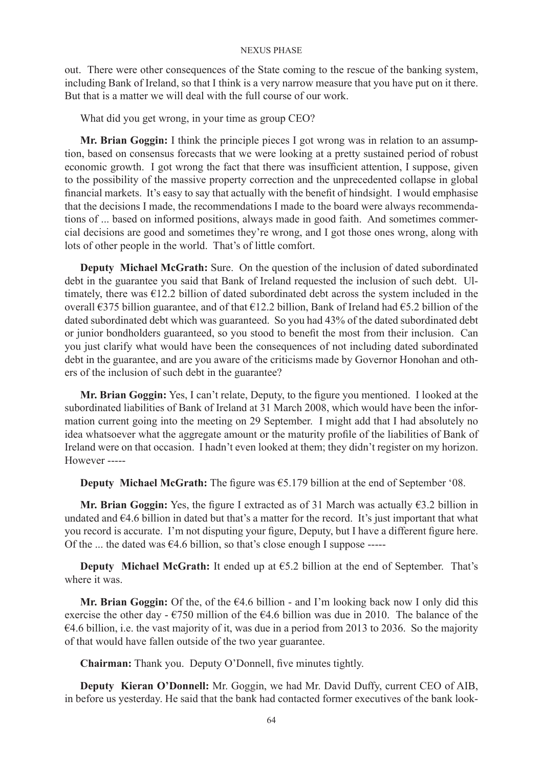out. There were other consequences of the State coming to the rescue of the banking system, including Bank of Ireland, so that I think is a very narrow measure that you have put on it there. But that is a matter we will deal with the full course of our work.

What did you get wrong, in your time as group CEO?

**Mr. Brian Goggin:** I think the principle pieces I got wrong was in relation to an assumption, based on consensus forecasts that we were looking at a pretty sustained period of robust economic growth. I got wrong the fact that there was insufficient attention, I suppose, given to the possibility of the massive property correction and the unprecedented collapse in global financial markets. It's easy to say that actually with the benefit of hindsight. I would emphasise that the decisions I made, the recommendations I made to the board were always recommendations of ... based on informed positions, always made in good faith. And sometimes commercial decisions are good and sometimes they're wrong, and I got those ones wrong, along with lots of other people in the world. That's of little comfort.

**Deputy Michael McGrath:** Sure. On the question of the inclusion of dated subordinated debt in the guarantee you said that Bank of Ireland requested the inclusion of such debt. Ultimately, there was €12.2 billion of dated subordinated debt across the system included in the overall  $\epsilon$ 375 billion guarantee, and of that  $\epsilon$ 12.2 billion, Bank of Ireland had  $\epsilon$ 5.2 billion of the dated subordinated debt which was guaranteed. So you had 43% of the dated subordinated debt or junior bondholders guaranteed, so you stood to benefit the most from their inclusion. Can you just clarify what would have been the consequences of not including dated subordinated debt in the guarantee, and are you aware of the criticisms made by Governor Honohan and others of the inclusion of such debt in the guarantee?

**Mr. Brian Goggin:** Yes, I can't relate, Deputy, to the figure you mentioned. I looked at the subordinated liabilities of Bank of Ireland at 31 March 2008, which would have been the information current going into the meeting on 29 September. I might add that I had absolutely no idea whatsoever what the aggregate amount or the maturity profile of the liabilities of Bank of Ireland were on that occasion. I hadn't even looked at them; they didn't register on my horizon. However -----

**Deputy Michael McGrath:** The figure was €5.179 billion at the end of September '08.

**Mr. Brian Goggin:** Yes, the figure I extracted as of 31 March was actually €3.2 billion in undated and  $64.6$  billion in dated but that's a matter for the record. It's just important that what you record is accurate. I'm not disputing your figure, Deputy, but I have a different figure here. Of the ... the dated was  $\epsilon$ 4.6 billion, so that's close enough I suppose -----

**Deputy Michael McGrath:** It ended up at  $\epsilon$ 5.2 billion at the end of September. That's where it was.

**Mr. Brian Goggin:** Of the, of the €4.6 billion - and I'm looking back now I only did this exercise the other day -  $\epsilon$ 750 million of the  $\epsilon$ 4.6 billion was due in 2010. The balance of the €4.6 billion, i.e. the vast majority of it, was due in a period from 2013 to 2036. So the majority of that would have fallen outside of the two year guarantee.

**Chairman:** Thank you. Deputy O'Donnell, five minutes tightly.

**Deputy Kieran O'Donnell:** Mr. Goggin, we had Mr. David Duffy, current CEO of AIB, in before us yesterday. He said that the bank had contacted former executives of the bank look-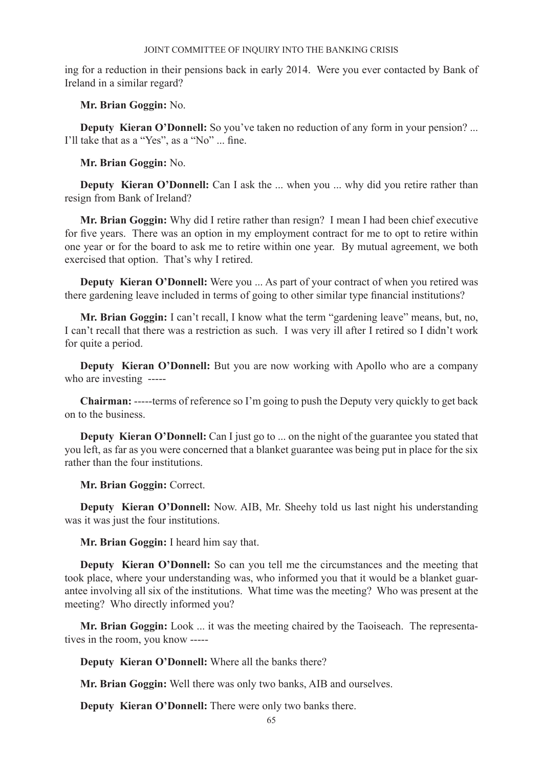ing for a reduction in their pensions back in early 2014. Were you ever contacted by Bank of Ireland in a similar regard?

**Mr. Brian Goggin:** No.

**Deputy Kieran O'Donnell:** So you've taken no reduction of any form in your pension? ... I'll take that as a "Yes", as a "No" ... fine.

**Mr. Brian Goggin:** No.

**Deputy Kieran O'Donnell:** Can I ask the ... when you ... why did you retire rather than resign from Bank of Ireland?

**Mr. Brian Goggin:** Why did I retire rather than resign? I mean I had been chief executive for five years. There was an option in my employment contract for me to opt to retire within one year or for the board to ask me to retire within one year. By mutual agreement, we both exercised that option. That's why I retired.

**Deputy Kieran O'Donnell:** Were you ... As part of your contract of when you retired was there gardening leave included in terms of going to other similar type financial institutions?

**Mr. Brian Goggin:** I can't recall, I know what the term "gardening leave" means, but, no, I can't recall that there was a restriction as such. I was very ill after I retired so I didn't work for quite a period.

**Deputy Kieran O'Donnell:** But you are now working with Apollo who are a company who are investing -----

**Chairman:** -----terms of reference so I'm going to push the Deputy very quickly to get back on to the business.

**Deputy Kieran O'Donnell:** Can I just go to ... on the night of the guarantee you stated that you left, as far as you were concerned that a blanket guarantee was being put in place for the six rather than the four institutions.

**Mr. Brian Goggin:** Correct.

**Deputy Kieran O'Donnell:** Now. AIB, Mr. Sheehy told us last night his understanding was it was just the four institutions.

**Mr. Brian Goggin:** I heard him say that.

**Deputy Kieran O'Donnell:** So can you tell me the circumstances and the meeting that took place, where your understanding was, who informed you that it would be a blanket guarantee involving all six of the institutions. What time was the meeting? Who was present at the meeting? Who directly informed you?

**Mr. Brian Goggin:** Look ... it was the meeting chaired by the Taoiseach. The representatives in the room, you know -----

**Deputy Kieran O'Donnell:** Where all the banks there?

**Mr. Brian Goggin:** Well there was only two banks, AIB and ourselves.

**Deputy Kieran O'Donnell:** There were only two banks there.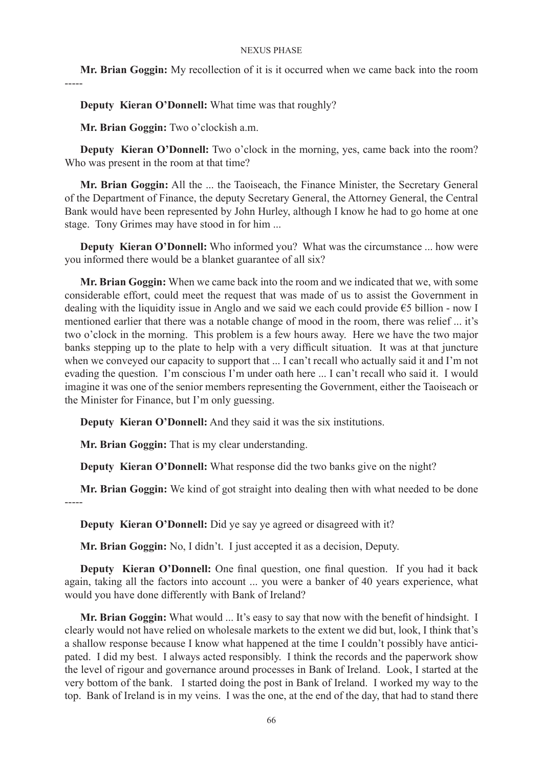**Mr. Brian Goggin:** My recollection of it is it occurred when we came back into the room -----

**Deputy Kieran O'Donnell:** What time was that roughly?

**Mr. Brian Goggin:** Two o'clockish a.m.

**Deputy Kieran O'Donnell:** Two o'clock in the morning, yes, came back into the room? Who was present in the room at that time?

**Mr. Brian Goggin:** All the ... the Taoiseach, the Finance Minister, the Secretary General of the Department of Finance, the deputy Secretary General, the Attorney General, the Central Bank would have been represented by John Hurley, although I know he had to go home at one stage. Tony Grimes may have stood in for him ...

**Deputy Kieran O'Donnell:** Who informed you? What was the circumstance ... how were you informed there would be a blanket guarantee of all six?

**Mr. Brian Goggin:** When we came back into the room and we indicated that we, with some considerable effort, could meet the request that was made of us to assist the Government in dealing with the liquidity issue in Anglo and we said we each could provide  $\epsilon$ 5 billion - now I mentioned earlier that there was a notable change of mood in the room, there was relief ... it's two o'clock in the morning. This problem is a few hours away. Here we have the two major banks stepping up to the plate to help with a very difficult situation. It was at that juncture when we conveyed our capacity to support that ... I can't recall who actually said it and I'm not evading the question. I'm conscious I'm under oath here ... I can't recall who said it. I would imagine it was one of the senior members representing the Government, either the Taoiseach or the Minister for Finance, but I'm only guessing.

**Deputy Kieran O'Donnell:** And they said it was the six institutions.

**Mr. Brian Goggin:** That is my clear understanding.

**Deputy Kieran O'Donnell:** What response did the two banks give on the night?

**Mr. Brian Goggin:** We kind of got straight into dealing then with what needed to be done

-----

**Deputy Kieran O'Donnell:** Did ye say ye agreed or disagreed with it?

**Mr. Brian Goggin:** No, I didn't. I just accepted it as a decision, Deputy.

**Deputy Kieran O'Donnell:** One final question, one final question. If you had it back again, taking all the factors into account ... you were a banker of 40 years experience, what would you have done differently with Bank of Ireland?

**Mr. Brian Goggin:** What would ... It's easy to say that now with the benefit of hindsight. I clearly would not have relied on wholesale markets to the extent we did but, look, I think that's a shallow response because I know what happened at the time I couldn't possibly have anticipated. I did my best. I always acted responsibly. I think the records and the paperwork show the level of rigour and governance around processes in Bank of Ireland. Look, I started at the very bottom of the bank. I started doing the post in Bank of Ireland. I worked my way to the top. Bank of Ireland is in my veins. I was the one, at the end of the day, that had to stand there